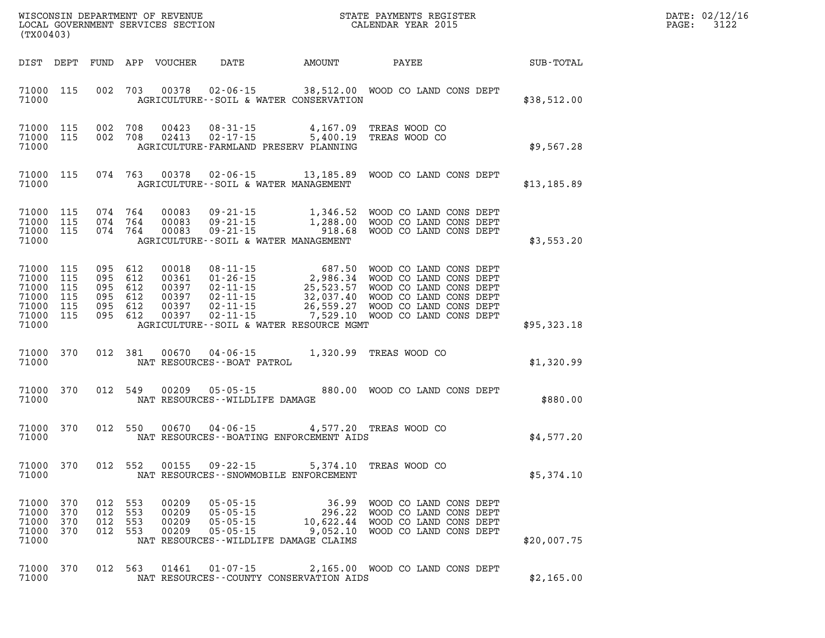| (TX00403)                                                               |                          |                                                                |                                                    |                                                                                                                                       | WISCONSIN DEPARTMENT OF REVENUE<br>LOCAL GOVERNMENT SERVICES SECTION FOR THE STATE PAYMENTS REGIST<br>(TYOO402)<br>STATE PAYMENTS REGISTER                                                                                                                   |  | DATE: 02/12/16<br>PAGE:<br>3122 |  |
|-------------------------------------------------------------------------|--------------------------|----------------------------------------------------------------|----------------------------------------------------|---------------------------------------------------------------------------------------------------------------------------------------|--------------------------------------------------------------------------------------------------------------------------------------------------------------------------------------------------------------------------------------------------------------|--|---------------------------------|--|
| DIST DEPT                                                               |                          |                                                                | FUND APP VOUCHER                                   |                                                                                                                                       | DATE AMOUNT PAYEE                                                                                                                                                                                                                                            |  | SUB-TOTAL                       |  |
| 71000 115<br>71000                                                      |                          |                                                                |                                                    | AGRICULTURE--SOIL & WATER CONSERVATION                                                                                                | 002 703 00378 02-06-15 38,512.00 WOOD CO LAND CONS DEPT                                                                                                                                                                                                      |  | \$38,512.00                     |  |
| 71000<br>71000 115<br>71000                                             | 115                      | 002 708                                                        | 00423<br>002 708 02413                             | 08-31-15 4,167.09<br>02-17-15 5,400.19<br>AGRICULTURE-FARMLAND PRESERV PLANNING                                                       | TREAS WOOD CO<br>TREAS WOOD CO                                                                                                                                                                                                                               |  | \$9,567.28                      |  |
| 71000<br>71000                                                          | 115                      | 074 763                                                        |                                                    | AGRICULTURE--SOIL & WATER MANAGEMENT                                                                                                  | 00378  02-06-15  13,185.89  WOOD CO LAND CONS DEPT                                                                                                                                                                                                           |  | \$13,185.89                     |  |
| 71000<br>71000 115<br>71000 115<br>71000                                | 115                      | 074 764<br>074 764<br>074 764                                  | 00083<br>00083<br>00083                            | AGRICULTURE--SOIL & WATER MANAGEMENT                                                                                                  | 09-21-15 1,346.52 WOOD CO LAND CONS DEPT<br>09-21-15 1,288.00 WOOD CO LAND CONS DEPT<br>09-21-15 918.68 WOOD CO LAND CONS DEPT                                                                                                                               |  | \$3,553.20                      |  |
| 71000 115<br>71000<br>71000<br>71000<br>71000 115<br>71000 115<br>71000 | 115<br>115<br>115        | 095 612<br>095 612<br>095 612<br>095 612<br>095 612<br>095 612 | 00018<br>00361<br>00397<br>00397<br>00397<br>00397 | $02 - 11 - 15$<br>AGRICULTURE--SOIL & WATER RESOURCE MGMT                                                                             | 08-11-15 687.50 WOOD CO LAND CONS DEPT<br>01-26-15 2,986.34 WOOD CO LAND CONS DEPT<br>02-11-15 25,523.57 WOOD CO LAND CONS DEPT<br>02-11-15 32,037.40 WOOD CO LAND CONS DEPT<br>02-11-15 26,559.27 WOOD CO LAND CONS DEPT<br>7,529.10 WOOD CO LAND CONS DEPT |  | \$95,323.18                     |  |
| 71000<br>71000                                                          | 370                      | 012 381                                                        |                                                    | NAT RESOURCES - - BOAT PATROL                                                                                                         | 00670 04-06-15 1,320.99 TREAS WOOD CO                                                                                                                                                                                                                        |  | \$1,320.99                      |  |
| 71000<br>71000                                                          | 370                      | 012 549                                                        | 00209                                              | NAT RESOURCES - - WILDLIFE DAMAGE                                                                                                     | 05-05-15 880.00 WOOD CO LAND CONS DEPT                                                                                                                                                                                                                       |  | \$880.00                        |  |
| 71000<br>71000                                                          | 370                      | 012 550                                                        |                                                    | NAT RESOURCES - - BOATING ENFORCEMENT AIDS                                                                                            | 00670  04-06-15  4,577.20 TREAS WOOD CO                                                                                                                                                                                                                      |  | \$4,577.20                      |  |
| 71000 370<br>71000                                                      |                          | 012 552                                                        | 00155                                              | 09 - 22 - 15<br>NAT RESOURCES - - SNOWMOBILE ENFORCEMENT                                                                              | 5,374.10 TREAS WOOD CO                                                                                                                                                                                                                                       |  | \$5,374.10                      |  |
| 71000<br>71000<br>71000<br>71000<br>71000                               | 370<br>370<br>370<br>370 | 012 553<br>012 553<br>012 553<br>012 553                       | 00209<br>00209<br>00209<br>00209                   | 05-05-15<br>05-05-15<br>05-05-15<br>05-05-15<br>05-05-15<br>05-05-15<br>05-05-15<br>052.10<br>NAT RESOURCES -- WILDLIFE DAMAGE CLAIMS | 36.99 WOOD CO LAND CONS DEPT<br>WOOD CO LAND CONS DEPT<br>WOOD CO LAND CONS DEPT<br>WOOD CO LAND CONS DEPT                                                                                                                                                   |  | \$20,007.75                     |  |
| 71000<br>71000                                                          | 370                      |                                                                |                                                    | NAT RESOURCES--COUNTY CONSERVATION AIDS                                                                                               | 012 563 01461 01-07-15 2,165.00 WOOD CO LAND CONS DEPT                                                                                                                                                                                                       |  | \$2,165.00                      |  |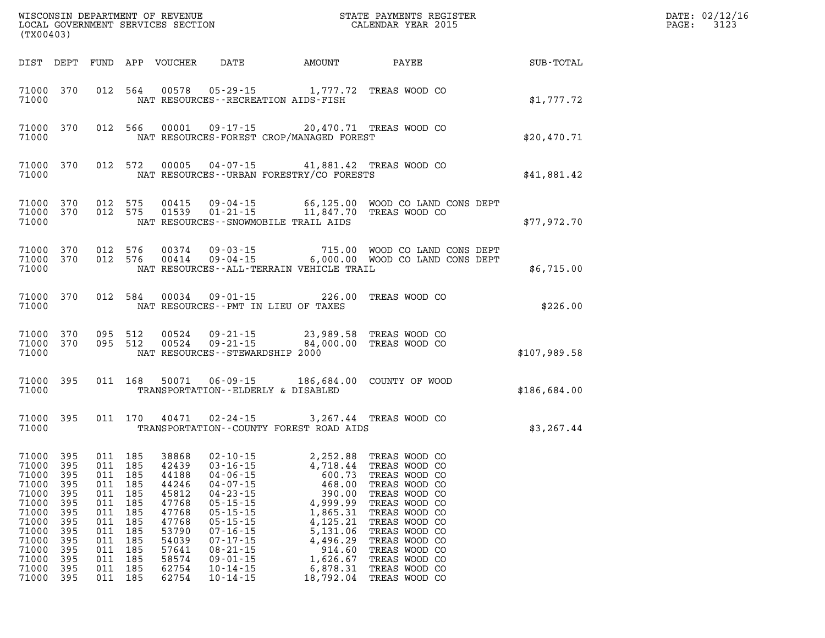| (TX00403)                                                                                                                              |                                                                                                                                                        |                                                                                                                  |                                                                                                                   |                                                                                                                                                                                                                                                                  |                                                                                                                             |                                                                                                                                                                                                                                                                     |              | DATE: 02/12/16<br>$\mathtt{PAGE:}$<br>3123 |
|----------------------------------------------------------------------------------------------------------------------------------------|--------------------------------------------------------------------------------------------------------------------------------------------------------|------------------------------------------------------------------------------------------------------------------|-------------------------------------------------------------------------------------------------------------------|------------------------------------------------------------------------------------------------------------------------------------------------------------------------------------------------------------------------------------------------------------------|-----------------------------------------------------------------------------------------------------------------------------|---------------------------------------------------------------------------------------------------------------------------------------------------------------------------------------------------------------------------------------------------------------------|--------------|--------------------------------------------|
| DIST DEPT                                                                                                                              |                                                                                                                                                        |                                                                                                                  | FUND APP VOUCHER                                                                                                  | DATE AMOUNT                                                                                                                                                                                                                                                      |                                                                                                                             | PAYEE                                                                                                                                                                                                                                                               | SUB-TOTAL    |                                            |
| 71000 370<br>71000                                                                                                                     |                                                                                                                                                        | 012 564                                                                                                          |                                                                                                                   | NAT RESOURCES -- RECREATION AIDS-FISH                                                                                                                                                                                                                            |                                                                                                                             | 00578  05-29-15  1,777.72  TREAS WOOD CO                                                                                                                                                                                                                            | \$1,777.72   |                                            |
| 71000 370<br>71000                                                                                                                     |                                                                                                                                                        | 012 566                                                                                                          |                                                                                                                   | NAT RESOURCES-FOREST CROP/MANAGED FOREST                                                                                                                                                                                                                         |                                                                                                                             | 00001  09-17-15  20,470.71  TREAS WOOD CO                                                                                                                                                                                                                           | \$20,470.71  |                                            |
| 71000 370<br>71000                                                                                                                     |                                                                                                                                                        | 012 572                                                                                                          | 00005                                                                                                             | NAT RESOURCES--URBAN FORESTRY/CO FORESTS                                                                                                                                                                                                                         |                                                                                                                             | 04-07-15 41,881.42 TREAS WOOD CO                                                                                                                                                                                                                                    | \$41,881.42  |                                            |
| 71000 370<br>71000 370<br>71000                                                                                                        |                                                                                                                                                        |                                                                                                                  |                                                                                                                   | NAT RESOURCES--SNOWMOBILE TRAIL AIDS                                                                                                                                                                                                                             |                                                                                                                             | 012 575 00415 09-04-15 66,125.00 WOOD CO LAND CONS DEPT 012 575 01539 01-21-15 11,847.70 TREAS WOOD CO                                                                                                                                                              | \$77,972.70  |                                            |
| 71000 370<br>71000 370<br>71000                                                                                                        |                                                                                                                                                        | 012 576                                                                                                          | 00374<br>012 576 00414                                                                                            | NAT RESOURCES--ALL-TERRAIN VEHICLE TRAIL                                                                                                                                                                                                                         |                                                                                                                             | 09-03-15 715.00 WOOD CO LAND CONS DEPT<br>09-04-15 6,000.00 WOOD CO LAND CONS DEPT                                                                                                                                                                                  | \$6,715.00   |                                            |
| 71000 370<br>71000                                                                                                                     |                                                                                                                                                        |                                                                                                                  | 012 584 00034                                                                                                     | NAT RESOURCES--PMT IN LIEU OF TAXES                                                                                                                                                                                                                              |                                                                                                                             | 09-01-15 226.00 TREAS WOOD CO                                                                                                                                                                                                                                       | \$226.00     |                                            |
| 71000 370<br>71000 370<br>71000                                                                                                        |                                                                                                                                                        | 095 512                                                                                                          | 00524                                                                                                             | $09 - 21 - 15$<br>NAT RESOURCES - - STEWARDSHIP 2000                                                                                                                                                                                                             |                                                                                                                             | 095 512 00524 09-21-15 23,989.58 TREAS WOOD CO<br>84,000.00 TREAS WOOD CO                                                                                                                                                                                           | \$107,989.58 |                                            |
| 71000 395<br>71000                                                                                                                     |                                                                                                                                                        | 011 168                                                                                                          | 50071                                                                                                             | 06-09-15<br>TRANSPORTATION--ELDERLY & DISABLED                                                                                                                                                                                                                   |                                                                                                                             | 186,684.00 COUNTY OF WOOD                                                                                                                                                                                                                                           | \$186,684.00 |                                            |
| 71000 395<br>71000                                                                                                                     |                                                                                                                                                        | 011 170 40471                                                                                                    |                                                                                                                   | $02 - 24 - 15$<br>TRANSPORTATION--COUNTY FOREST ROAD AIDS                                                                                                                                                                                                        |                                                                                                                             | 3,267.44 TREAS WOOD CO                                                                                                                                                                                                                                              | \$3,267.44   |                                            |
| 71000 395<br>71000 395<br>71000 395<br>71000<br>71000<br>71000<br>71000<br>71000<br>71000<br>71000<br>71000<br>71000<br>71000<br>71000 | 395<br>011<br>395<br>011<br>395<br>011<br>395<br>011<br>395<br>011<br>395<br>011<br>395<br>011<br>395<br>011<br>395<br>011<br>395<br>011<br>395<br>011 | 011 185<br>011 185<br>011 185 44188<br>185<br>185<br>185<br>185<br>185<br>185<br>185<br>185<br>185<br>185<br>185 | 38868<br>42439<br>44246<br>45812<br>47768<br>47768<br>47768<br>53790<br>54039<br>57641<br>58574<br>62754<br>62754 | $02 - 10 - 15$<br>03 - 16 - 15<br>04 - 06 - 15<br>04-06-15<br>$04 - 07 - 15$<br>$04 - 23 - 15$<br>$05 - 15 - 15$<br>$05 - 15 - 15$<br>$05 - 15 - 15$<br>$07 - 16 - 15$<br>$07 - 17 - 15$<br>$08 - 21 - 15$<br>$09 - 01 - 15$<br>$10 - 14 - 15$<br>$10 - 14 - 15$ | 468.00<br>390.00<br>4,999.99<br>1,865.31<br>4,125.21<br>5,131.06<br>4,496.29<br>914.60<br>1,626.67<br>6,878.31<br>18,792.04 | 2,252.88 TREAS WOOD CO<br>4,718.44 TREAS WOOD CO<br>600.73 TREAS WOOD CO<br>TREAS WOOD CO<br>TREAS WOOD CO<br>TREAS WOOD CO<br>TREAS WOOD CO<br>TREAS WOOD CO<br>TREAS WOOD CO<br>TREAS WOOD CO<br>TREAS WOOD CO<br>TREAS WOOD CO<br>TREAS WOOD CO<br>TREAS WOOD CO |              |                                            |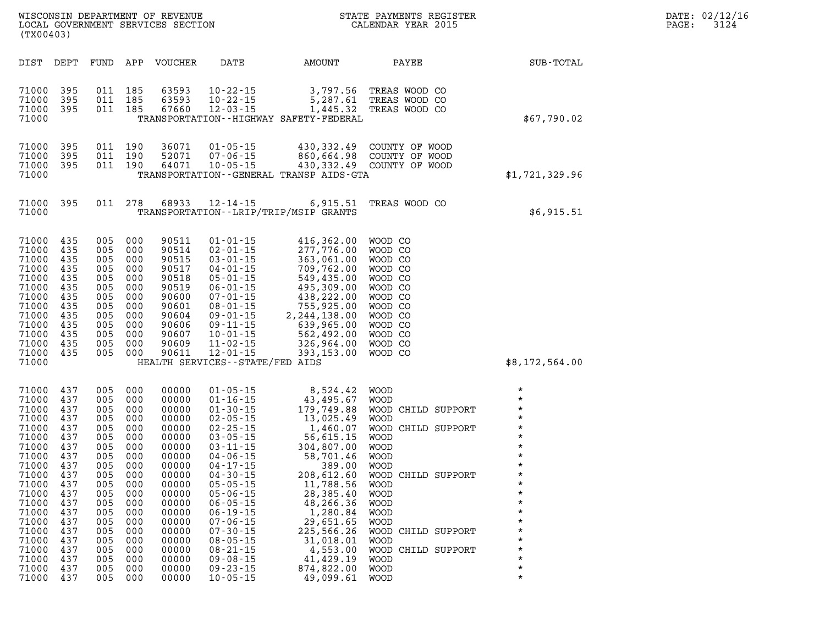| DATE: | 02/12/16 |
|-------|----------|
| PAGE: | 3124     |

| (TX00403)                                                                                                                                                               | WISCONSIN DEPARTMENT OF REVENUE<br>LOCAL GOVERNMENT SERVICES SECTION                                                                                                                                                                                                   |                                                                                                                                   |                                                                                                                                                                         |                                                                                                                                                                                                                                                                                                                                                    |                                                                                                                                                                                                                                                  | STATE PAYMENTS REGISTER<br>CALENDAR YEAR 2015                                                                                                                                                                                                                                                                                |                                                                                                                                                                                                     |
|-------------------------------------------------------------------------------------------------------------------------------------------------------------------------|------------------------------------------------------------------------------------------------------------------------------------------------------------------------------------------------------------------------------------------------------------------------|-----------------------------------------------------------------------------------------------------------------------------------|-------------------------------------------------------------------------------------------------------------------------------------------------------------------------|----------------------------------------------------------------------------------------------------------------------------------------------------------------------------------------------------------------------------------------------------------------------------------------------------------------------------------------------------|--------------------------------------------------------------------------------------------------------------------------------------------------------------------------------------------------------------------------------------------------|------------------------------------------------------------------------------------------------------------------------------------------------------------------------------------------------------------------------------------------------------------------------------------------------------------------------------|-----------------------------------------------------------------------------------------------------------------------------------------------------------------------------------------------------|
| DIST                                                                                                                                                                    | DEPT<br>FUND                                                                                                                                                                                                                                                           | APP                                                                                                                               | VOUCHER                                                                                                                                                                 | DATE                                                                                                                                                                                                                                                                                                                                               | AMOUNT                                                                                                                                                                                                                                           | PAYEE                                                                                                                                                                                                                                                                                                                        | SUB-TOTAL                                                                                                                                                                                           |
| 71000<br>71000<br>71000<br>71000                                                                                                                                        | 395<br>011<br>395<br>011<br>395<br>011                                                                                                                                                                                                                                 | 185<br>185<br>185                                                                                                                 | 63593<br>63593<br>67660                                                                                                                                                 | $10 - 22 - 15$<br>$10 - 22 - 15$<br>$12 - 03 - 15$                                                                                                                                                                                                                                                                                                 | 3,797.56<br>5,287.61<br>1,445.32<br>TRANSPORTATION - - HIGHWAY SAFETY - FEDERAL                                                                                                                                                                  | TREAS WOOD CO<br>TREAS WOOD CO<br>TREAS WOOD CO                                                                                                                                                                                                                                                                              | \$67,790.02                                                                                                                                                                                         |
| 71000<br>71000<br>71000<br>71000                                                                                                                                        | 395<br>011<br>395<br>011<br>395<br>011                                                                                                                                                                                                                                 | 190<br>190<br>190                                                                                                                 | 36071<br>52071<br>64071                                                                                                                                                 | $01 - 05 - 15$<br>$07 - 06 - 15$<br>$10 - 05 - 15$                                                                                                                                                                                                                                                                                                 | 860,664.98<br>TRANSPORTATION - - GENERAL TRANSP AIDS - GTA                                                                                                                                                                                       | 430,332.49 COUNTY OF WOOD<br>COUNTY OF WOOD<br>430,332.49 COUNTY OF WOOD                                                                                                                                                                                                                                                     | \$1,721,329.96                                                                                                                                                                                      |
| 71000<br>71000                                                                                                                                                          | 395<br>011                                                                                                                                                                                                                                                             | 278                                                                                                                               | 68933                                                                                                                                                                   | $12 - 14 - 15$                                                                                                                                                                                                                                                                                                                                     | 6,915.51<br>TRANSPORTATION--LRIP/TRIP/MSIP GRANTS                                                                                                                                                                                                | TREAS WOOD CO                                                                                                                                                                                                                                                                                                                | \$6,915.51                                                                                                                                                                                          |
| 71000<br>71000<br>71000<br>71000<br>71000<br>71000<br>71000<br>71000<br>71000<br>71000<br>71000<br>71000<br>71000<br>71000                                              | 435<br>005<br>435<br>005<br>435<br>005<br>435<br>005<br>435<br>005<br>435<br>005<br>435<br>005<br>435<br>005<br>435<br>005<br>435<br>005<br>435<br>005<br>435<br>005<br>435<br>005                                                                                     | 000<br>000<br>000<br>000<br>000<br>000<br>000<br>000<br>000<br>000<br>000<br>000<br>000                                           | 90511<br>90514<br>90515<br>90517<br>90518<br>90519<br>90600<br>90601<br>90604<br>90606<br>90607<br>90609<br>90611                                                       | $01 - 01 - 15$<br>$02 - 01 - 15$<br>$03 - 01 - 15$<br>$04 - 01 - 15$<br>$05 - 01 - 15$<br>$06 - 01 - 15$<br>$07 - 01 - 15$<br>$08 - 01 - 15$<br>$09 - 01 - 15$<br>$09 - 11 - 15$<br>$10 - 01 - 15$<br>$11 - 02 - 15$<br>$12 - 01 - 15$<br>HEALTH SERVICES - - STATE/FED AIDS                                                                       | 416,362.00<br>277,776.00<br>363,061.00<br>709,762.00<br>549,435.00<br>495,309.00<br>438,222.00<br>755,925.00<br>2, 244, 138.00<br>639,965.00<br>562,492.00<br>326,964.00<br>393,153.00                                                           | WOOD CO<br>WOOD CO<br>WOOD CO<br>WOOD CO<br>WOOD CO<br>WOOD CO<br>WOOD CO<br>WOOD CO<br>WOOD CO<br>WOOD CO<br>WOOD CO<br>WOOD CO<br>WOOD CO                                                                                                                                                                                  | \$8,172,564.00                                                                                                                                                                                      |
| 71000<br>71000<br>71000<br>71000<br>71000<br>71000<br>71000<br>71000<br>71000<br>71000<br>71000<br>71000<br>71000<br>71000<br>71000<br>71000<br>71000<br>71000<br>71000 | 005<br>437<br>437<br>005<br>437<br>005<br>437<br>005<br>437<br>005<br>437<br>005<br>437<br>005<br>437<br>005<br>437<br>005<br>437<br>005<br>437<br>005<br>437<br>005<br>437<br>005<br>437<br>005<br>437<br>005<br>437<br>005<br>437<br>005<br>437<br>005<br>437<br>005 | 000<br>000<br>000<br>000<br>000<br>000<br>000<br>000<br>000<br>000<br>000<br>000<br>000<br>000<br>000<br>000<br>000<br>000<br>000 | 00000<br>00000<br>00000<br>00000<br>00000<br>00000<br>00000<br>00000<br>00000<br>00000<br>00000<br>00000<br>00000<br>00000<br>00000<br>00000<br>00000<br>00000<br>00000 | $01 - 05 - 15$<br>$01 - 16 - 15$<br>$01 - 30 - 15$<br>$02 - 05 - 15$<br>$02 - 25 - 15$<br>$03 - 05 - 15$<br>$03 - 11 - 15$<br>$04 - 06 - 15$<br>$04 - 17 - 15$<br>$04 - 30 - 15$<br>$05 - 05 - 15$<br>$05 - 06 - 15$<br>$06 - 05 - 15$<br>$06 - 19 - 15$<br>$07 - 06 - 15$<br>$07 - 30 - 15$<br>$08 - 05 - 15$<br>$08 - 21 - 15$<br>$09 - 08 - 15$ | 8,524.42<br>43,495.67<br>179,749.88<br>13,025.49<br>1,460.07<br>56,615.15<br>304,807.00<br>58,701.46<br>389.00<br>208,612.60<br>11,788.56<br>28,385.40<br>48,266.36<br>1,280.84<br>29,651.65<br>225,566.26<br>31,018.01<br>4,553.00<br>41,429.19 | <b>WOOD</b><br><b>WOOD</b><br>WOOD CHILD SUPPORT<br><b>WOOD</b><br>WOOD CHILD SUPPORT<br><b>WOOD</b><br><b>WOOD</b><br><b>WOOD</b><br><b>WOOD</b><br>WOOD CHILD SUPPORT<br><b>WOOD</b><br><b>WOOD</b><br><b>WOOD</b><br><b>WOOD</b><br><b>WOOD</b><br>WOOD CHILD SUPPORT<br><b>WOOD</b><br>WOOD CHILD SUPPORT<br><b>WOOD</b> | $\star$<br>$\star$<br>$\star$<br>$\star$<br>$\star$<br>$\star$<br>$\star$<br>$\star$<br>$\star$<br>$\star$<br>*<br>$\star$<br>$^\star$<br>$\star$<br>$^\star$<br>*<br>$\star$<br>$\star$<br>$\star$ |

**71000 437 005 000 00000 09-23-15 874,822.00 WOOD \* 71000 437 005 000 00000 10-05-15 49,099.61 WOOD \***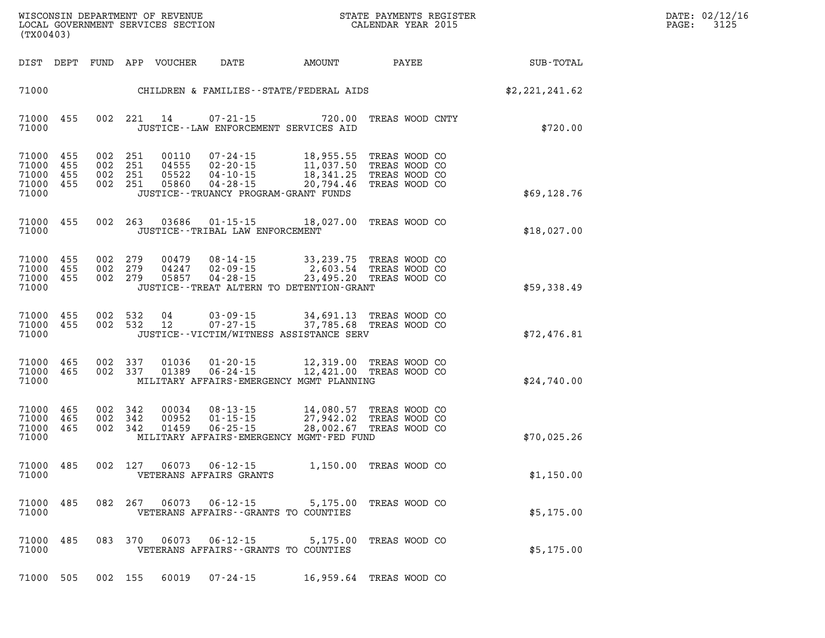| WISCONSIN DEPARTMENT OF REVENUE   | PAYMENTS REGISTER<br>3TATE | DATE: | 02/12/16 |
|-----------------------------------|----------------------------|-------|----------|
| LOCAL GOVERNMENT SERVICES SECTION | CALENDAR YEAR 2015         | PAGE  | 3125     |

| (TX00403)                                 |                          |                               |                    | LOCAL GOVERNMENT SERVICES SECTION |                                                                                                                   | CALENDAR YEAR 2015                                                           |                                                                  |                 |                | PAGE: | 3125 |
|-------------------------------------------|--------------------------|-------------------------------|--------------------|-----------------------------------|-------------------------------------------------------------------------------------------------------------------|------------------------------------------------------------------------------|------------------------------------------------------------------|-----------------|----------------|-------|------|
| DIST DEPT                                 |                          |                               |                    | FUND APP VOUCHER                  | <b>DATE</b>                                                                                                       | AMOUNT                                                                       |                                                                  | PAYEE           | SUB-TOTAL      |       |      |
| 71000                                     |                          |                               |                    |                                   | CHILDREN & FAMILIES--STATE/FEDERAL AIDS                                                                           |                                                                              |                                                                  |                 | \$2,221,241.62 |       |      |
| 71000<br>71000                            | 455                      |                               | 002 221 14         |                                   | $07 - 21 - 15$<br>JUSTICE -- LAW ENFORCEMENT SERVICES AID                                                         | 720.00                                                                       |                                                                  | TREAS WOOD CNTY | \$720.00       |       |      |
| 71000<br>71000<br>71000<br>71000<br>71000 | 455<br>455<br>455<br>455 | 002 251<br>002 251<br>002 251 | 002 251            | 00110<br>04555<br>05522<br>05860  | $07 - 24 - 15$<br>$02 - 20 - 15$<br>$04 - 10 - 15$<br>$04 - 28 - 15$<br>JUSTICE - - TRUANCY PROGRAM - GRANT FUNDS | 18,955.55<br>11,037.50<br>18,341.25<br>20,794.46                             | TREAS WOOD CO<br>TREAS WOOD CO<br>TREAS WOOD CO<br>TREAS WOOD CO |                 | \$69,128.76    |       |      |
| 71000<br>71000                            | 455                      |                               |                    | 002 263 03686                     | 01-15-15 18,027.00 TREAS WOOD CO<br>JUSTICE - - TRIBAL LAW ENFORCEMENT                                            |                                                                              |                                                                  |                 | \$18,027.00    |       |      |
| 71000<br>71000<br>71000<br>71000          | 455<br>455<br>455        | 002 279<br>002 279            | 002 279            | 00479<br>04247<br>05857           | $08 - 14 - 15$<br>$02 - 09 - 15$<br>$04 - 28 - 15$<br>JUSTICE - - TREAT ALTERN TO DETENTION - GRANT               | 33,239.75 TREAS WOOD CO<br>2,603.54 TREAS WOOD CO<br>23,495.20 TREAS WOOD CO |                                                                  |                 | \$59,338.49    |       |      |
| 71000<br>71000<br>71000                   | 455<br>455               |                               | 002 532<br>002 532 | 04<br>12                          | 03-09-15<br>$07 - 27 - 15$<br>JUSTICE - - VICTIM/WITNESS ASSISTANCE SERV                                          | 34,691.13 TREAS WOOD CO<br>37,785.68 TREAS WOOD CO                           |                                                                  |                 | \$72,476.81    |       |      |
| 71000<br>71000<br>71000                   | 465<br>465               | 002 337<br>002 337            |                    | 01036<br>01389                    | $01 - 20 - 15$<br>$06 - 24 - 15$<br>MILITARY AFFAIRS-EMERGENCY MGMT PLANNING                                      | 12,319.00<br>12,421.00 TREAS WOOD CO                                         | TREAS WOOD CO                                                    |                 | \$24,740.00    |       |      |
| 71000<br>71000<br>71000<br>71000          | 465<br>465<br>465        | 002 342<br>002 342            | 002 342            | 00034<br>00952<br>01459           | $08 - 13 - 15$<br>$01 - 15 - 15$<br>$06 - 25 - 15$<br>MILITARY AFFAIRS-EMERGENCY MGMT-FED FUND                    | 14,080.57<br>27,942.02<br>28,002.67 TREAS WOOD CO                            | TREAS WOOD CO<br>TREAS WOOD CO                                   |                 | \$70,025.26    |       |      |
| 71000<br>71000                            | 485                      |                               | 002 127            | 06073                             | $06 - 12 - 15$<br>VETERANS AFFAIRS GRANTS                                                                         | 1,150.00 TREAS WOOD CO                                                       |                                                                  |                 | \$1,150.00     |       |      |
| 71000<br>71000                            | 485                      |                               |                    |                                   | 082  267  06073  06-12-15  5,175.00 TREAS WOOD CO<br>VETERANS AFFAIRS -- GRANTS TO COUNTIES                       |                                                                              |                                                                  |                 | \$5,175.00     |       |      |
| 71000<br>71000                            | 485                      |                               |                    |                                   | 083 370 06073 06-12-15 5,175.00 TREAS WOOD CO<br>VETERANS AFFAIRS -- GRANTS TO COUNTIES                           |                                                                              |                                                                  |                 | \$5,175.00     |       |      |
| 71000 505                                 |                          |                               |                    | 002 155 60019                     | 07-24-15                                                                                                          | 16,959.64 TREAS WOOD CO                                                      |                                                                  |                 |                |       |      |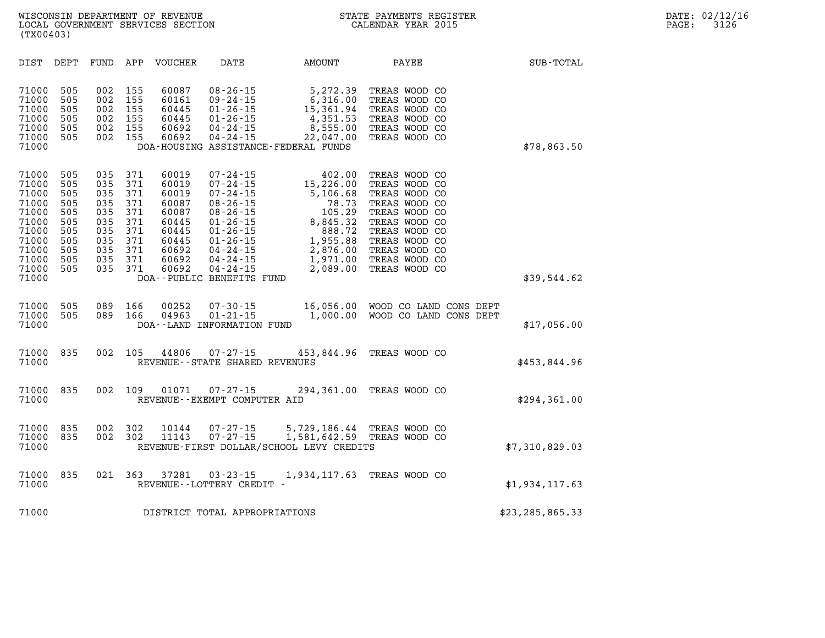| DIST                                                                                                     | DEPT                                                                      | FUND                                                                      | APP                                                                       | VOUCHER                                                                                         | DATE                                                                                                                                                                                                                            | AMOUNT                                                                                                                   | PAYEE                                                                                                                                                                                   | SUB-TOTAL       |
|----------------------------------------------------------------------------------------------------------|---------------------------------------------------------------------------|---------------------------------------------------------------------------|---------------------------------------------------------------------------|-------------------------------------------------------------------------------------------------|---------------------------------------------------------------------------------------------------------------------------------------------------------------------------------------------------------------------------------|--------------------------------------------------------------------------------------------------------------------------|-----------------------------------------------------------------------------------------------------------------------------------------------------------------------------------------|-----------------|
| 71000<br>71000<br>71000<br>71000<br>71000<br>71000<br>71000                                              | 505<br>505<br>505<br>505<br>505<br>505                                    | 002<br>002<br>002<br>002<br>002<br>002                                    | 155<br>155<br>155<br>155<br>155<br>155                                    | 60087<br>60161<br>60445<br>60445<br>60692<br>60692                                              | $08 - 26 - 15$<br>$09 - 24 - 15$<br>$01 - 26 - 15$<br>$01 - 26 - 15$<br>$04 - 24 - 15$<br>$04 - 24 - 15$                                                                                                                        | 5,272.39<br>6,316.00<br>15,361.94<br>4,351.53<br>8,555.00<br>22,047.00<br>DOA-HOUSING ASSISTANCE-FEDERAL FUNDS           | TREAS WOOD CO<br>TREAS WOOD CO<br>TREAS WOOD CO<br>TREAS WOOD CO<br>TREAS WOOD CO<br>TREAS WOOD CO                                                                                      | \$78,863.50     |
| 71000<br>71000<br>71000<br>71000<br>71000<br>71000<br>71000<br>71000<br>71000<br>71000<br>71000<br>71000 | 505<br>505<br>505<br>505<br>505<br>505<br>505<br>505<br>505<br>505<br>505 | 035<br>035<br>035<br>035<br>035<br>035<br>035<br>035<br>035<br>035<br>035 | 371<br>371<br>371<br>371<br>371<br>371<br>371<br>371<br>371<br>371<br>371 | 60019<br>60019<br>60019<br>60087<br>60087<br>60445<br>60445<br>60445<br>60692<br>60692<br>60692 | $07 - 24 - 15$<br>$07 - 24 - 15$<br>$07 - 24 - 15$<br>$08 - 26 - 15$<br>$08 - 26 - 15$<br>$01 - 26 - 15$<br>$01 - 26 - 15$<br>$01 - 26 - 15$<br>$04 - 24 - 15$<br>$04 - 24 - 15$<br>$04 - 24 - 15$<br>DOA--PUBLIC BENEFITS FUND | 402.00<br>15,226.00<br>5,106.68<br>78.73<br>105.29<br>8,845.32<br>888.72<br>1,955.88<br>2,876.00<br>1,971.00<br>2,089.00 | TREAS WOOD CO<br>TREAS WOOD CO<br>TREAS WOOD CO<br>TREAS WOOD CO<br>TREAS WOOD CO<br>TREAS WOOD CO<br>TREAS WOOD CO<br>TREAS WOOD CO<br>TREAS WOOD CO<br>TREAS WOOD CO<br>TREAS WOOD CO | \$39,544.62     |
| 71000<br>71000<br>71000                                                                                  | 505<br>505                                                                | 089<br>089                                                                | 166<br>166                                                                | 00252<br>04963                                                                                  | $07 - 30 - 15$<br>$01 - 21 - 15$<br>DOA--LAND INFORMATION FUND                                                                                                                                                                  | 16,056.00<br>1,000.00                                                                                                    | WOOD CO LAND CONS DEPT<br>WOOD CO LAND CONS DEPT                                                                                                                                        | \$17,056.00     |
| 71000<br>71000                                                                                           | 835                                                                       | 002                                                                       | 105                                                                       | 44806                                                                                           | $07 - 27 - 15$<br>REVENUE - - STATE SHARED REVENUES                                                                                                                                                                             | 453,844.96                                                                                                               | TREAS WOOD CO                                                                                                                                                                           | \$453,844.96    |
| 71000<br>71000                                                                                           | 835                                                                       | 002                                                                       | 109                                                                       | 01071                                                                                           | $07 - 27 - 15$<br>REVENUE - - EXEMPT COMPUTER AID                                                                                                                                                                               | 294,361.00                                                                                                               | TREAS WOOD CO                                                                                                                                                                           | \$294, 361.00   |
| 71000<br>71000<br>71000                                                                                  | 835<br>835                                                                | 002<br>002                                                                | 302<br>302                                                                | 10144<br>11143                                                                                  | $07 - 27 - 15$<br>$07 - 27 - 15$                                                                                                                                                                                                | 5,729,186.44<br>1,581,642.59<br>REVENUE-FIRST DOLLAR/SCHOOL LEVY CREDITS                                                 | TREAS WOOD CO<br>TREAS WOOD CO                                                                                                                                                          | \$7,310,829.03  |
| 71000<br>71000                                                                                           | 835                                                                       | 021                                                                       | 363                                                                       | 37281                                                                                           | $03 - 23 - 15$<br>REVENUE - - LOTTERY CREDIT -                                                                                                                                                                                  | 1,934,117.63                                                                                                             | TREAS WOOD CO                                                                                                                                                                           | \$1,934,117.63  |
| 71000                                                                                                    |                                                                           |                                                                           |                                                                           |                                                                                                 | DISTRICT TOTAL APPROPRIATIONS                                                                                                                                                                                                   |                                                                                                                          |                                                                                                                                                                                         | \$23,285,865.33 |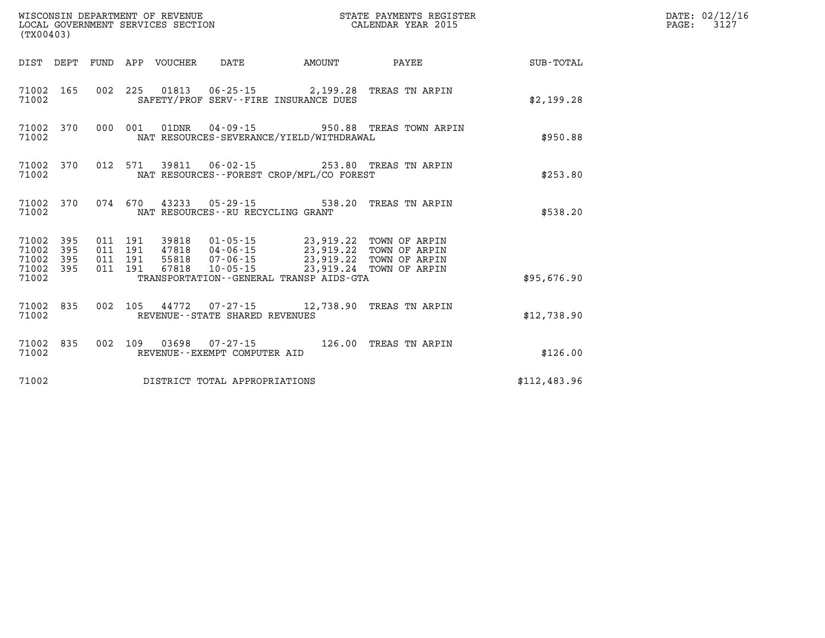| (TX00403)                                           |                                          | WISCONSIN DEPARTMENT OF REVENUE<br>LOCAL GOVERNMENT SERVICES SECTION |                                   |                                             | STATE PAYMENTS REGISTER<br>CALENDAR YEAR 2015                                                                                                                                                |              | DATE: 02/12/16<br>$\mathtt{PAGE:}$<br>3127 |
|-----------------------------------------------------|------------------------------------------|----------------------------------------------------------------------|-----------------------------------|---------------------------------------------|----------------------------------------------------------------------------------------------------------------------------------------------------------------------------------------------|--------------|--------------------------------------------|
|                                                     |                                          | DIST DEPT FUND APP VOUCHER                                           | DATE                              | AMOUNT                                      | PAYEE                                                                                                                                                                                        | SUB-TOTAL    |                                            |
| 71002 165<br>71002                                  |                                          |                                                                      |                                   | SAFETY/PROF SERV--FIRE INSURANCE DUES       | 002 225 01813 06-25-15 2,199.28 TREAS TN ARPIN                                                                                                                                               | \$2,199.28   |                                            |
| 71002 370<br>71002                                  |                                          | 000 001 01DNR                                                        |                                   | NAT RESOURCES-SEVERANCE/YIELD/WITHDRAWAL    | 04-09-15 950.88 TREAS TOWN ARPIN                                                                                                                                                             | \$950.88     |                                            |
| 71002 370<br>71002                                  |                                          |                                                                      |                                   | NAT RESOURCES - - FOREST CROP/MFL/CO FOREST | 012 571 39811 06-02-15 253.80 TREAS TN ARPIN                                                                                                                                                 | \$253.80     |                                            |
| 71002 370<br>71002                                  |                                          |                                                                      | NAT RESOURCES--RU RECYCLING GRANT |                                             | 074 670 43233 05-29-15 538.20 TREAS TN ARPIN                                                                                                                                                 | \$538.20     |                                            |
| 71002 395<br>71002<br>395<br>71002 395<br>71002 395 | 011 191<br>011 191<br>011 191<br>011 191 |                                                                      |                                   |                                             | 39818  01-05-15  23,919.22  TOWN OF ARPIN<br>47818  04-06-15  23,919.22  TOWN OF ARPIN<br>55818    07-06-15    23,919.22    TOWN OF ARPIN<br>67818    10-05-15    23,919.24    TOWN OF ARPIN |              |                                            |
| 71002                                               |                                          |                                                                      |                                   | TRANSPORTATION--GENERAL TRANSP AIDS-GTA     |                                                                                                                                                                                              | \$95,676.90  |                                            |
| 71002 835<br>71002                                  |                                          |                                                                      | REVENUE - - STATE SHARED REVENUES |                                             | 002 105 44772 07-27-15 12,738.90 TREAS TN ARPIN                                                                                                                                              | \$12,738.90  |                                            |
| 71002 835<br>71002                                  |                                          |                                                                      | REVENUE--EXEMPT COMPUTER AID      |                                             | 002 109 03698 07-27-15 126.00 TREAS TN ARPIN                                                                                                                                                 | \$126.00     |                                            |
| 71002                                               |                                          | DISTRICT TOTAL APPROPRIATIONS                                        |                                   |                                             |                                                                                                                                                                                              | \$112,483.96 |                                            |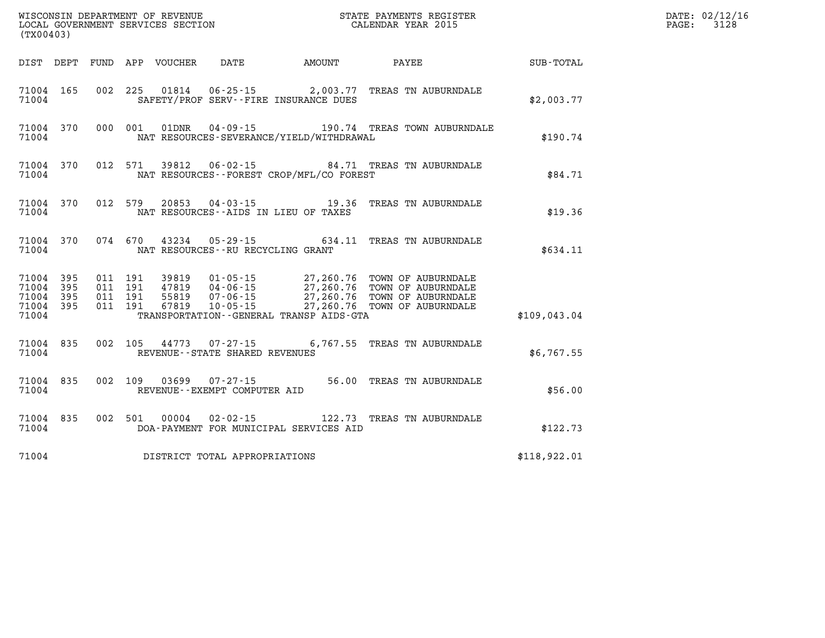| (TX00403) |                                                  |  |               |                                     |                                              | WISCONSIN DEPARTMENT OF REVENUE<br>LOCAL GOVERNMENT SERVICES SECTION<br>CALENDAR YEAR 2015                                                                                                                                                                                                                                                           |              | DATE: 02/12/16<br>$\mathtt{PAGE:}$<br>3128 |
|-----------|--------------------------------------------------|--|---------------|-------------------------------------|----------------------------------------------|------------------------------------------------------------------------------------------------------------------------------------------------------------------------------------------------------------------------------------------------------------------------------------------------------------------------------------------------------|--------------|--------------------------------------------|
|           |                                                  |  |               |                                     |                                              | DIST DEPT FUND APP VOUCHER DATE AMOUNT PAYEE PAYER SUB-TOTAL                                                                                                                                                                                                                                                                                         |              |                                            |
| 71004     | 71004 165                                        |  |               |                                     | SAFETY/PROF SERV--FIRE INSURANCE DUES        | 002 225 01814 06-25-15 2,003.77 TREAS TN AUBURNDALE                                                                                                                                                                                                                                                                                                  | \$2,003.77   |                                            |
| 71004     | 71004 370                                        |  | 000 001 01DNR |                                     | NAT RESOURCES-SEVERANCE/YIELD/WITHDRAWAL     | 04-09-15 190.74 TREAS TOWN AUBURNDALE                                                                                                                                                                                                                                                                                                                | \$190.74     |                                            |
| 71004     |                                                  |  |               |                                     | NAT RESOURCES--FOREST CROP/MFL/CO FOREST     | 71004 370 012 571 39812 06-02-15 84.71 TREAS TN AUBURNDALE                                                                                                                                                                                                                                                                                           | \$84.71      |                                            |
| 71004     |                                                  |  |               |                                     | NAT RESOURCES--AIDS IN LIEU OF TAXES         | 71004 370 012 579 20853 04-03-15 19.36 TREAS TN AUBURNDALE                                                                                                                                                                                                                                                                                           | \$19.36      |                                            |
| 71004     |                                                  |  |               | NAT RESOURCES--RU RECYCLING GRANT   |                                              | 71004 370 074 670 43234 05-29-15 634.11 TREAS TN AUBURNDALE                                                                                                                                                                                                                                                                                          | \$634.11     |                                            |
| 71004     | 71004 395<br>71004 395<br>71004 395<br>71004 395 |  |               |                                     | TRANSPORTATION - - GENERAL TRANSP AIDS - GTA | $\begin{array}{cccc} 011 & 191 & 39819 & 01\cdot 05\cdot 15 & 27,260.76 & \text{TOWN OF AUBURNDALE} \\ 011 & 191 & 47819 & 04\cdot 06\cdot 15 & 27,260.76 & \text{TOWN OF AUBURNDALE} \\ 011 & 191 & 55819 & 07\cdot 06\cdot 15 & 27,260.76 & \text{TOWN OF AUBURNDALE} \\ 011 & 191 & 67819 & 10\cdot 05\cdot 15 & 27,260.76 & \text{TOWN OF AUBUR$ | \$109,043.04 |                                            |
| 71004     | 71004 835                                        |  |               | REVENUE--STATE SHARED REVENUES      |                                              | 002 105 44773 07-27-15 6,767.55 TREAS TN AUBURNDALE                                                                                                                                                                                                                                                                                                  | \$6,767.55   |                                            |
| 71004     | 71004 835                                        |  |               | REVENUE--EXEMPT COMPUTER AID        |                                              | 002 109 03699 07-27-15 56.00 TREAS TN AUBURNDALE                                                                                                                                                                                                                                                                                                     | \$56.00      |                                            |
| 71004     |                                                  |  |               |                                     | DOA-PAYMENT FOR MUNICIPAL SERVICES AID       | 71004 835 002 501 00004 02-02-15 122.73 TREAS TN AUBURNDALE                                                                                                                                                                                                                                                                                          | \$122.73     |                                            |
|           |                                                  |  |               | 71004 DISTRICT TOTAL APPROPRIATIONS |                                              |                                                                                                                                                                                                                                                                                                                                                      | \$118,922.01 |                                            |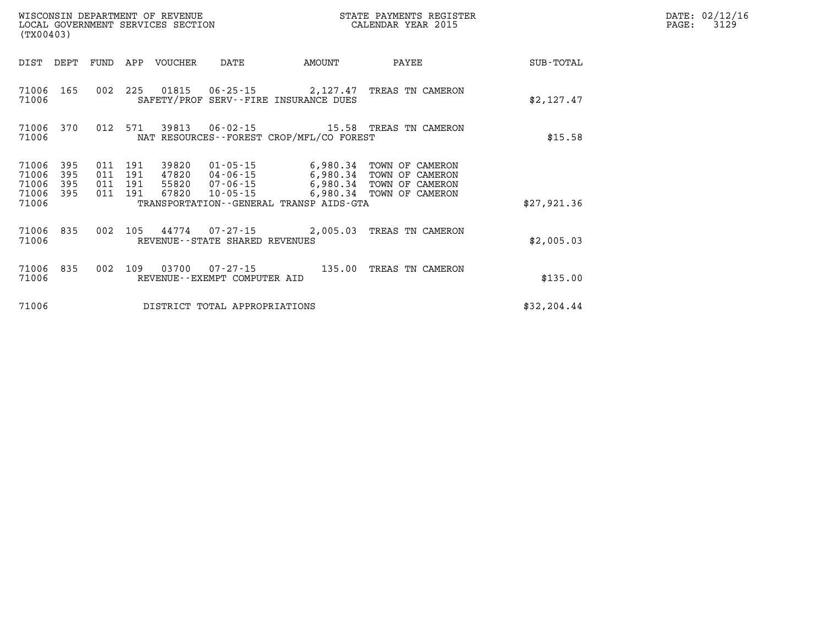| (TX00403)               |            |                    |     | WISCONSIN DEPARTMENT OF REVENUE<br>LOCAL GOVERNMENT SERVICES SECTION |                                   |                                              | STATE PAYMENTS REGISTER<br>CALENDAR YEAR 2015                                    |              | DATE: 02/12/16<br>3129<br>PAGE: |
|-------------------------|------------|--------------------|-----|----------------------------------------------------------------------|-----------------------------------|----------------------------------------------|----------------------------------------------------------------------------------|--------------|---------------------------------|
|                         |            |                    |     | DIST DEPT FUND APP VOUCHER                                           | DATE                              | <b>AMOUNT</b>                                | PAYEE                                                                            | SUB-TOTAL    |                                 |
| 71006 165<br>71006      |            |                    |     |                                                                      |                                   | SAFETY/PROF SERV--FIRE INSURANCE DUES        | 002 225 01815 06-25-15 2,127.47 TREAS TN CAMERON                                 | \$2,127.47   |                                 |
| 71006 370<br>71006      |            |                    |     |                                                                      |                                   | NAT RESOURCES--FOREST CROP/MFL/CO FOREST     | 012 571 39813 06-02-15 15.58 TREAS TN CAMERON                                    | \$15.58      |                                 |
| 71006<br>71006<br>71006 | 395<br>395 | 011<br>011 191     | 191 | 39820                                                                |                                   | 47820  04-06-15  6,980.34                    | 01-05-15 6,980.34 TOWN OF CAMERON<br>TOWN OF CAMERON                             |              |                                 |
| 71006 395<br>71006      | 395        | 011 191<br>011 191 |     | 67820                                                                |                                   | TRANSPORTATION - - GENERAL TRANSP AIDS - GTA | 55820  07-06-15   6,980.34  TOWN OF CAMERON<br>10-05-15 6,980.34 TOWN OF CAMERON | \$27,921.36  |                                 |
| 71006 835<br>71006      |            | 002                | 105 |                                                                      | REVENUE - - STATE SHARED REVENUES |                                              | 44774  07-27-15  2,005.03  TREAS TN CAMERON                                      | \$2,005.03   |                                 |
| 71006 835<br>71006      |            | 002                | 109 |                                                                      | REVENUE--EXEMPT COMPUTER AID      |                                              | 03700  07-27-15  135.00 TREAS TN CAMERON                                         | \$135.00     |                                 |
| 71006                   |            |                    |     |                                                                      | DISTRICT TOTAL APPROPRIATIONS     |                                              |                                                                                  | \$32, 204.44 |                                 |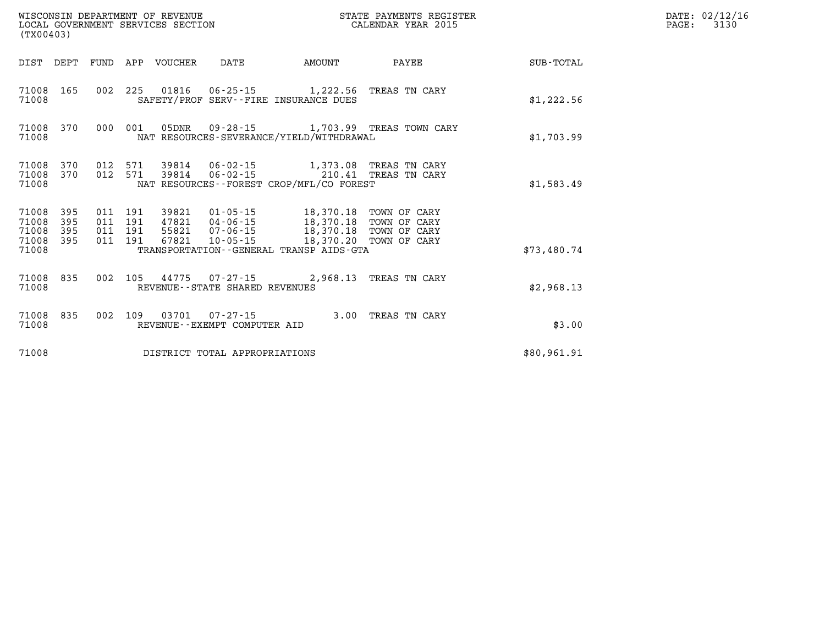| (TX00403)                                             |     |  |                                 | WISCONSIN DEPARTMENT OF REVENUE<br>LOCAL GOVERNMENT SERVICES SECTION |                                                                                                                                                                                                                                                | STATE PAYMENTS REGISTER<br>CALENDAR YEAR 2015 |             | $\mathtt{PAGE:}$ | DATE: 02/12/16<br>3130 |
|-------------------------------------------------------|-----|--|---------------------------------|----------------------------------------------------------------------|------------------------------------------------------------------------------------------------------------------------------------------------------------------------------------------------------------------------------------------------|-----------------------------------------------|-------------|------------------|------------------------|
|                                                       |     |  | DIST DEPT FUND APP VOUCHER DATE |                                                                      | <b>EXAMPLE THE PROPERTY OF AMOUNT</b>                                                                                                                                                                                                          | <b>PAYEE</b>                                  | SUB-TOTAL   |                  |                        |
| 71008 165<br>71008                                    |     |  |                                 |                                                                      | 002 225 01816 06-25-15 1,222.56 TREAS TN CARY<br>SAFETY/PROF SERV--FIRE INSURANCE DUES                                                                                                                                                         |                                               | \$1,222.56  |                  |                        |
| 71008 370<br>71008                                    |     |  | 000 001 05DNR                   |                                                                      | NAT RESOURCES-SEVERANCE/YIELD/WITHDRAWAL                                                                                                                                                                                                       | 09-28-15 1,703.99 TREAS TOWN CARY             | \$1,703.99  |                  |                        |
| 71008                                                 |     |  |                                 |                                                                      | $\begin{array}{cccccc} 71008 & 370 & 012 & 571 & 39814 & 06-02-15 & & 1,373.08 & \text{TREAS TN CARY} \\ 71008 & 370 & 012 & 571 & 39814 & 06-02-15 & & 210.41 & \text{TREAS TN CARY} \end{array}$<br>NAT RESOURCES--FOREST CROP/MFL/CO FOREST |                                               | \$1,583.49  |                  |                        |
| 71008 395<br>71008<br>71008 395<br>71008 395<br>71008 | 395 |  |                                 |                                                                      | 011 191 39821 01-05-15 18,370.18 TOWN OF CARY<br>011 191 47821 04-06-15 18,370.18 TOWN OF CARY<br>011 191 55821 07-06-15 18,370.18 TOWN OF CARY<br>011 191 67821 10-05-15 18,370.20 TOWN OF CARY<br>TRANSPORTATION--GENERAL TRANSP AIDS-GTA    |                                               | \$73,480.74 |                  |                        |
| 71008 835<br>71008                                    |     |  |                                 | REVENUE--STATE SHARED REVENUES                                       | 002 105 44775 07-27-15 2,968.13 TREAS TN CARY                                                                                                                                                                                                  |                                               | \$2,968.13  |                  |                        |
| 71008 835<br>71008                                    |     |  |                                 | REVENUE--EXEMPT COMPUTER AID                                         | 002 109 03701 07-27-15 3.00 TREAS TN CARY                                                                                                                                                                                                      |                                               | \$3.00      |                  |                        |
| 71008                                                 |     |  |                                 | DISTRICT TOTAL APPROPRIATIONS                                        |                                                                                                                                                                                                                                                |                                               | \$80,961.91 |                  |                        |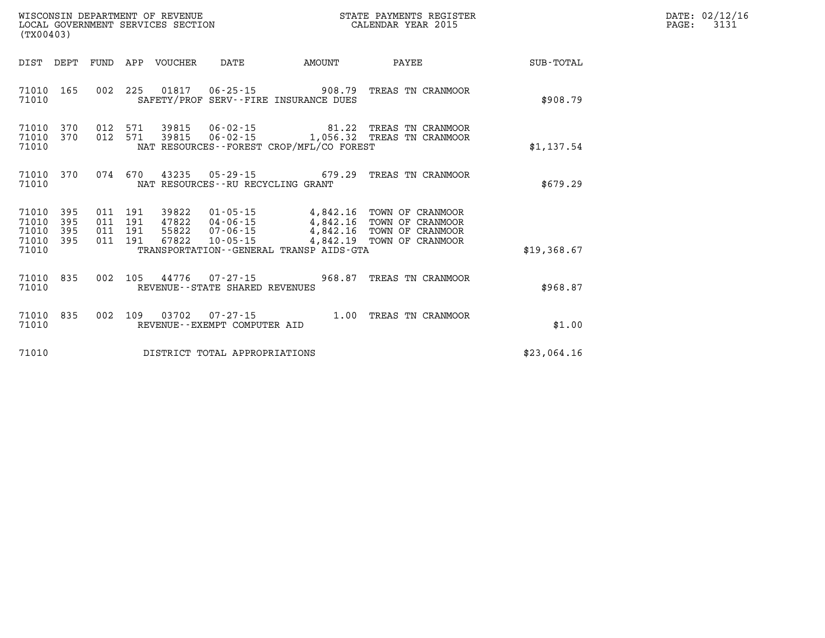| DATE: | 02/12/16 |
|-------|----------|
| PAGE: | 3131     |

| WISCONSIN DEPARTMENT OF REVENUE<br>LOCAL GOVERNMENT SERVICES SECTION<br>(TX00403) |                          |                          |                          |                                  |                                                                      |                                                                                         | STATE PAYMENTS REGISTER<br>CALENDAR YEAR 2015                                |             |
|-----------------------------------------------------------------------------------|--------------------------|--------------------------|--------------------------|----------------------------------|----------------------------------------------------------------------|-----------------------------------------------------------------------------------------|------------------------------------------------------------------------------|-------------|
| DIST                                                                              | DEPT                     | FUND                     | APP                      | VOUCHER DATE                     |                                                                      | <b>EXAMPLE THE PROPERTY OF AMOUNT</b>                                                   | PAYEE                                                                        | SUB-TOTAL   |
| 71010<br>71010                                                                    | 165                      | 002                      | 225                      |                                  |                                                                      | 01817 06-25-15 908.79<br>SAFETY/PROF SERV--FIRE INSURANCE DUES                          | TREAS TN CRANMOOR                                                            | \$908.79    |
| 71010<br>71010<br>71010                                                           | 370<br>370               | 012<br>012               | 571<br>571               |                                  |                                                                      | NAT RESOURCES - - FOREST CROP/MFL/CO FOREST                                             | TREAS TN CRANMOOR<br>TREAS TN CRANMOOR                                       | \$1,137.54  |
| 71010<br>71010                                                                    | 370                      | 074                      | 670                      | 43235                            | NAT RESOURCES - - RU RECYCLING GRANT                                 | $05 - 29 - 15$ 679.29                                                                   | TREAS TN CRANMOOR                                                            | \$679.29    |
| 71010<br>71010<br>71010<br>71010<br>71010                                         | 395<br>395<br>395<br>395 | 011<br>011<br>011<br>011 | 191<br>191<br>191<br>191 | 39822<br>47822<br>55822<br>67822 | $01 - 05 - 15$<br>$04 - 06 - 15$<br>$07 - 06 - 15$<br>$10 - 05 - 15$ | 4,842.16<br>4,842.16<br>4,842.16<br>4,842.19<br>TRANSPORTATION--GENERAL TRANSP AIDS-GTA | TOWN OF CRANMOOR<br>TOWN OF CRANMOOR<br>TOWN OF CRANMOOR<br>TOWN OF CRANMOOR | \$19,368.67 |
| 71010<br>71010                                                                    | 835                      | 002                      | 105                      | 44776                            | $07 - 27 - 15$<br>REVENUE - - STATE SHARED REVENUES                  | 968.87                                                                                  | TREAS TN CRANMOOR                                                            | \$968.87    |
| 71010<br>71010                                                                    | 835                      | 002                      | 109                      | 03702                            | $07 - 27 - 15$<br>REVENUE - - EXEMPT COMPUTER AID                    | 1.00                                                                                    | TREAS TN CRANMOOR                                                            | \$1.00      |
| 71010                                                                             |                          |                          |                          |                                  | DISTRICT TOTAL APPROPRIATIONS                                        |                                                                                         |                                                                              | \$23,064.16 |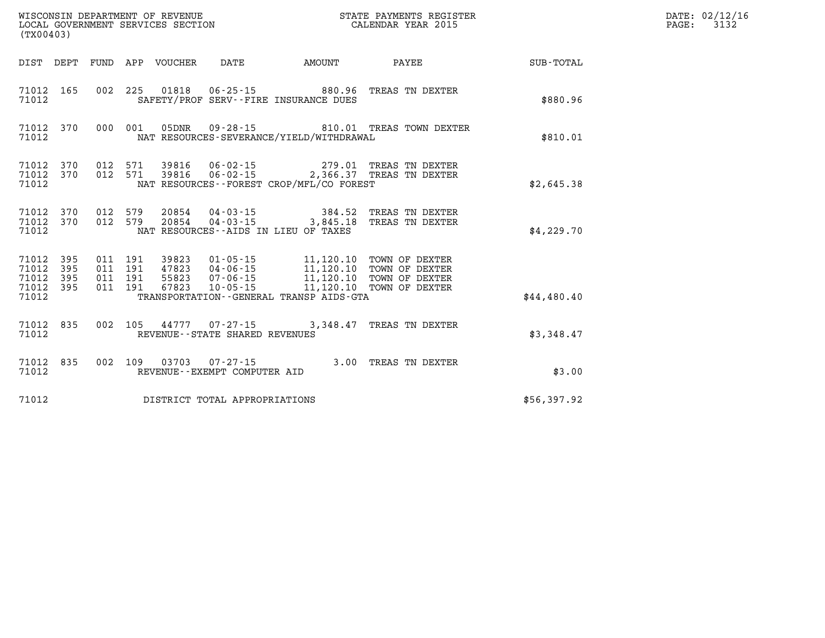|                                      | (TX00403)               |  |  |  |                                   |                                           |                                                                                                                                                                                                                                           |             | DATE: 02/12/16<br>$\mathtt{PAGE:}$<br>3132 |
|--------------------------------------|-------------------------|--|--|--|-----------------------------------|-------------------------------------------|-------------------------------------------------------------------------------------------------------------------------------------------------------------------------------------------------------------------------------------------|-------------|--------------------------------------------|
|                                      |                         |  |  |  |                                   |                                           | DIST DEPT FUND APP VOUCHER DATE AMOUNT PAYEE                                                                                                                                                                                              | SUB-TOTAL   |                                            |
| 71012                                | 71012 165               |  |  |  |                                   | SAFETY/PROF SERV--FIRE INSURANCE DUES     | 002 225 01818 06-25-15 880.96 TREAS TN DEXTER                                                                                                                                                                                             | \$880.96    |                                            |
| 71012                                | 71012 370               |  |  |  |                                   | NAT RESOURCES-SEVERANCE/YIELD/WITHDRAWAL  | 000 001 05DNR 09-28-15 810.01 TREAS TOWN DEXTER                                                                                                                                                                                           | \$810.01    |                                            |
| 71012                                |                         |  |  |  |                                   | NAT RESOURCES - FOREST CROP/MFL/CO FOREST | $\begin{array}{cccccc} 71012 & 370 & 012 & 571 & 39816 & 06\cdot 02\cdot 15 & & 279\cdot 01 & \text{TREAS TN DEXTER} \\ 71012 & 370 & 012 & 571 & 39816 & 06\cdot 02\cdot 15 & & 2\cdot 366\cdot 37 & \text{TREAS TN DEXTER} \end{array}$ | \$2,645.38  |                                            |
| 71012                                |                         |  |  |  |                                   | NAT RESOURCES--AIDS IN LIEU OF TAXES      | $\begin{array}{cccccc} 71012 & 370 & 012 & 579 & 20854 & 04-03-15 & & 384.52 & \text{TREAS TN DEXTER} \\ 71012 & 370 & 012 & 579 & 20854 & 04-03-15 & & 3,845.18 & \text{TREAS TN DEXTER} \end{array}$                                    | \$4,229.70  |                                            |
| 71012<br>71012<br>71012 395<br>71012 | 71012 395<br>395<br>395 |  |  |  |                                   | TRANSPORTATION--GENERAL TRANSP AIDS-GTA   | 011 191 39823 01-05-15 11,120.10 TOWN OF DEXTER<br>011 191 47823 04-06-15 11,120.10 TOWN OF DEXTER<br>011 191 55823 07-06-15 11,120.10 TOWN OF DEXTER<br>011 191 67823 10-05-15                                                           | \$44,480.40 |                                            |
| 71012                                | 71012 835               |  |  |  | REVENUE - - STATE SHARED REVENUES |                                           | 002 105 44777 07-27-15 3,348.47 TREAS TN DEXTER                                                                                                                                                                                           | \$3,348.47  |                                            |
| 71012                                | 71012 835               |  |  |  | REVENUE--EXEMPT COMPUTER AID      |                                           | 002 109 03703 07-27-15 3.00 TREAS TN DEXTER                                                                                                                                                                                               | \$3.00      |                                            |
| 71012                                |                         |  |  |  | DISTRICT TOTAL APPROPRIATIONS     |                                           |                                                                                                                                                                                                                                           | \$56,397.92 |                                            |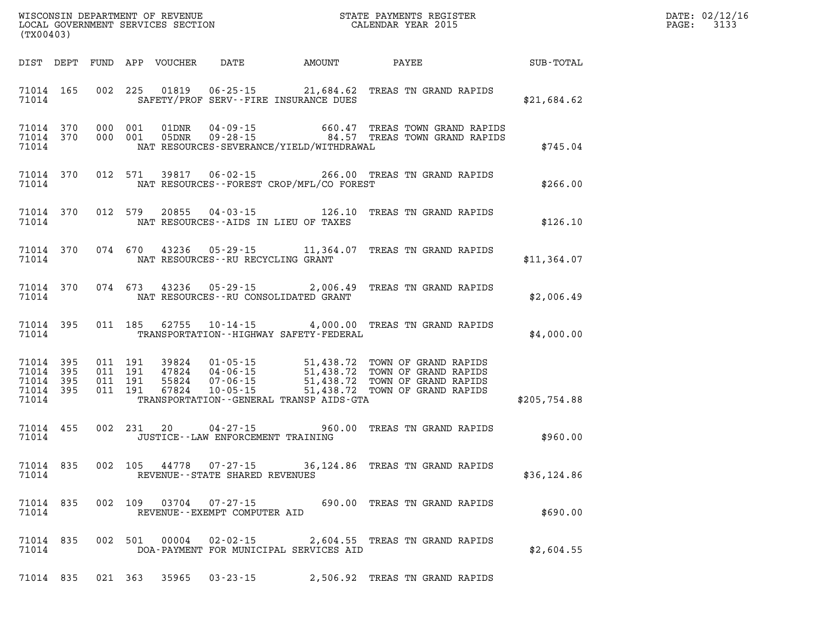| (TX00403)                                                 |                    |       |         |                                         | WISCONSIN DEPARTMENT OF REVENUE<br>LOCAL GOVERNMENT SERVICES SECTION<br>(my00403)                                                                                                                                                                                                |                                |              |              |  | DATE: 02/12/16<br>PAGE: 3133 |
|-----------------------------------------------------------|--------------------|-------|---------|-----------------------------------------|----------------------------------------------------------------------------------------------------------------------------------------------------------------------------------------------------------------------------------------------------------------------------------|--------------------------------|--------------|--------------|--|------------------------------|
| DIST DEPT                                                 |                    |       |         |                                         | FUND APP VOUCHER DATE AMOUNT PAYEE SUB-TOTAL                                                                                                                                                                                                                                     |                                |              |              |  |                              |
|                                                           | 71014 165          |       |         |                                         | 002 225 01819 06-25-15 21,684.62 TREAS TN GRAND RAPIDS<br>71014 SAFETY/PROF SERV--FIRE INSURANCE DUES                                                                                                                                                                            |                                |              | \$21,684.62  |  |                              |
|                                                           | 71014              |       |         |                                         | 71014 370 000 001 01DNR 04-09-15 660.47 TREAS TOWN GRAND RAPIDS<br>71014 370 000 001 05DNR 09-28-15 84.57 TREAS TOWN GRAND RAPIDS<br>NAT RESOURCES-SEVERANCE/YIELD/WITHDRAWAL                                                                                                    |                                |              | \$745.04     |  |                              |
|                                                           | 71014 370<br>71014 |       |         |                                         | 012 571 39817 06-02-15 266.00 TREAS TN GRAND RAPIDS<br>NAT RESOURCES - - FOREST CROP/MFL/CO FOREST                                                                                                                                                                               |                                |              | \$266.00     |  |                              |
|                                                           |                    | 71014 |         |                                         | 71014 370 012 579 20855 04-03-15 126.10 TREAS TN GRAND RAPIDS<br>NAT RESOURCES--AIDS IN LIEU OF TAXES                                                                                                                                                                            |                                |              | \$126.10     |  |                              |
|                                                           |                    |       |         | 71014 NAT RESOURCES--RU RECYCLING GRANT | 71014 370 074 670 43236 05-29-15 11,364.07 TREAS TN GRAND RAPIDS                                                                                                                                                                                                                 |                                |              | \$11,364.07  |  |                              |
|                                                           |                    |       |         |                                         | 71014 370 074 673 43236 05-29-15 2,006.49 TREAS TN GRAND RAPIDS<br>71014 MAT RESOURCES--RU CONSOLIDATED GRANT                                                                                                                                                                    |                                |              | \$2,006.49   |  |                              |
|                                                           | 71014 395          |       |         |                                         | 011 185 62755 10-14-15 4,000.00 TREAS TN GRAND RAPIDS<br>71014 TRANSPORTATION - HIGHWAY SAFETY - FEDERAL                                                                                                                                                                         |                                |              | \$4,000.00   |  |                              |
| 71014 395<br>71014 395<br>71014 395<br>71014 395<br>71014 |                    |       |         |                                         | 011 191 39824 01-05-15 51,438.72 TOWN OF GRAND RAPIDS<br>011 191 47824 04-06-15 51,438.72 TOWN OF GRAND RAPIDS<br>011 191 55824 10-05-15 51,438.72 TOWN OF GRAND RAPIDS<br>011 191 67824 10-05-15 51,438.72 TOWN OF GRAND RAPIDS<br>TRANSPORTATION - - GENERAL TRANSP AIDS - GTA |                                |              | \$205,754.88 |  |                              |
|                                                           | 71014 455<br>71014 |       |         | JUSTICE--LAW ENFORCEMENT TRAINING       | 002 231 20 04-27-15 960.00 TREAS TN GRAND RAPIDS                                                                                                                                                                                                                                 |                                |              | \$960.00     |  |                              |
| 71014 835<br>71014                                        |                    |       |         | REVENUE--STATE SHARED REVENUES          | 002 105 44778 07-27-15 36,124.86 TREAS TN GRAND RAPIDS                                                                                                                                                                                                                           |                                | \$36, 124.86 |              |  |                              |
| 71014 835<br>71014                                        |                    |       |         | REVENUE--EXEMPT COMPUTER AID            | 002 109 03704 07-27-15 690.00 TREAS TN GRAND RAPIDS                                                                                                                                                                                                                              |                                |              | \$690.00     |  |                              |
| 71014 835<br>71014                                        |                    |       |         |                                         | 002 501 00004 02-02-15 2,604.55 TREAS TN GRAND RAPIDS<br>DOA-PAYMENT FOR MUNICIPAL SERVICES AID                                                                                                                                                                                  |                                |              | \$2,604.55   |  |                              |
|                                                           | 71014 835          |       | 021 363 | 35965 03-23-15                          |                                                                                                                                                                                                                                                                                  | 2,506.92 TREAS TN GRAND RAPIDS |              |              |  |                              |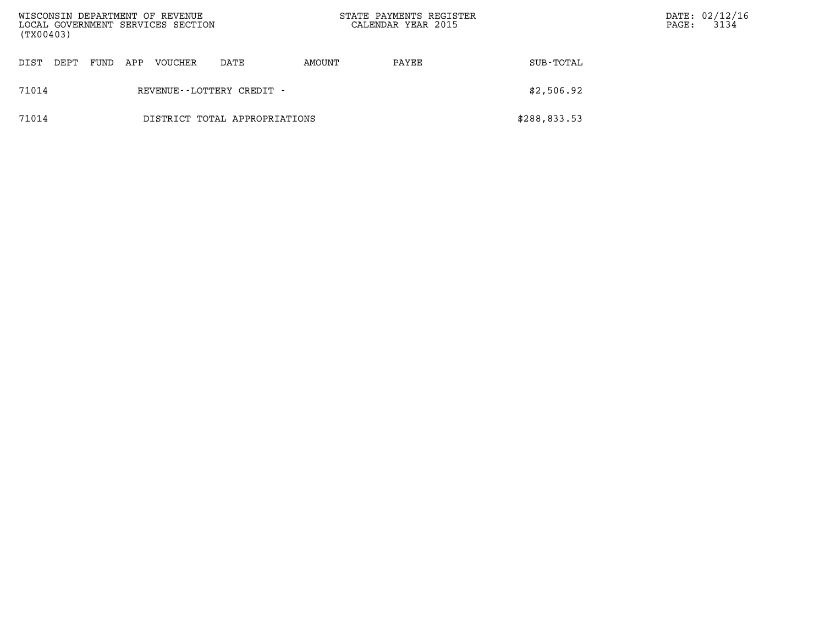| WISCONSIN DEPARTMENT OF REVENUE<br>LOCAL GOVERNMENT SERVICES SECTION<br>(TX00403) |      |      |     |         |                               | STATE PAYMENTS REGISTER<br>CALENDAR YEAR 2015 |       |              | PAGE: | DATE: 02/12/16<br>3134 |
|-----------------------------------------------------------------------------------|------|------|-----|---------|-------------------------------|-----------------------------------------------|-------|--------------|-------|------------------------|
| DIST                                                                              | DEPT | FUND | APP | VOUCHER | DATE                          | AMOUNT                                        | PAYEE | SUB-TOTAL    |       |                        |
| 71014                                                                             |      |      |     |         | REVENUE - - LOTTERY CREDIT -  |                                               |       | \$2,506.92   |       |                        |
| 71014                                                                             |      |      |     |         | DISTRICT TOTAL APPROPRIATIONS |                                               |       | \$288,833.53 |       |                        |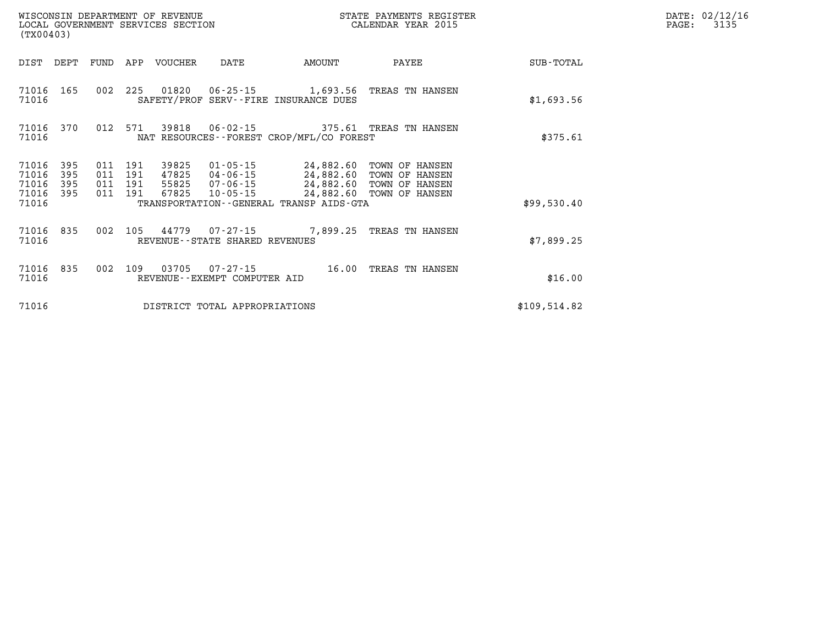| WISCONSIN DEPARTMENT OF REVENUE<br>STATE PAYMENTS REGISTER<br>CALENDAR YEAR 2015<br>LOCAL GOVERNMENT SERVICES SECTION<br>(TX00403) |            |            |            |                |                                                     |                                                    |                                  |                  |
|------------------------------------------------------------------------------------------------------------------------------------|------------|------------|------------|----------------|-----------------------------------------------------|----------------------------------------------------|----------------------------------|------------------|
| DIST                                                                                                                               | DEPT       | FUND       | APP        | <b>VOUCHER</b> | DATE                                                | <b>AMOUNT</b>                                      | PAYEE                            | <b>SUB-TOTAL</b> |
| 71016<br>71016                                                                                                                     | 165        | 002        | 225        | 01820          | $06 - 25 - 15$                                      | 1,693.56<br>SAFETY/PROF SERV--FIRE INSURANCE DUES  | TREAS TN HANSEN                  | \$1,693.56       |
| 71016<br>71016                                                                                                                     | 370        | 012        | 571        | 39818          | $06 - 02 - 15$                                      | 375.61<br>NAT RESOURCES--FOREST CROP/MFL/CO FOREST | TREAS TN HANSEN                  | \$375.61         |
| 71016<br>71016                                                                                                                     | 395<br>395 | 011<br>011 | 191<br>191 | 39825<br>47825 | $01 - 05 - 15$<br>04-06-15                          | 24,882.60<br>24,882.60                             | TOWN OF HANSEN<br>TOWN OF HANSEN |                  |
| 71016<br>71016                                                                                                                     | 395<br>395 | 011<br>011 | 191<br>191 | 55825<br>67825 | 07-06-15<br>$10 - 05 - 15$                          | 24,882.60<br>24,882.60                             | TOWN OF HANSEN<br>TOWN OF HANSEN |                  |
| 71016                                                                                                                              |            |            |            |                |                                                     | TRANSPORTATION - - GENERAL TRANSP AIDS - GTA       |                                  | \$99,530.40      |
| 71016<br>71016                                                                                                                     | 835        | 002        | 105        | 44779          | $07 - 27 - 15$<br>REVENUE - - STATE SHARED REVENUES | 7,899.25                                           | TREAS TN HANSEN                  | \$7,899.25       |
| 71016<br>71016                                                                                                                     | 835        | 002        | 109        | 03705          | $07 - 27 - 15$<br>REVENUE - - EXEMPT COMPUTER AID   | 16.00                                              | TREAS TN HANSEN                  | \$16.00          |
| 71016                                                                                                                              |            |            |            |                | DISTRICT TOTAL APPROPRIATIONS                       |                                                    |                                  | \$109,514.82     |

**DATE: 02/12/16<br>PAGE: 3135**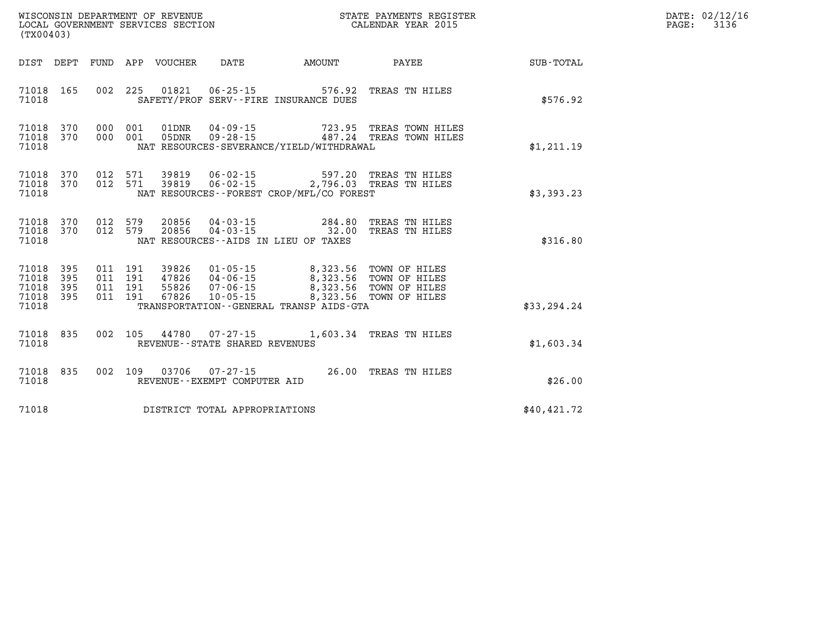| WISCONSIN DEPARTMENT OF REVENUE        | STATE PAYMENTS REGISTER |       | DATE: 02/12/16 |
|----------------------------------------|-------------------------|-------|----------------|
| LOCAL GOVERNMENT SERVICES SECTION<br>. | CALENDAR YEAR 2015      | PAGE: | 3136           |

| (TX00403)                                                             |                          |                                                              |                                                                                                                 |                                              |                                                                  |                  |
|-----------------------------------------------------------------------|--------------------------|--------------------------------------------------------------|-----------------------------------------------------------------------------------------------------------------|----------------------------------------------|------------------------------------------------------------------|------------------|
| DEPT<br>DIST                                                          | <b>FUND</b>              | APP<br>VOUCHER                                               | <b>DATE</b>                                                                                                     | AMOUNT                                       | PAYEE                                                            | <b>SUB-TOTAL</b> |
| 71018<br>165<br>71018                                                 | 002                      | 225<br>01821                                                 | $06 - 25 - 15$<br>SAFETY/PROF SERV--FIRE INSURANCE DUES                                                         | 576.92                                       | TREAS TN HILES                                                   | \$576.92         |
| 71018<br>370<br>71018<br>370<br>71018                                 | 000<br>000               | 001<br>01DNR<br>001<br>05DNR                                 | 04-09-15<br>$09 - 28 - 15$<br>NAT RESOURCES-SEVERANCE/YIELD/WITHDRAWAL                                          | 723.95<br>487.24                             | TREAS TOWN HILES<br>TREAS TOWN HILES                             | \$1,211.19       |
| 370<br>71018<br>71018<br>370<br>71018                                 | 012<br>012               | 571<br>39819<br>571<br>39819                                 | $06 - 02 - 15$<br>$06 - 02 - 15$<br>NAT RESOURCES -- FOREST CROP/MFL/CO FOREST                                  | 597.20<br>2,796.03                           | TREAS TN HILES<br>TREAS TN HILES                                 | \$3,393.23       |
| 71018<br>370<br>71018<br>370<br>71018                                 | 012<br>012               | 579<br>20856<br>579<br>20856                                 | $04 - 03 - 15$<br>04-03-15<br>NAT RESOURCES -- AIDS IN LIEU OF TAXES                                            | 284.80<br>32.00                              | TREAS TN HILES<br>TREAS TN HILES                                 | \$316.80         |
| 71018<br>395<br>71018<br>395<br>71018<br>395<br>71018<br>395<br>71018 | 011<br>011<br>011<br>011 | 39826<br>191<br>191<br>47826<br>191<br>55826<br>191<br>67826 | $01 - 05 - 15$<br>$04 - 06 - 15$<br>$07 - 06 - 15$<br>$10 - 05 - 15$<br>TRANSPORTATION--GENERAL TRANSP AIDS-GTA | 8,323.56<br>8,323.56<br>8,323.56<br>8,323.56 | TOWN OF HILES<br>TOWN OF HILES<br>TOWN OF HILES<br>TOWN OF HILES | \$33, 294.24     |
| 71018<br>835<br>71018                                                 | 002                      | 105<br>44780                                                 | $07 - 27 - 15$<br>REVENUE - - STATE SHARED REVENUES                                                             | 1,603.34                                     | TREAS TN HILES                                                   | \$1,603.34       |
| 71018<br>835<br>71018                                                 | 002                      | 109<br>03706                                                 | $07 - 27 - 15$<br>REVENUE - - EXEMPT COMPUTER AID                                                               | 26.00                                        | TREAS TN HILES                                                   | \$26.00          |
| 71018                                                                 |                          |                                                              | DISTRICT TOTAL APPROPRIATIONS                                                                                   |                                              |                                                                  | \$40, 421.72     |

WISCONSIN DEPARTMENT OF REVENUE **STATE PAYMENTS REGISTER**<br>LOCAL GOVERNMENT SERVICES SECTION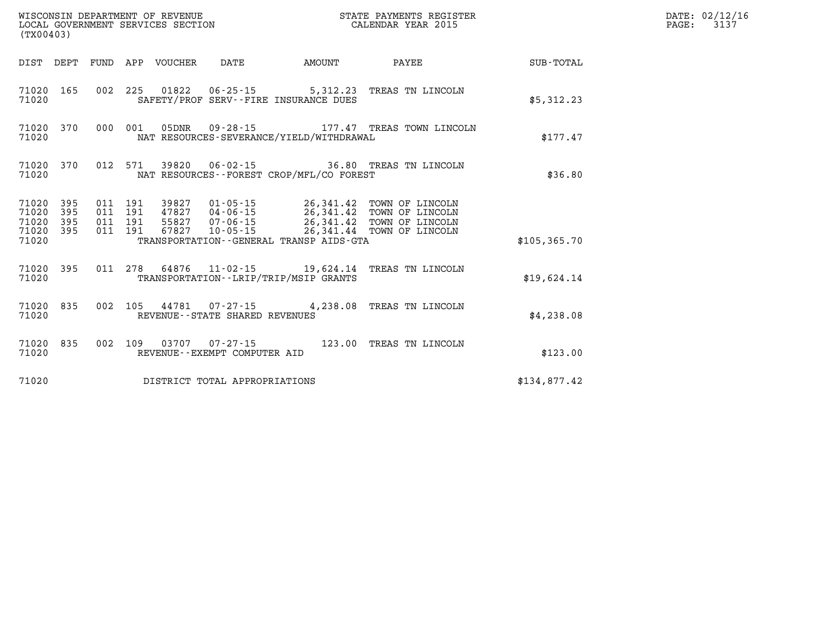|                                               | (TX00403)         |  |  |                                 |                                |                                             |                                                                                                                                                                                                                                                                                                                                          | DATE: 02/12/16<br>$\mathtt{PAGE}$ :<br>3137 |  |
|-----------------------------------------------|-------------------|--|--|---------------------------------|--------------------------------|---------------------------------------------|------------------------------------------------------------------------------------------------------------------------------------------------------------------------------------------------------------------------------------------------------------------------------------------------------------------------------------------|---------------------------------------------|--|
|                                               |                   |  |  | DIST DEPT FUND APP VOUCHER DATE |                                | <b>AMOUNT</b>                               | <b>PAYEE</b>                                                                                                                                                                                                                                                                                                                             | SUB-TOTAL                                   |  |
| 71020 165<br>71020                            |                   |  |  |                                 |                                | SAFETY/PROF SERV--FIRE INSURANCE DUES       | 002 225 01822 06-25-15 5,312.23 TREAS TN LINCOLN                                                                                                                                                                                                                                                                                         | \$5,312.23                                  |  |
| 71020 370<br>71020                            |                   |  |  |                                 |                                | NAT RESOURCES-SEVERANCE/YIELD/WITHDRAWAL    | 000 001 05DNR 09-28-15 177.47 TREAS TOWN LINCOLN                                                                                                                                                                                                                                                                                         | \$177.47                                    |  |
| 71020 370<br>71020                            |                   |  |  |                                 |                                | NAT RESOURCES - - FOREST CROP/MFL/CO FOREST | 012 571 39820 06-02-15 36.80 TREAS TN LINCOLN                                                                                                                                                                                                                                                                                            | \$36.80                                     |  |
| 71020<br>71020<br>71020<br>71020 395<br>71020 | 395<br>395<br>395 |  |  |                                 |                                | TRANSPORTATION--GENERAL TRANSP AIDS-GTA     | $\begin{array}{cccc} 011 & 191 & 39827 & 01\cdot 05\cdot 15 & 26\,, 341\,.42 & \textrm{TOWN OF LINCOLN} \\ 011 & 191 & 47827 & 04\cdot 06\cdot 15 & 26\,, 341\,.42 & \textrm{TOWN OF LINCOLN} \\ 011 & 191 & 55827 & 07\cdot 06\cdot 15 & 26\,, 341\,.42 & \textrm{TOWN OF LINCOLN} \\ 011 & 191 & 67827 & 10\cdot 05\cdot 15 & 26\,, 3$ | \$105, 365.70                               |  |
| 71020<br>71020                                | 395               |  |  |                                 |                                | TRANSPORTATION - - LRIP/TRIP/MSIP GRANTS    | 011 278 64876 11-02-15 19,624.14 TREAS TN LINCOLN                                                                                                                                                                                                                                                                                        | \$19,624.14                                 |  |
| 71020 835<br>71020                            |                   |  |  |                                 | REVENUE--STATE SHARED REVENUES |                                             | 002 105 44781 07-27-15 4,238.08 TREAS TN LINCOLN                                                                                                                                                                                                                                                                                         | \$4,238.08                                  |  |
| 71020<br>71020                                | 835               |  |  |                                 | REVENUE--EXEMPT COMPUTER AID   |                                             | 002 109 03707 07-27-15 123.00 TREAS TN LINCOLN                                                                                                                                                                                                                                                                                           | \$123.00                                    |  |
| 71020                                         |                   |  |  |                                 | DISTRICT TOTAL APPROPRIATIONS  |                                             |                                                                                                                                                                                                                                                                                                                                          | \$134,877.42                                |  |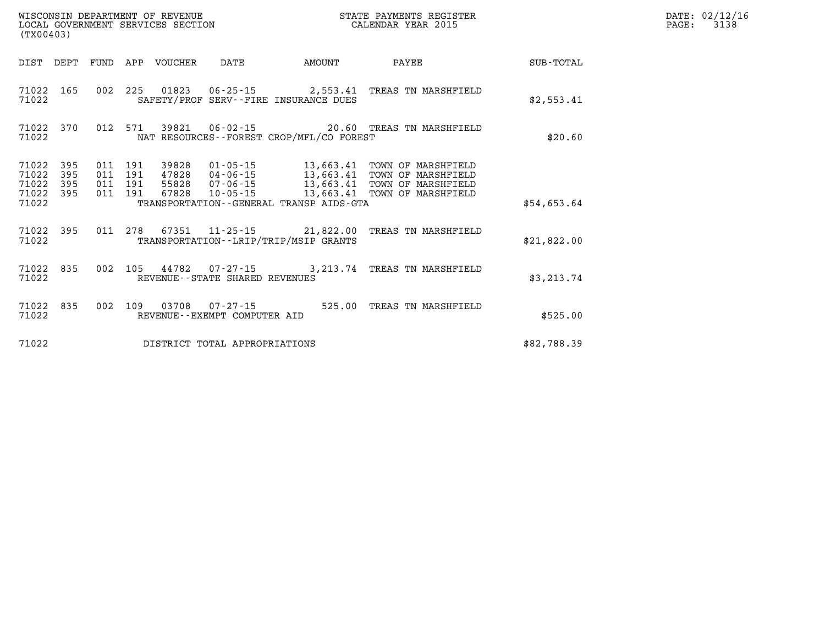| (TX00403) | LOCAL GOVERNMENT SERVICES SECTION |  |  |                                 | CALENDAR YEAR 2015             |                                                                                                                                                                                                                                                                                                                                                                                    |              |  | PAGE:       | 3138 |  |
|-----------|-----------------------------------|--|--|---------------------------------|--------------------------------|------------------------------------------------------------------------------------------------------------------------------------------------------------------------------------------------------------------------------------------------------------------------------------------------------------------------------------------------------------------------------------|--------------|--|-------------|------|--|
|           |                                   |  |  | DIST DEPT FUND APP VOUCHER DATE |                                | AMOUNT                                                                                                                                                                                                                                                                                                                                                                             | <b>PAYEE</b> |  | SUB-TOTAL   |      |  |
| 71022     |                                   |  |  |                                 |                                | 71022 165 002 225 01823 06-25-15 2,553.41 TREAS TN MARSHFIELD<br>SAFETY/PROF SERV--FIRE INSURANCE DUES                                                                                                                                                                                                                                                                             |              |  | \$2,553.41  |      |  |
| 71022     |                                   |  |  |                                 |                                | 71022 370 012 571 39821 06-02-15 20.60 TREAS TN MARSHFIELD<br>NAT RESOURCES - - FOREST CROP/MFL/CO FOREST                                                                                                                                                                                                                                                                          |              |  | \$20.60     |      |  |
| 71022     |                                   |  |  |                                 |                                | $\begin{array}{cccccc} 71022 & 395 & 011 & 191 & 39828 & 01\cdot 05\cdot 15 & 13,663.41 & \text{TOWN OF MARKFIELD} \\ 71022 & 395 & 011 & 191 & 47828 & 04\cdot 06\cdot 15 & 13,663.41 & \text{TOWN OF MARKFIELD} \\ 71022 & 395 & 011 & 191 & 55828 & 07\cdot 06\cdot 15 & 13,663.41 & \text{TOWN OF MARKSHFIELD} \\ 71022 & 395 & 01$<br>TRANSPORTATION--GENERAL TRANSP AIDS-GTA |              |  | \$54,653.64 |      |  |
| 71022     |                                   |  |  |                                 |                                | 71022 395 011 278 67351 11-25-15 21,822.00 TREAS TN MARSHFIELD<br>TRANSPORTATION--LRIP/TRIP/MSIP GRANTS                                                                                                                                                                                                                                                                            |              |  | \$21,822.00 |      |  |
| 71022     |                                   |  |  |                                 | REVENUE--STATE SHARED REVENUES | 71022 835 002 105 44782 07-27-15 3,213.74 TREAS TN MARSHFIELD                                                                                                                                                                                                                                                                                                                      |              |  | \$3,213.74  |      |  |
| 71022     |                                   |  |  |                                 | REVENUE--EXEMPT COMPUTER AID   | 71022 835 002 109 03708 07-27-15 525.00 TREAS TN MARSHFIELD                                                                                                                                                                                                                                                                                                                        |              |  | \$525.00    |      |  |
| 71022     |                                   |  |  |                                 | DISTRICT TOTAL APPROPRIATIONS  |                                                                                                                                                                                                                                                                                                                                                                                    |              |  | \$82,788.39 |      |  |

**WISCONSIN DEPARTMENT OF REVENUE STATE PAYMENTS REGISTER DATE: 02/12/16**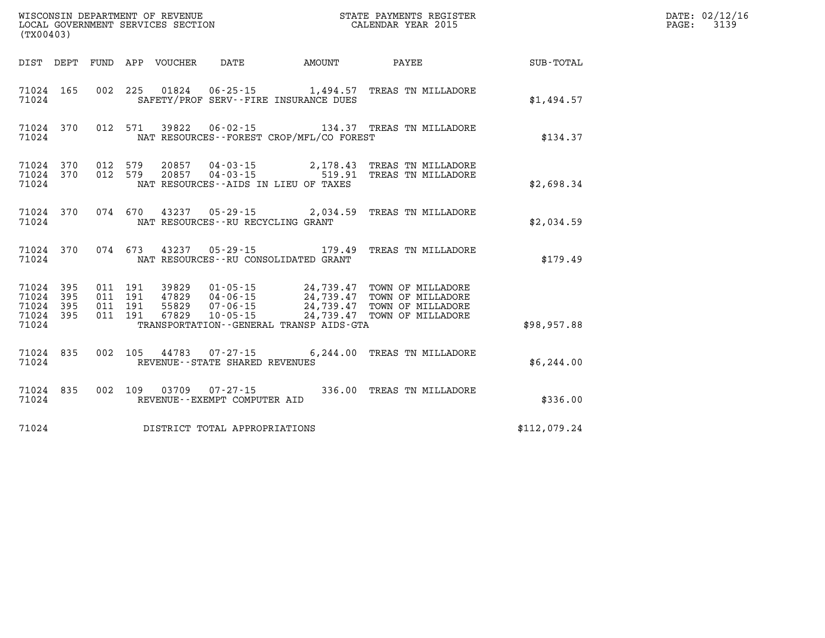|                         | WISCONSIN DEPARTMENT OF REVENUE<br>LOCAL GOVERNMENT SERVICES SECTION<br>(TX00403) |  |  |                                 | STATE PAYMENTS REGISTER<br>CALENDAR YEAR 2015 |                                          |                                                                                                                                                                                                                           | DATE: 02/12/16<br>PAGE: 3139 |  |
|-------------------------|-----------------------------------------------------------------------------------|--|--|---------------------------------|-----------------------------------------------|------------------------------------------|---------------------------------------------------------------------------------------------------------------------------------------------------------------------------------------------------------------------------|------------------------------|--|
|                         |                                                                                   |  |  | DIST DEPT FUND APP VOUCHER DATE |                                               |                                          | AMOUNT PAYEE SUB-TOTAL                                                                                                                                                                                                    |                              |  |
| 71024                   | 71024 165                                                                         |  |  |                                 |                                               | SAFETY/PROF SERV--FIRE INSURANCE DUES    | 002 225 01824 06-25-15 1,494.57 TREAS TN MILLADORE                                                                                                                                                                        | \$1,494.57                   |  |
| 71024                   |                                                                                   |  |  |                                 |                                               | NAT RESOURCES--FOREST CROP/MFL/CO FOREST | 71024 370 012 571 39822 06-02-15 134.37 TREAS TN MILLADORE                                                                                                                                                                | \$134.37                     |  |
| 71024                   |                                                                                   |  |  |                                 |                                               | NAT RESOURCES--AIDS IN LIEU OF TAXES     | $\begin{array}{cccccc} 71024 & 370 & 012 & 579 & 20857 & 04-03-15 & & 2,178.43 & \text{TREAS TN MILLADORE} \\ 71024 & 370 & 012 & 579 & 20857 & 04-03-15 & & 519.91 & \text{TREAS TN MILLADORE} \end{array}$              | \$2,698.34                   |  |
| 71024                   |                                                                                   |  |  |                                 | NAT RESOURCES--RU RECYCLING GRANT             |                                          | 71024 370 074 670 43237 05-29-15 2,034.59 TREAS TN MILLADORE                                                                                                                                                              | \$2,034.59                   |  |
| 71024                   |                                                                                   |  |  |                                 |                                               | NAT RESOURCES--RU CONSOLIDATED GRANT     | 71024 370 074 673 43237 05-29-15 179.49 TREAS TN MILLADORE                                                                                                                                                                | \$179.49                     |  |
| 71024<br>71024<br>71024 | 71024 395<br>395<br>- 395<br>71024 395                                            |  |  |                                 |                                               | TRANSPORTATION--GENERAL TRANSP AIDS-GTA  | 011  191  39829  01-05-15  24,739.47  TOWN OF MILLADORE<br>011 191 47829 04-06-15 24,739.47 TOWN OF MILLADORE<br>011 191 55829 07-06-15 24,739.47 TOWN OF MILLADORE<br>011 191 67829 10-05-15 24,739.47 TOWN OF MILLADORE | \$98,957.88                  |  |
| 71024                   | 71024 835                                                                         |  |  |                                 | REVENUE--STATE SHARED REVENUES                |                                          | 002 105 44783 07-27-15 6,244.00 TREAS TN MILLADORE                                                                                                                                                                        | \$6,244.00                   |  |
| 71024                   |                                                                                   |  |  |                                 | REVENUE--EXEMPT COMPUTER AID                  |                                          | 71024 835 002 109 03709 07-27-15 336.00 TREAS TN MILLADORE                                                                                                                                                                | \$336.00                     |  |
| 71024                   |                                                                                   |  |  |                                 | DISTRICT TOTAL APPROPRIATIONS                 |                                          |                                                                                                                                                                                                                           | \$112,079.24                 |  |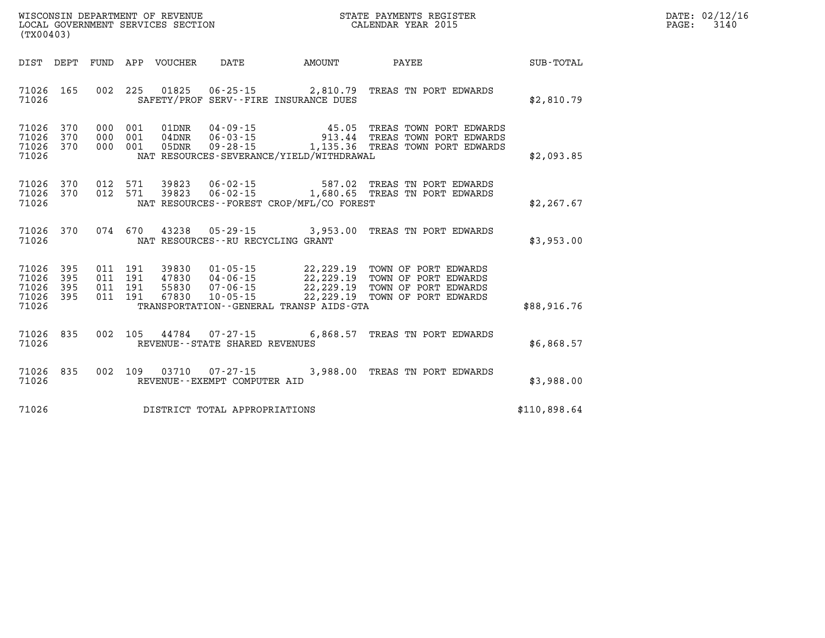| $\mathtt{DATE}$ : | 02/12/16 |
|-------------------|----------|
| PAGE:             | 3140     |

| (TX00403)                                                                                         |                                                                                                                                                                                 |                         |                                                                                                                    |              |
|---------------------------------------------------------------------------------------------------|---------------------------------------------------------------------------------------------------------------------------------------------------------------------------------|-------------------------|--------------------------------------------------------------------------------------------------------------------|--------------|
| DIST<br>DEPT<br>FUND                                                                              | APP<br>VOUCHER<br>DATE                                                                                                                                                          | AMOUNT                  | PAYEE                                                                                                              | SUB-TOTAL    |
| 002<br>71026<br>165<br>71026                                                                      | 225<br>01825<br>SAFETY/PROF SERV--FIRE INSURANCE DUES                                                                                                                           |                         | 06-25-15 2,810.79 TREAS TN PORT EDWARDS                                                                            | \$2,810.79   |
| 71026<br>370<br>000<br>370<br>71026<br>000<br>71026<br>370<br>000<br>71026                        | 04-09-15<br>001<br>01DNR<br>$06 - 03 - 15$<br>001<br>$04$ DNR<br>$09 - 28 - 15$<br>001<br>05DNR<br>NAT RESOURCES-SEVERANCE/YIELD/WITHDRAWAL                                     | 45.05<br>913.44         | TREAS TOWN PORT EDWARDS<br>TREAS TOWN PORT EDWARDS<br>1,135.36 TREAS TOWN PORT EDWARDS                             | \$2,093.85   |
| 71026<br>012<br>370<br>012<br>71026<br>370<br>71026                                               | 571<br>39823<br>$06 - 02 - 15$<br>571<br>$06 - 02 - 15$<br>39823<br>NAT RESOURCES--FOREST CROP/MFL/CO FOREST                                                                    | 587.02                  | TREAS TN PORT EDWARDS<br>1,680.65 TREAS TN PORT EDWARDS                                                            | \$2, 267.67  |
| 71026<br>370<br>71026                                                                             | 074 670<br>43238<br>$05 - 29 - 15$<br>NAT RESOURCES - - RU RECYCLING GRANT                                                                                                      | 3,953,00                | TREAS TN PORT EDWARDS                                                                                              | \$3,953.00   |
| 71026<br>395<br>011<br>71026<br>395<br>011<br>71026<br>395<br>011<br>71026<br>395<br>011<br>71026 | 191<br>39830<br>$01 - 05 - 15$<br>191<br>47830<br>$04 - 06 - 15$<br>191<br>55830<br>$07 - 06 - 15$<br>191<br>67830<br>$10 - 05 - 15$<br>TRANSPORTATION--GENERAL TRANSP AIDS-GTA | 22,229.19<br>22, 229.19 | 22, 229.19 TOWN OF PORT EDWARDS<br>22, 229.19 TOWN OF PORT EDWARDS<br>TOWN OF PORT EDWARDS<br>TOWN OF PORT EDWARDS | \$88,916.76  |
| 002<br>71026<br>835<br>71026                                                                      | 105<br>44784<br>REVENUE - - STATE SHARED REVENUES                                                                                                                               | $07 - 27 - 15$ 6,868.57 | TREAS TN PORT EDWARDS                                                                                              | \$6,868.57   |
| 002<br>71026<br>835<br>71026                                                                      | 109<br>03710<br>$07 - 27 - 15$<br>REVENUE - - EXEMPT COMPUTER AID                                                                                                               | 3,988.00                | TREAS TN PORT EDWARDS                                                                                              | \$3,988.00   |
| 71026                                                                                             | DISTRICT TOTAL APPROPRIATIONS                                                                                                                                                   |                         |                                                                                                                    | \$110,898.64 |

WISCONSIN DEPARTMENT OF REVENUE **STATE PAYMENTS REGISTER**<br>LOCAL GOVERNMENT SERVICES SECTION

LOCAL GOVERNMENT SERVICES SECTION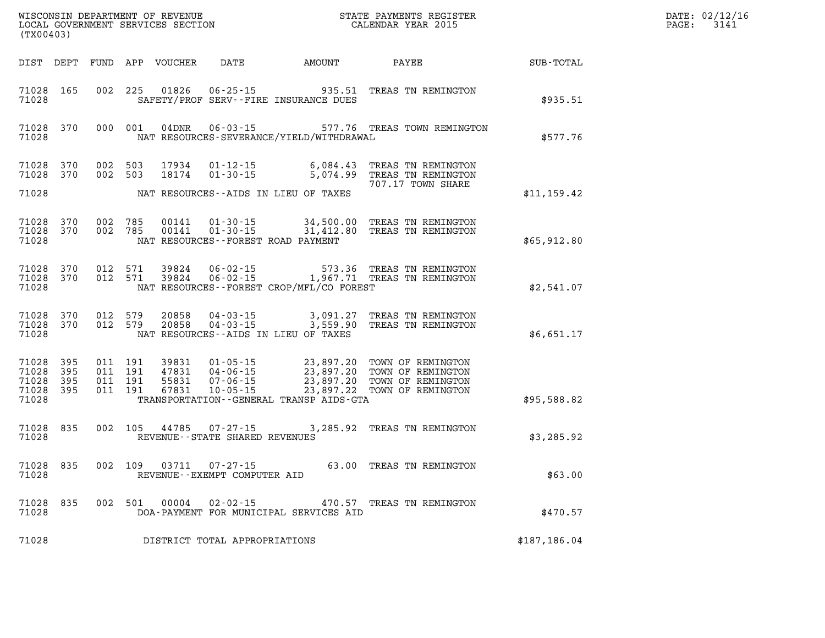| (TX00403)                        |                                  |                                          |               |                                                          |                                          |                                                                                                                                                                                                  |              | DATE: 02/12/16<br>PAGE: 3141 |
|----------------------------------|----------------------------------|------------------------------------------|---------------|----------------------------------------------------------|------------------------------------------|--------------------------------------------------------------------------------------------------------------------------------------------------------------------------------------------------|--------------|------------------------------|
|                                  |                                  |                                          |               |                                                          |                                          |                                                                                                                                                                                                  | SUB-TOTAL    |                              |
| 71028                            | 71028 165                        |                                          |               |                                                          | SAFETY/PROF SERV--FIRE INSURANCE DUES    | 002 225 01826 06-25-15 935.51 TREAS TN REMINGTON                                                                                                                                                 | \$935.51     |                              |
| 71028                            | 71028 370                        |                                          |               |                                                          | NAT RESOURCES-SEVERANCE/YIELD/WITHDRAWAL | 000 001 04DNR 06-03-15 577.76 TREAS TOWN REMINGTON                                                                                                                                               | \$577.76     |                              |
| 71028                            | 71028 370<br>370                 | 002 503                                  |               | 18174  01-30-15                                          |                                          | 002 503 17934 01-12-15 6,084.43 TREAS TN REMINGTON<br>5,074.99 TREAS TN REMINGTON<br>707.17 TOWN SHARE                                                                                           |              |                              |
| 71028                            |                                  |                                          |               |                                                          | NAT RESOURCES--AIDS IN LIEU OF TAXES     |                                                                                                                                                                                                  | \$11,159.42  |                              |
| 71028                            | 71028 370<br>71028 370           |                                          |               | NAT RESOURCES--FOREST ROAD PAYMENT                       |                                          | 002 785 00141 01-30-15 34,500.00 TREAS TN REMINGTON<br>002 785 00141 01-30-15 31,412.80 TREAS TN REMINGTON                                                                                       | \$65,912.80  |                              |
| 71028                            | 71028 370                        |                                          |               | 71028 370 012 571 39824 06-02-15                         | NAT RESOURCES--FOREST CROP/MFL/CO FOREST | 573.36 TREAS TN REMINGTON<br>012 571 59824 06-02-15 1,967.71 TREAS TN REMINGTON                                                                                                                  | \$2,541.07   |                              |
| 71028                            | 71028 370<br>71028 370           | 012 579<br>012 579                       |               |                                                          | NAT RESOURCES--AIDS IN LIEU OF TAXES     | 20858  04-03-15  3,091.27  TREAS TN REMINGTON<br>20858  04-03-15  3,559.90  TREAS TN REMINGTON                                                                                                   | \$6,651.17   |                              |
| 71028<br>71028<br>71028<br>71028 | 71028 395<br>395<br>395<br>- 395 | 011 191<br>011 191<br>011 191<br>011 191 |               |                                                          | TRANSPORTATION--GENERAL TRANSP AIDS-GTA  | 39831  01-05-15  23,897.20  TOWN OF REMINGTON<br>47831  04-06-15  23,897.20  TOWN OF REMINGTON<br>55831  07-06-15  23,897.20  TOWN OF REMINGTON<br>67831  10-05-15  23,897.22  TOWN OF REMINGTON | \$95,588.82  |                              |
| 71028                            | 71028 835                        |                                          |               | 002 105 44785 07-27-15<br>REVENUE--STATE SHARED REVENUES |                                          | 3,285.92 TREAS TN REMINGTON                                                                                                                                                                      | \$3,285.92   |                              |
| 71028                            | 71028 835                        |                                          | 002 109 03711 | REVENUE--EXEMPT COMPUTER AID                             |                                          | 07-27-15 63.00 TREAS TN REMINGTON                                                                                                                                                                | \$63.00      |                              |
| 71028                            | 71028 835                        |                                          |               |                                                          | DOA-PAYMENT FOR MUNICIPAL SERVICES AID   | 002 501 00004 02-02-15 470.57 TREAS TN REMINGTON                                                                                                                                                 | \$470.57     |                              |
| 71028                            |                                  |                                          |               | DISTRICT TOTAL APPROPRIATIONS                            |                                          |                                                                                                                                                                                                  | \$187,186.04 |                              |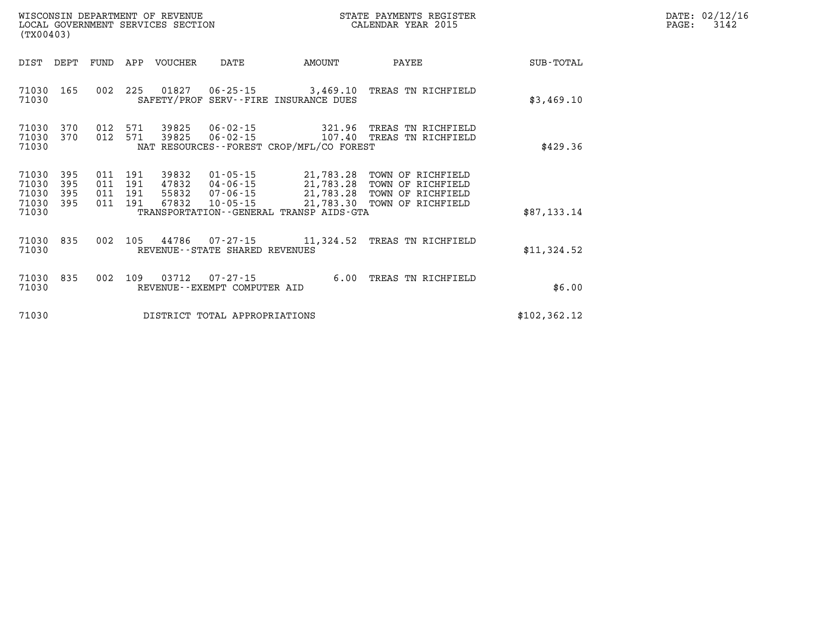| DATE: | 02/12/16 |
|-------|----------|
| PAGE: | 3142     |

| (TX00403)                                                    | LOCAL GOVERNMENT SERVICES SECTION                                                                                                              |        | CALENDAR YEAR 2015                                                                                                       |               |  | 3142 |
|--------------------------------------------------------------|------------------------------------------------------------------------------------------------------------------------------------------------|--------|--------------------------------------------------------------------------------------------------------------------------|---------------|--|------|
| DIST DEPT                                                    | APP VOUCHER<br>FUND<br>DATE                                                                                                                    | AMOUNT | PAYEE                                                                                                                    | SUB-TOTAL     |  |      |
| 71030<br>165<br>71030                                        | 002 225<br>01827<br>SAFETY/PROF SERV--FIRE INSURANCE DUES                                                                                      |        | 06-25-15 3,469.10 TREAS TN RICHFIELD                                                                                     | \$3,469.10    |  |      |
| 71030<br>370<br>71030<br>370<br>71030                        | 012<br>571<br>39825<br>06-02-15<br>571<br>39825<br>012<br>NAT RESOURCES--FOREST CROP/MFL/CO FOREST                                             |        | 321.96 TREAS TN RICHFIELD<br>06-02-15 107.40 TREAS TN RICHFIELD                                                          | \$429.36      |  |      |
| 71030<br>395<br>71030<br>395<br>71030<br>395<br>71030<br>395 | 39832<br>01-05-15<br>011<br>191<br>011<br>191<br>47832<br>04-06-15<br>011<br>191<br>55832<br>07-06-15<br>011<br>191<br>67832<br>$10 - 05 - 15$ |        | 21,783.28 TOWN OF RICHFIELD<br>21,783.28 TOWN OF RICHFIELD<br>21,783.28 TOWN OF RICHFIELD<br>21,783.30 TOWN OF RICHFIELD |               |  |      |
| 71030                                                        | TRANSPORTATION--GENERAL TRANSP AIDS-GTA                                                                                                        |        |                                                                                                                          | \$87,133.14   |  |      |
| 71030<br>835<br>71030                                        | 002<br>105<br>REVENUE--STATE SHARED REVENUES                                                                                                   |        | 44786 07-27-15 11,324.52 TREAS TN RICHFIELD                                                                              | \$11,324.52   |  |      |
| 71030<br>835<br>71030                                        | 03712 07-27-15<br>002<br>109<br>REVENUE - - EXEMPT COMPUTER AID                                                                                |        | 6.00 TREAS TN RICHFIELD                                                                                                  | \$6.00        |  |      |
| 71030                                                        | DISTRICT TOTAL APPROPRIATIONS                                                                                                                  |        |                                                                                                                          | \$102, 362.12 |  |      |

WISCONSIN DEPARTMENT OF REVENUE **STATE PAYMENTS REGISTER**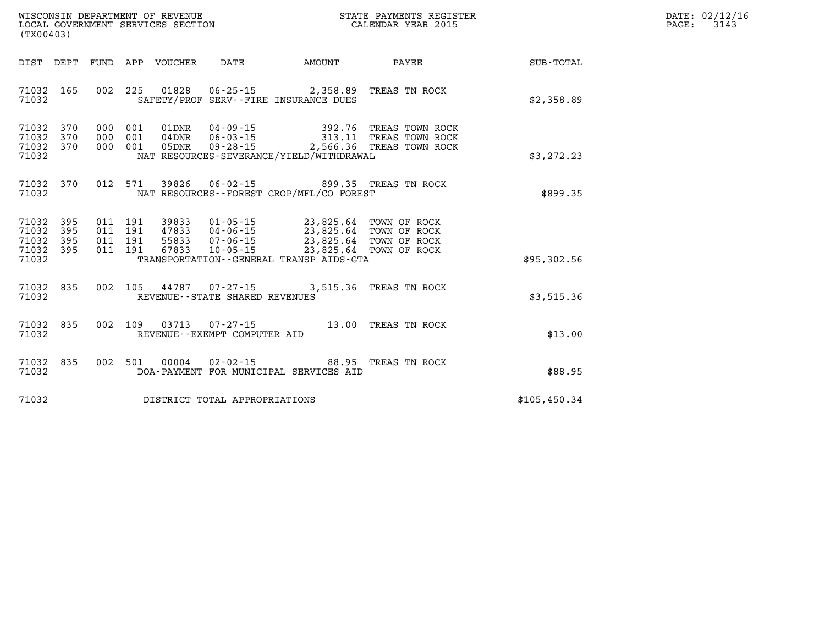| $\texttt{DATE}$ : | 02/12/16 |
|-------------------|----------|
| PAGE:             | 3143     |

| WISCONSIN DEPARTMENT OF REVENUE<br>(TX00403)                                               | LOCAL GOVERNMENT SERVICES SECTION                                                                                                                                                   | STATE PAYMENTS REGISTER<br>CALENDAR YEAR 2015 |                                                                        |              |  |
|--------------------------------------------------------------------------------------------|-------------------------------------------------------------------------------------------------------------------------------------------------------------------------------------|-----------------------------------------------|------------------------------------------------------------------------|--------------|--|
| DEPT<br>FUND<br>DIST                                                                       | APP<br>VOUCHER<br>DATE                                                                                                                                                              | <b>AMOUNT</b>                                 | PAYEE                                                                  | SUB-TOTAL    |  |
| 002<br>71032<br>165<br>71032                                                               | 225<br>01828<br>$06 - 25 - 15$<br>SAFETY/PROF SERV--FIRE INSURANCE DUES                                                                                                             | 2,358.89                                      | TREAS TN ROCK                                                          | \$2,358.89   |  |
| 71032<br>370<br>000<br>71032<br>370<br>000<br>71032<br>370<br>000<br>71032                 | $04 - 09 - 15$<br>001<br>01DNR<br>001<br>$06 - 03 - 15$<br>04DNR<br>001<br>$09 - 28 - 15$<br>05DNR<br>NAT RESOURCES-SEVERANCE/YIELD/WITHDRAWAL                                      | 392.76<br>313.11<br>2,566.36                  | TREAS TOWN ROCK<br>TREAS TOWN ROCK<br>TREAS TOWN ROCK                  | \$3, 272.23  |  |
| 012<br>370<br>71032<br>71032                                                               | 39826<br>571<br>$06 - 02 - 15$<br>NAT RESOURCES - - FOREST CROP/MFL/CO FOREST                                                                                                       | 899.35                                        | TREAS TN ROCK                                                          | \$899.35     |  |
| 71032<br>395<br>395<br>011<br>71032<br>395<br>71032<br>011<br>71032<br>395<br>011<br>71032 | 011 191<br>39833<br>$01 - 05 - 15$<br>191<br>47833<br>$04 - 06 - 15$<br>191<br>55833<br>$07 - 06 - 15$<br>191<br>67833<br>$10 - 05 - 15$<br>TRANSPORTATION--GENERAL TRANSP AIDS-GTA | 23,825.64<br>23,825.64<br>23,825.64           | 23,825.64 TOWN OF ROCK<br>TOWN OF ROCK<br>TOWN OF ROCK<br>TOWN OF ROCK | \$95,302.56  |  |
| 002<br>71032<br>835<br>71032                                                               | 105<br>44787<br>$07 - 27 - 15$<br>REVENUE - - STATE SHARED REVENUES                                                                                                                 | 3,515.36                                      | TREAS TN ROCK                                                          | \$3,515.36   |  |
| 002<br>71032<br>835<br>71032                                                               | 109<br>03713<br>$07 - 27 - 15$<br>REVENUE--EXEMPT COMPUTER AID                                                                                                                      | 13.00                                         | TREAS TN ROCK                                                          | \$13.00      |  |
| 835<br>002<br>71032<br>71032                                                               | 501<br>00004<br>$02 - 02 - 15$<br>DOA-PAYMENT FOR MUNICIPAL SERVICES AID                                                                                                            | 88.95                                         | TREAS TN ROCK                                                          | \$88.95      |  |
| 71032                                                                                      | DISTRICT TOTAL APPROPRIATIONS                                                                                                                                                       |                                               |                                                                        | \$105,450.34 |  |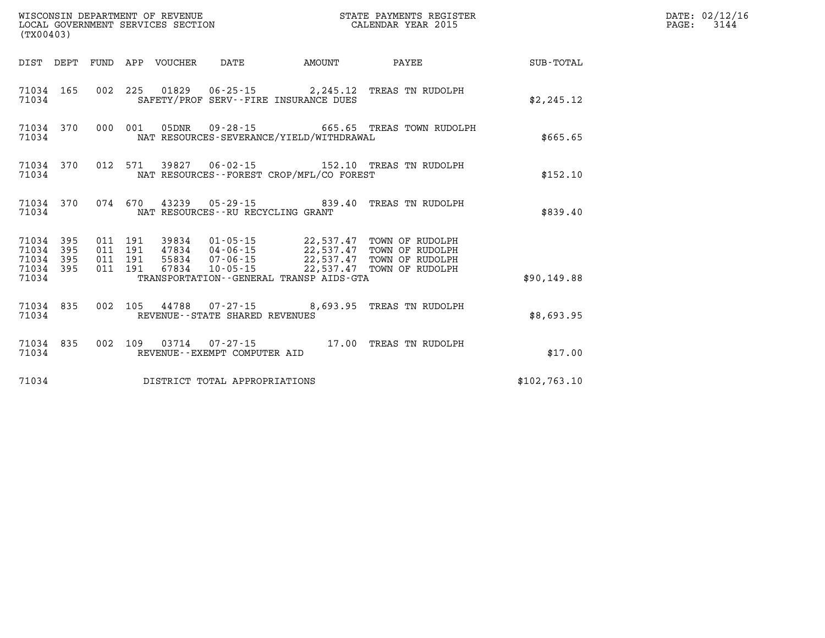| (TX00403) |                                                  |       |  |                                   |                                             |                                                                                                                                                                                                                                                                                                                                       |              | DATE: 02/12/16<br>$\mathtt{PAGE:}$<br>3144 |
|-----------|--------------------------------------------------|-------|--|-----------------------------------|---------------------------------------------|---------------------------------------------------------------------------------------------------------------------------------------------------------------------------------------------------------------------------------------------------------------------------------------------------------------------------------------|--------------|--------------------------------------------|
|           |                                                  |       |  |                                   |                                             |                                                                                                                                                                                                                                                                                                                                       | SUB-TOTAL    |                                            |
| 71034     |                                                  |       |  |                                   | SAFETY/PROF SERV--FIRE INSURANCE DUES       | 71034 165 002 225 01829 06-25-15 2,245.12 TREAS TN RUDOLPH                                                                                                                                                                                                                                                                            | \$2,245.12   |                                            |
| 71034     |                                                  |       |  |                                   | NAT RESOURCES-SEVERANCE/YIELD/WITHDRAWAL    | 71034 370 000 001 05DNR 09-28-15 665.65 TREAS TOWN RUDOLPH                                                                                                                                                                                                                                                                            | \$665.65     |                                            |
| 71034     |                                                  |       |  |                                   | NAT RESOURCES - - FOREST CROP/MFL/CO FOREST | 71034 370 012 571 39827 06-02-15 152.10 TREAS TN RUDOLPH                                                                                                                                                                                                                                                                              | \$152.10     |                                            |
|           |                                                  | 71034 |  | NAT RESOURCES--RU RECYCLING GRANT |                                             | 71034 370 074 670 43239 05-29-15 839.40 TREAS TN RUDOLPH                                                                                                                                                                                                                                                                              | \$839.40     |                                            |
|           | 71034 395<br>71034 395<br>71034 395<br>71034 395 |       |  |                                   |                                             | $\begin{tabular}{cccc} 011 & 191 & 39834 & 01\cdot 05\cdot 15 & 22,537.47 & TOWN OF RUDOLPH \\ 011 & 191 & 47834 & 04\cdot 06\cdot 15 & 22,537.47 & TOWN OF RUDOLPH \\ 011 & 191 & 55834 & 07\cdot 06\cdot 15 & 22,537.47 & TOWN OF RUDOLPH \\ 011 & 191 & 67834 & 10\cdot 05\cdot 15 & 22,537.47 & TOWN OF RUDOLPH \\ \end{tabular}$ |              |                                            |
| 71034     |                                                  |       |  |                                   | TRANSPORTATION--GENERAL TRANSP AIDS-GTA     |                                                                                                                                                                                                                                                                                                                                       | \$90,149.88  |                                            |
| 71034     |                                                  |       |  | REVENUE--STATE SHARED REVENUES    |                                             | 71034 835 002 105 44788 07-27-15 8,693.95 TREAS TN RUDOLPH                                                                                                                                                                                                                                                                            | \$8,693.95   |                                            |
| 71034     | 71034 835                                        |       |  | REVENUE--EXEMPT COMPUTER AID      |                                             | 002 109 03714 07-27-15 17.00 TREAS TN RUDOLPH                                                                                                                                                                                                                                                                                         | \$17.00      |                                            |
| 71034     |                                                  |       |  | DISTRICT TOTAL APPROPRIATIONS     |                                             |                                                                                                                                                                                                                                                                                                                                       | \$102,763.10 |                                            |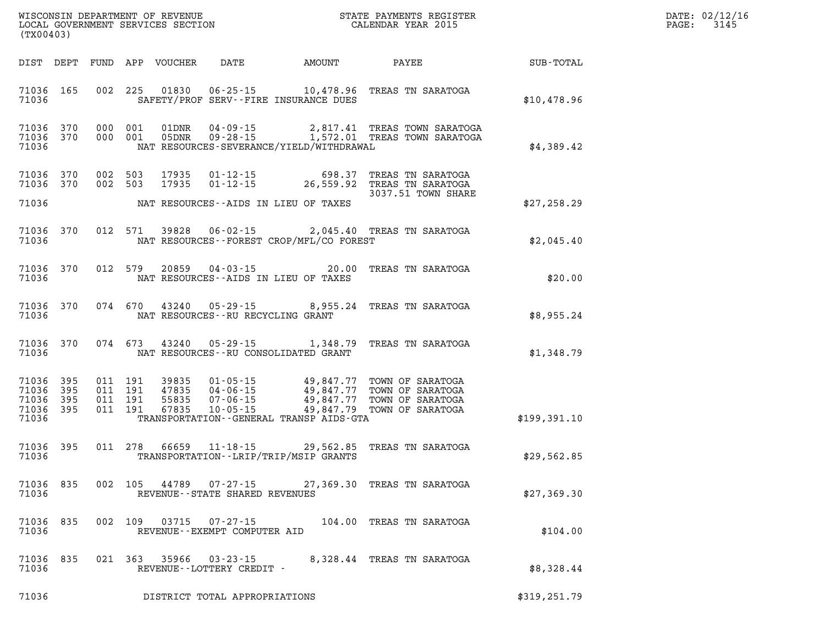| DATE: | 02/12/16 |
|-------|----------|
| PAGE: | 3145     |

| (TX00403)                                                 |  |  |                                   |                                              | WISCONSIN DEPARTMENT OF REVENUE<br>LOCAL GOVERNMENT SERVICES SECTION THE STATE PAYMENTS REGISTER<br>(TYA04403)                                                                                                   |                                                              | DATE: 02/12/1<br>$\mathtt{PAGE:}$<br>3145 |
|-----------------------------------------------------------|--|--|-----------------------------------|----------------------------------------------|------------------------------------------------------------------------------------------------------------------------------------------------------------------------------------------------------------------|--------------------------------------------------------------|-------------------------------------------|
|                                                           |  |  |                                   |                                              |                                                                                                                                                                                                                  | DIST DEPT FUND APP VOUCHER DATE AMOUNT PAYEE TOTAL SUB-TOTAL |                                           |
| 71036 165<br>71036                                        |  |  |                                   | SAFETY/PROF SERV--FIRE INSURANCE DUES        | 002 225 01830 06-25-15 10,478.96 TREAS TN SARATOGA                                                                                                                                                               | \$10,478.96                                                  |                                           |
| 71036                                                     |  |  |                                   | NAT RESOURCES-SEVERANCE/YIELD/WITHDRAWAL     | 71036 370 000 001 01DNR 04-09-15 2,817.41 TREAS TOWN SARATOGA<br>71036 370 000 001 05DNR 09-28-15 1,572.01 TREAS TOWN SARATOGA                                                                                   | \$4,389.42                                                   |                                           |
| 71036 370<br>71036 370                                    |  |  |                                   |                                              | 002 503 17935 01-12-15 698.37 TREAS TN SARATOGA<br>002 503 17935 01-12-15 26,559.92 TREAS TN SARATOGA<br>3037.51 TOWN SHARE                                                                                      |                                                              |                                           |
|                                                           |  |  |                                   | 71036 MAT RESOURCES--AIDS IN LIEU OF TAXES   |                                                                                                                                                                                                                  | \$27,258.29                                                  |                                           |
| 71036                                                     |  |  |                                   | NAT RESOURCES--FOREST CROP/MFL/CO FOREST     | 71036 370 012 571 39828 06-02-15 2,045.40 TREAS TN SARATOGA                                                                                                                                                      | \$2,045.40                                                   |                                           |
| 71036                                                     |  |  |                                   | NAT RESOURCES--AIDS IN LIEU OF TAXES         | 71036 370 012 579 20859 04-03-15 20.00 TREAS TN SARATOGA                                                                                                                                                         | \$20.00                                                      |                                           |
| 71036                                                     |  |  |                                   | NAT RESOURCES--RU RECYCLING GRANT            | 71036 370 074 670 43240 05-29-15 8,955.24 TREAS TN SARATOGA                                                                                                                                                      | \$8,955.24                                                   |                                           |
| 71036                                                     |  |  |                                   | NAT RESOURCES--RU CONSOLIDATED GRANT         | 71036 370 074 673 43240 05-29-15 1,348.79 TREAS TN SARATOGA                                                                                                                                                      | \$1,348.79                                                   |                                           |
| 71036 395<br>71036 395<br>71036 395<br>71036 395<br>71036 |  |  |                                   | TRANSPORTATION - - GENERAL TRANSP AIDS - GTA | 011 191 39835 01-05-15 49,847.77 TOWN OF SARATOGA<br>011 191 47835 04-06-15 49,847.77 TOWN OF SARATOGA<br>011 191 55835 07-06-15 49,847.77 TOWN OF SARATOGA<br>011 191 67835 10-05-15 49,847.79 TOWN OF SARATOGA | \$199,391.10                                                 |                                           |
| 71036                                                     |  |  |                                   | TRANSPORTATION - - LRIP/TRIP/MSIP GRANTS     | 71036 395 011 278 66659 11-18-15 29,562.85 TREAS TN SARATOGA                                                                                                                                                     | \$29,562.85                                                  |                                           |
| 71036 835<br>71036                                        |  |  | REVENUE - - STATE SHARED REVENUES |                                              | 002 105 44789 07-27-15 27,369.30 TREAS TN SARATOGA                                                                                                                                                               | \$27,369.30                                                  |                                           |
| 71036 835<br>71036                                        |  |  | REVENUE--EXEMPT COMPUTER AID      |                                              | 002 109 03715 07-27-15 104.00 TREAS TN SARATOGA                                                                                                                                                                  | \$104.00                                                     |                                           |
| 71036 835<br>71036                                        |  |  | REVENUE - - LOTTERY CREDIT -      |                                              | 021 363 35966 03-23-15 8,328.44 TREAS TN SARATOGA                                                                                                                                                                | \$8,328.44                                                   |                                           |
| 71036                                                     |  |  | DISTRICT TOTAL APPROPRIATIONS     |                                              |                                                                                                                                                                                                                  | \$319,251.79                                                 |                                           |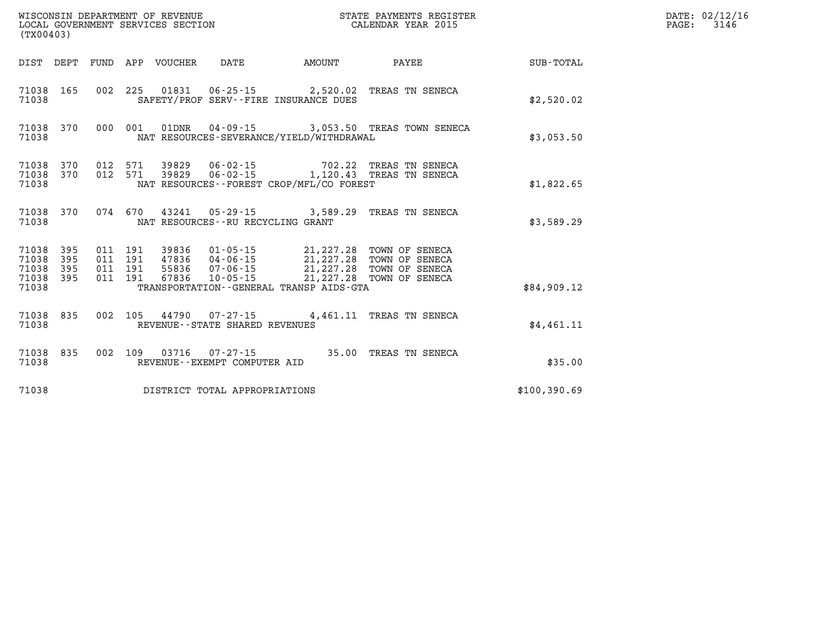| (TX00403)                                             |                        |  |                                     |                                          |                                                                                                                                                                                                                                                                                                                                                        |              | DATE: 02/12/16<br>$\mathtt{PAGE:}$<br>3146 |
|-------------------------------------------------------|------------------------|--|-------------------------------------|------------------------------------------|--------------------------------------------------------------------------------------------------------------------------------------------------------------------------------------------------------------------------------------------------------------------------------------------------------------------------------------------------------|--------------|--------------------------------------------|
|                                                       |                        |  |                                     |                                          |                                                                                                                                                                                                                                                                                                                                                        |              |                                            |
| 71038                                                 | 71038 165              |  |                                     | SAFETY/PROF SERV--FIRE INSURANCE DUES    | 002 225 01831 06-25-15 2,520.02 TREAS TN SENECA                                                                                                                                                                                                                                                                                                        | \$2,520.02   |                                            |
| 71038                                                 |                        |  |                                     | NAT RESOURCES-SEVERANCE/YIELD/WITHDRAWAL | 71038 370 000 001 01DNR 04-09-15 3,053.50 TREAS TOWN SENECA                                                                                                                                                                                                                                                                                            | \$3,053.50   |                                            |
| 71038                                                 | 71038 370<br>71038 370 |  |                                     | NAT RESOURCES--FOREST CROP/MFL/CO FOREST | 012 571 39829 06-02-15 702.22 TREAS TN SENECA<br>012 571 39829 06-02-15 1,120.43 TREAS TN SENECA                                                                                                                                                                                                                                                       | \$1,822.65   |                                            |
| 71038                                                 |                        |  | NAT RESOURCES -- RU RECYCLING GRANT |                                          | 71038 370 074 670 43241 05-29-15 3,589.29 TREAS TN SENECA                                                                                                                                                                                                                                                                                              | \$3,589.29   |                                            |
| 71038 395<br>71038<br>71038 395<br>71038 395<br>71038 | 395                    |  |                                     | TRANSPORTATION--GENERAL TRANSP AIDS-GTA  | $\begin{array}{cccc} 011 & 191 & 39836 & 01\cdot 05\cdot 15 & 21,227.28 & \text{TOWN OF SENECA} \\ 011 & 191 & 47836 & 04\cdot 06\cdot 15 & 21,227.28 & \text{TOWN OF SENECA} \\ 011 & 191 & 55836 & 07\cdot 06\cdot 15 & 21,227.28 & \text{TOWN OF SENECA} \\ 011 & 191 & 67836 & 10\cdot 05\cdot 15 & 21,227.28 & \text{TOWN OF SENECA} \end{array}$ | \$84,909.12  |                                            |
| 71038                                                 | 71038 835              |  | REVENUE - - STATE SHARED REVENUES   |                                          | 002 105 44790 07-27-15 4,461.11 TREAS TN SENECA                                                                                                                                                                                                                                                                                                        | \$4,461.11   |                                            |
| 71038                                                 | 71038 835              |  | REVENUE--EXEMPT COMPUTER AID        |                                          | 002 109 03716 07-27-15 35.00 TREAS TN SENECA                                                                                                                                                                                                                                                                                                           | \$35.00      |                                            |
| 71038                                                 |                        |  | DISTRICT TOTAL APPROPRIATIONS       |                                          |                                                                                                                                                                                                                                                                                                                                                        | \$100,390.69 |                                            |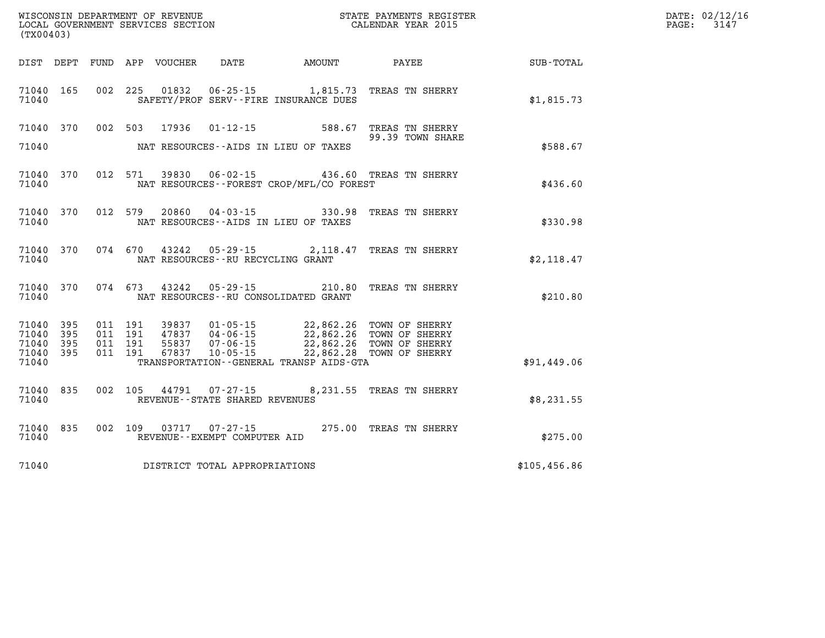| (TX00403)                                     |                   |         |                                      | WISCONSIN DEPARTMENT OF REVENUE<br>LOCAL GOVERNMENT SERVICES SECTION<br>(TYO0403) |                                                                                                                                                                                                          |                                                    | DATE: 02/12/16<br>$\mathtt{PAGE}$ :<br>3147 |
|-----------------------------------------------|-------------------|---------|--------------------------------------|-----------------------------------------------------------------------------------|----------------------------------------------------------------------------------------------------------------------------------------------------------------------------------------------------------|----------------------------------------------------|---------------------------------------------|
|                                               |                   |         |                                      |                                                                                   |                                                                                                                                                                                                          | DIST DEPT FUND APP VOUCHER DATE AMOUNT PAYEE TOTAL |                                             |
| 71040 165<br>71040                            |                   |         |                                      | SAFETY/PROF SERV--FIRE INSURANCE DUES                                             | 002 225 01832 06-25-15 1,815.73 TREAS TN SHERRY                                                                                                                                                          | \$1,815.73                                         |                                             |
| 71040                                         |                   |         | NAT RESOURCES--AIDS IN LIEU OF TAXES |                                                                                   | 71040 370 002 503 17936 01-12-15 588.67 TREAS TN SHERRY<br>99.39 TOWN SHARE<br>99.39 TOWN SHARE                                                                                                          | \$588.67                                           |                                             |
| 71040 370<br>71040                            |                   |         |                                      | NAT RESOURCES--FOREST CROP/MFL/CO FOREST                                          | 012 571 39830 06-02-15 436.60 TREAS TN SHERRY                                                                                                                                                            | \$436.60                                           |                                             |
| 71040 370<br>71040                            |                   | 012 579 | NAT RESOURCES--AIDS IN LIEU OF TAXES |                                                                                   | 20860  04-03-15  330.98  TREAS TN SHERRY                                                                                                                                                                 | \$330.98                                           |                                             |
| 71040 370<br>71040                            |                   |         | NAT RESOURCES -- RU RECYCLING GRANT  |                                                                                   | 074 670 43242 05-29-15 2,118.47 TREAS TN SHERRY                                                                                                                                                          | \$2,118.47                                         |                                             |
| 71040                                         | 71040 370         | 074 673 | NAT RESOURCES--RU CONSOLIDATED GRANT |                                                                                   | 43242  05-29-15  210.80  TREAS TN SHERRY                                                                                                                                                                 | \$210.80                                           |                                             |
| 71040<br>71040<br>71040<br>71040 395<br>71040 | 395<br>395<br>395 |         |                                      | TRANSPORTATION--GENERAL TRANSP AIDS-GTA                                           | 011 191 39837 01-05-15 22,862.26 TOWN OF SHERRY<br>011 191 47837 04-06-15 22,862.26 TOWN OF SHERRY<br>011 191 67837 07-06-15 22,862.26 TOWN OF SHERRY<br>011 191 67837 10-05-15 22,862.28 TOWN OF SHERRY | \$91,449.06                                        |                                             |
| 71040 835<br>71040                            |                   |         | REVENUE--STATE SHARED REVENUES       |                                                                                   | 002 105 44791 07-27-15 8,231.55 TREAS TN SHERRY                                                                                                                                                          | \$8,231.55                                         |                                             |
| 71040 835<br>71040                            |                   |         | REVENUE--EXEMPT COMPUTER AID         |                                                                                   | 002 109 03717 07-27-15 275.00 TREAS TN SHERRY                                                                                                                                                            | \$275.00                                           |                                             |
| 71040                                         |                   |         | DISTRICT TOTAL APPROPRIATIONS        |                                                                                   |                                                                                                                                                                                                          | \$105,456.86                                       |                                             |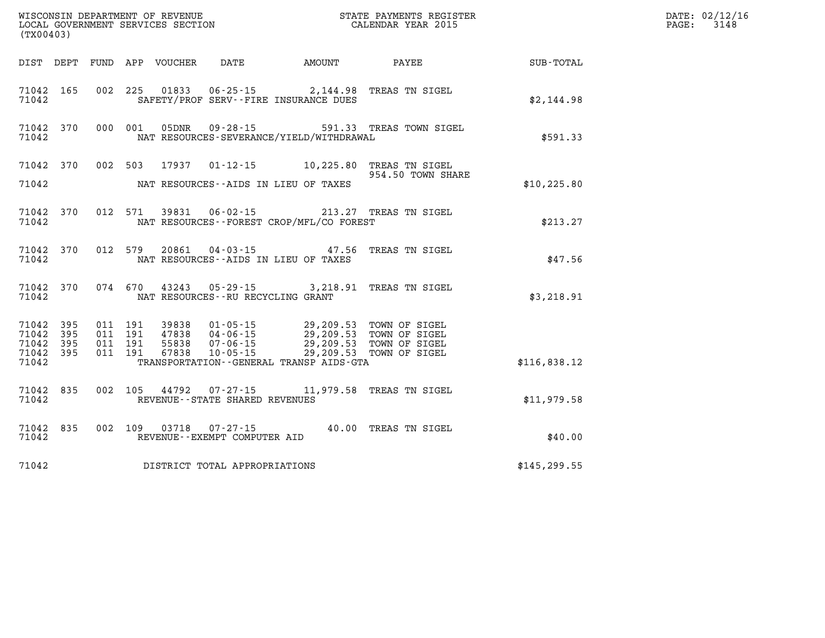| (TX00403)                       |                        |         |                                   |                                                                                                                                                                                                                                                      | WISCONSIN DEPARTMENT OF REVENUE<br>LOCAL GOVERNMENT SERVICES SECTION<br>CALENDAR YEAR 2015 |               | DATE: 02/12/16<br>PAGE: 3148 |
|---------------------------------|------------------------|---------|-----------------------------------|------------------------------------------------------------------------------------------------------------------------------------------------------------------------------------------------------------------------------------------------------|--------------------------------------------------------------------------------------------|---------------|------------------------------|
|                                 |                        |         |                                   |                                                                                                                                                                                                                                                      | DIST DEPT FUND APP VOUCHER DATE AMOUNT PAYEE TOTAL                                         |               |                              |
| 71042                           | 71042 165              |         |                                   | SAFETY/PROF SERV--FIRE INSURANCE DUES                                                                                                                                                                                                                | 002 225 01833 06-25-15 2,144.98 TREAS TN SIGEL                                             | \$2,144.98    |                              |
| 71042                           | 71042 370              |         |                                   | NAT RESOURCES-SEVERANCE/YIELD/WITHDRAWAL                                                                                                                                                                                                             | 000 001 05DNR 09-28-15 591.33 TREAS TOWN SIGEL                                             | \$591.33      |                              |
| 71042                           |                        |         |                                   | NAT RESOURCES--AIDS IN LIEU OF TAXES                                                                                                                                                                                                                 | 71042 370 002 503 17937 01-12-15 10,225.80 TREAS TN SIGEL<br>954.50 TOWN SHARE             | \$10, 225.80  |                              |
| 71042                           | 71042 370              |         |                                   | NAT RESOURCES--FOREST CROP/MFL/CO FOREST                                                                                                                                                                                                             | 012 571 39831 06-02-15 213.27 TREAS TN SIGEL                                               | \$213.27      |                              |
| 71042                           | 71042 370              | 012 579 |                                   | NAT RESOURCES--AIDS IN LIEU OF TAXES                                                                                                                                                                                                                 | 20861  04-03-15  47.56  TREAS TN SIGEL                                                     | \$47.56       |                              |
| 71042                           | 71042 370              |         | NAT RESOURCES--RU RECYCLING GRANT |                                                                                                                                                                                                                                                      | 074 670 43243 05-29-15 3,218.91 TREAS TN SIGEL                                             | \$3,218.91    |                              |
| 71042 395<br>71042 395<br>71042 | 71042 395<br>71042 395 |         |                                   | 011 191 39838 01-05-15 29,209.53 TOWN OF SIGEL<br>011 191 47838 04-06-15 29,209.53 TOWN OF SIGEL<br>011 191 55838 07-06-15 29,209.53 TOWN OF SIGEL<br>011 191 67838 10-05-15 29,209.53 TOWN OF SIGEL<br>TRANSPORTATION - - GENERAL TRANSP AIDS - GTA |                                                                                            | \$116,838.12  |                              |
| 71042                           | 71042 835              |         | REVENUE - - STATE SHARED REVENUES |                                                                                                                                                                                                                                                      | 002 105 44792 07-27-15 11,979.58 TREAS TN SIGEL                                            | \$11,979.58   |                              |
| 71042                           | 71042 835              |         | REVENUE--EXEMPT COMPUTER AID      |                                                                                                                                                                                                                                                      | 002 109 03718 07-27-15 40.00 TREAS TN SIGEL                                                | \$40.00       |                              |
| 71042                           |                        |         | DISTRICT TOTAL APPROPRIATIONS     |                                                                                                                                                                                                                                                      |                                                                                            | \$145, 299.55 |                              |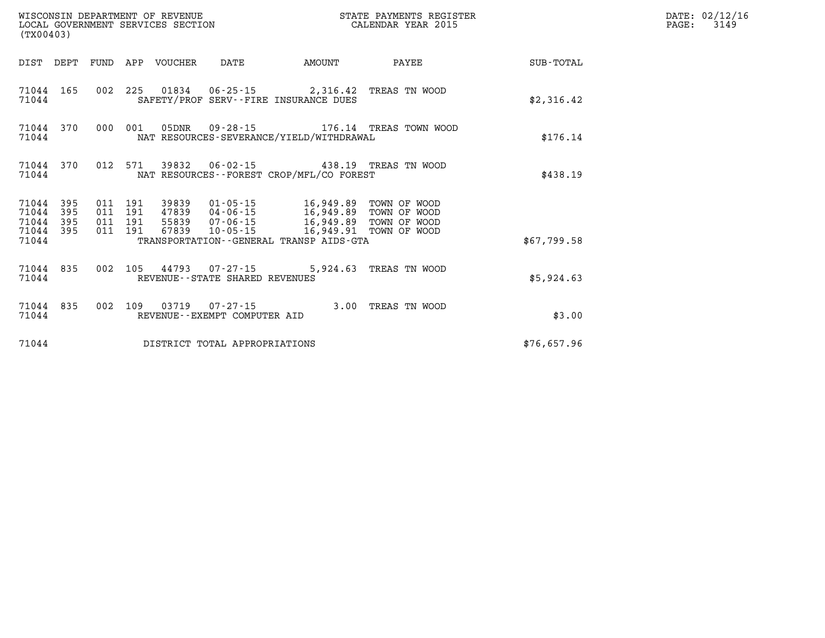| (TX00403) |                                     |                               | WISCONSIN DEPARTMENT OF REVENUE | LOCAL GOVERNMENT SERVICES SECTION                           |                                                                                                                                       | STATE PAYMENTS REGISTER<br>CALENDAR YEAR 2015 |             | DATE: 02/12/16<br>PAGE:<br>3149 |
|-----------|-------------------------------------|-------------------------------|---------------------------------|-------------------------------------------------------------|---------------------------------------------------------------------------------------------------------------------------------------|-----------------------------------------------|-------------|---------------------------------|
|           |                                     |                               | DIST DEPT FUND APP VOUCHER      | DATE                                                        | AMOUNT                                                                                                                                | PAYEE                                         | SUB-TOTAL   |                                 |
| 71044     |                                     |                               |                                 |                                                             | 71044 165 002 225 01834 06-25-15 2,316.42 TREAS TN WOOD<br>SAFETY/PROF SERV--FIRE INSURANCE DUES                                      |                                               | \$2,316.42  |                                 |
| 71044     | 71044 370                           |                               |                                 |                                                             | NAT RESOURCES-SEVERANCE/YIELD/WITHDRAWAL                                                                                              | 000 001 05DNR 09-28-15 176.14 TREAS TOWN WOOD | \$176.14    |                                 |
| 71044     | 71044 370                           |                               |                                 |                                                             | 012 571 39832 06-02-15 438.19 TREAS TN WOOD<br>NAT RESOURCES - - FOREST CROP/MFL/CO FOREST                                            |                                               | \$438.19    |                                 |
| 71044 395 | 71044 395<br>71044 395<br>71044 395 | 011 191<br>011 191<br>011 191 |                                 |                                                             | 011 191 47839 04-06-15 16,949.89 TOWN OF WOOD<br>55839  07-06-15  16,949.89  TOWN OF WOOD<br>67839  10-05-15  16,949.91  TOWN OF WOOD |                                               |             |                                 |
| 71044     |                                     |                               |                                 |                                                             | TRANSPORTATION--GENERAL TRANSP AIDS-GTA                                                                                               |                                               | \$67,799.58 |                                 |
| 71044     | 71044 835                           |                               |                                 | 002 105 44793 07-27-15<br>REVENUE - - STATE SHARED REVENUES |                                                                                                                                       | 5,924.63 TREAS TN WOOD                        | \$5,924.63  |                                 |
| 71044     | 71044 835                           |                               |                                 | REVENUE--EXEMPT COMPUTER AID                                | 002 109 03719 07-27-15 3.00 TREAS TN WOOD                                                                                             |                                               | \$3.00      |                                 |
| 71044     |                                     |                               |                                 | DISTRICT TOTAL APPROPRIATIONS                               |                                                                                                                                       |                                               | \$76,657.96 |                                 |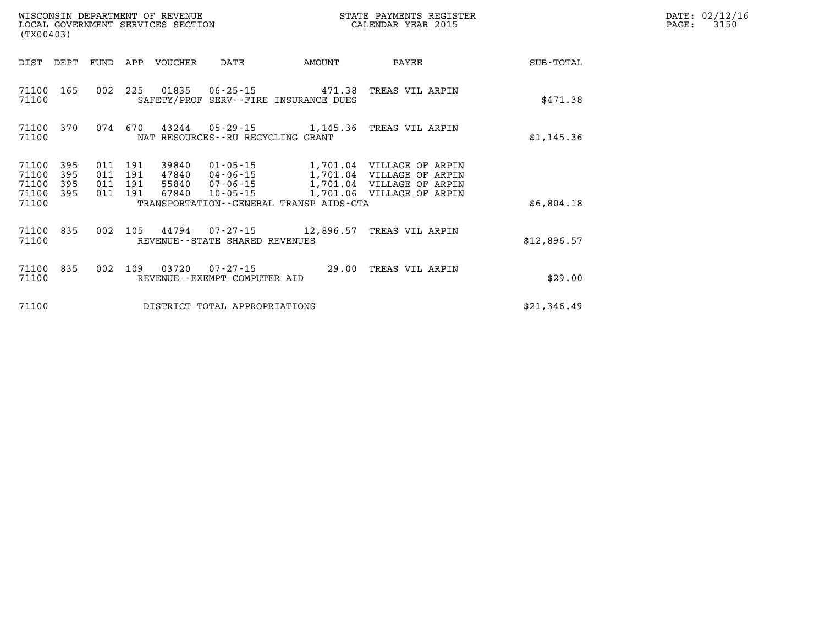| WISCONSIN DEPARTMENT OF REVENUE<br>LOCAL GOVERNMENT SERVICES SECTION<br>(TX00403) |                   |                           |         |                            |                                      |                                                                    | STATE PAYMENTS REGISTER<br>CALENDAR YEAR 2015                                                                             |             | DATE: 02/12/16<br>3150<br>PAGE: |
|-----------------------------------------------------------------------------------|-------------------|---------------------------|---------|----------------------------|--------------------------------------|--------------------------------------------------------------------|---------------------------------------------------------------------------------------------------------------------------|-------------|---------------------------------|
|                                                                                   |                   |                           |         | DIST DEPT FUND APP VOUCHER | DATE                                 | <b>AMOUNT</b>                                                      | PAYEE                                                                                                                     | SUB-TOTAL   |                                 |
| 71100 165<br>71100                                                                |                   | 002                       | 225     |                            |                                      | 01835   06-25-15   471.38<br>SAFETY/PROF SERV--FIRE INSURANCE DUES | TREAS VIL ARPIN                                                                                                           | \$471.38    |                                 |
| 71100                                                                             | 71100 370         |                           | 074 670 |                            | NAT RESOURCES - - RU RECYCLING GRANT |                                                                    | 43244  05-29-15  1,145.36  TREAS VIL ARPIN                                                                                | \$1,145.36  |                                 |
| 71100<br>71100<br>71100                                                           | 395<br>395<br>395 | 011<br>011 191<br>011 191 | 191     | 39840                      | 01-05-15                             |                                                                    | 1,701.04 VILLAGE OF ARPIN<br>47840  04-06-15   1,701.04   VILLAGE OF ARPIN<br>55840  07-06-15  1,701.04  VILLAGE OF ARPIN |             |                                 |
| 71100 395<br>71100                                                                |                   | 011 191                   |         | 67840                      | 10-05-15                             | TRANSPORTATION--GENERAL TRANSP AIDS-GTA                            | 1,701.06 VILLAGE OF ARPIN                                                                                                 | \$6,804.18  |                                 |
| 71100 835<br>71100                                                                |                   | 002                       | 105     |                            | REVENUE--STATE SHARED REVENUES       |                                                                    | 44794 07-27-15 12,896.57 TREAS VIL ARPIN                                                                                  | \$12,896.57 |                                 |
| 71100 835<br>71100                                                                |                   | 002                       | 109     |                            | REVENUE--EXEMPT COMPUTER AID         |                                                                    | 29.00 TREAS VIL ARPIN                                                                                                     | \$29.00     |                                 |
| 71100                                                                             |                   |                           |         |                            | DISTRICT TOTAL APPROPRIATIONS        |                                                                    |                                                                                                                           | \$21,346.49 |                                 |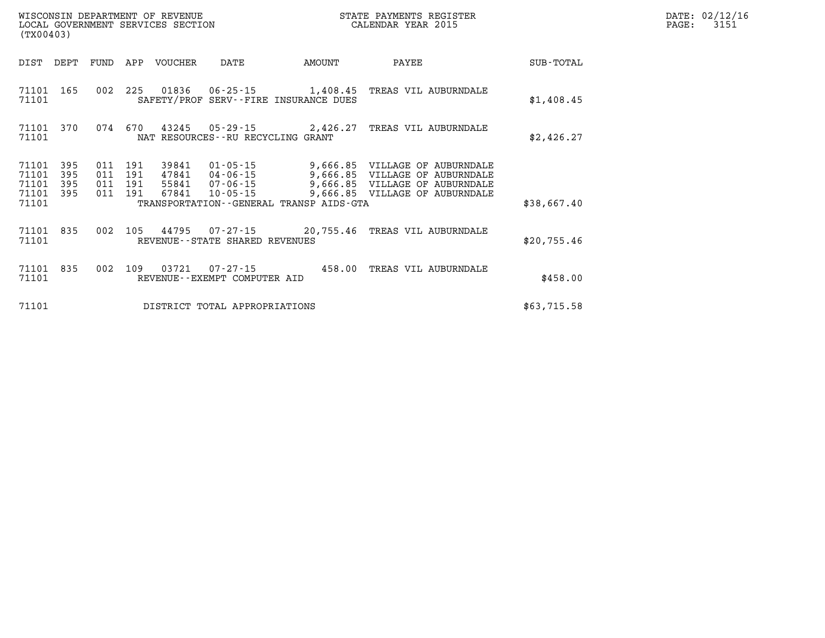| WISCONSIN DEPARTMENT OF REVENUE<br>LOCAL GOVERNMENT SERVICES SECTION<br>(TX00403) |            |     |                    |                  |                                   |                                                                          | STATE PAYMENTS REGISTER<br>CALENDAR YEAR 2015                    |             | DATE: 02/12/16<br>PAGE:<br>3151 |
|-----------------------------------------------------------------------------------|------------|-----|--------------------|------------------|-----------------------------------|--------------------------------------------------------------------------|------------------------------------------------------------------|-------------|---------------------------------|
| DIST                                                                              | DEPT       |     |                    | FUND APP VOUCHER | DATE                              | AMOUNT                                                                   | PAYEE                                                            | SUB-TOTAL   |                                 |
| 71101 165<br>71101                                                                |            |     |                    |                  |                                   | 002 225 01836 06-25-15 1,408.45<br>SAFETY/PROF SERV--FIRE INSURANCE DUES | TREAS VIL AUBURNDALE                                             | \$1,408.45  |                                 |
| 71101 370<br>71101                                                                |            |     |                    |                  | NAT RESOURCES--RU RECYCLING GRANT |                                                                          | 074 670 43245 05-29-15 2,426.27 TREAS VIL AUBURNDALE             | \$2,426.27  |                                 |
| 71101<br>71101                                                                    | 395<br>395 | 011 | 191<br>011 191     | 39841<br>47841   |                                   | $01 - 05 - 15$ 9,666.85                                                  | VILLAGE OF AUBURNDALE<br>04-06-15 9,666.85 VILLAGE OF AUBURNDALE |             |                                 |
| 71101<br>71101 395                                                                | 395        |     | 011 191<br>011 191 | 55841<br>67841   | 07-06-15<br>$10 - 05 - 15$        |                                                                          | 9,666.85 VILLAGE OF AUBURNDALE<br>9,666.85 VILLAGE OF AUBURNDALE |             |                                 |
| 71101                                                                             |            |     |                    |                  |                                   | TRANSPORTATION - - GENERAL TRANSP AIDS - GTA                             |                                                                  | \$38,667.40 |                                 |
| 71101 835<br>71101                                                                |            |     |                    |                  | REVENUE--STATE SHARED REVENUES    |                                                                          | 002 105 44795 07-27-15 20,755.46 TREAS VIL AUBURNDALE            | \$20,755.46 |                                 |
| 71101 835<br>71101                                                                |            |     |                    | 002 109 03721    | REVENUE--EXEMPT COMPUTER AID      |                                                                          | 07-27-15  458.00 TREAS VIL AUBURNDALE                            | \$458.00    |                                 |
| 71101                                                                             |            |     |                    |                  | DISTRICT TOTAL APPROPRIATIONS     |                                                                          |                                                                  | \$63,715.58 |                                 |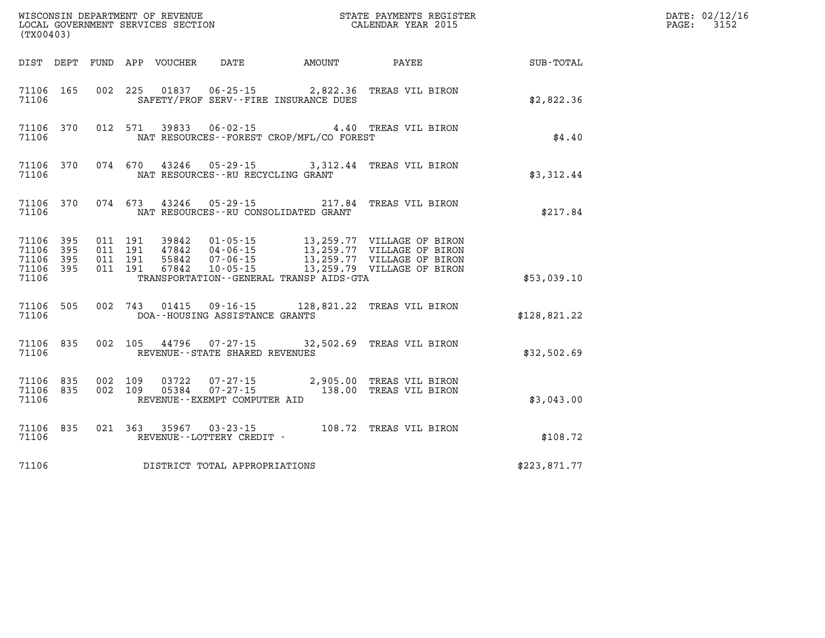| (TX00403)                                                 |           |                                          |         |                            | WISCONSIN DEPARTMENT OF REVENUE<br>LOCAL GOVERNMENT SERVICES SECTION |                                             | STATE PAYMENTS REGISTER<br>. STATE PAIMENTS REAR 2015                                                                                                                                        |              | DATE: 02/12/16<br>$\mathtt{PAGE:}$<br>3152 |
|-----------------------------------------------------------|-----------|------------------------------------------|---------|----------------------------|----------------------------------------------------------------------|---------------------------------------------|----------------------------------------------------------------------------------------------------------------------------------------------------------------------------------------------|--------------|--------------------------------------------|
|                                                           |           |                                          |         | DIST DEPT FUND APP VOUCHER | DATE                                                                 |                                             | AMOUNT PAYEE                                                                                                                                                                                 | SUB-TOTAL    |                                            |
| 71106 165<br>71106                                        |           |                                          |         |                            |                                                                      | SAFETY/PROF SERV--FIRE INSURANCE DUES       | 002 225 01837 06-25-15 2,822.36 TREAS VIL BIRON                                                                                                                                              | \$2,822.36   |                                            |
| 71106                                                     | 71106 370 |                                          | 012 571 |                            |                                                                      | NAT RESOURCES - - FOREST CROP/MFL/CO FOREST | 39833  06-02-15  4.40  TREAS VIL BIRON                                                                                                                                                       | \$4.40       |                                            |
| 71106                                                     | 71106 370 |                                          | 074 670 |                            | NAT RESOURCES -- RU RECYCLING GRANT                                  |                                             | 43246  05-29-15  3,312.44  TREAS VIL BIRON                                                                                                                                                   | \$3,312.44   |                                            |
| 71106                                                     | 71106 370 |                                          | 074 673 |                            |                                                                      | NAT RESOURCES--RU CONSOLIDATED GRANT        | 43246  05-29-15  217.84  TREAS VIL BIRON                                                                                                                                                     | \$217.84     |                                            |
| 71106 395<br>71106 395<br>71106 395<br>71106 395<br>71106 |           | 011 191<br>011 191<br>011 191<br>011 191 |         |                            |                                                                      | TRANSPORTATION--GENERAL TRANSP AIDS-GTA     | 39842  01-05-15  13,259.77  VILLAGE OF BIRON<br>47842  04-06-15  13,259.77  VILLAGE OF BIRON<br>55842  07-06-15  13,259.77  VILLAGE OF BIRON<br>67842  10-05-15  13,259.79  VILLAGE OF BIRON | \$53,039.10  |                                            |
| 71106 505<br>71106                                        |           |                                          |         | 002 743 01415              | DOA--HOUSING ASSISTANCE GRANTS                                       |                                             | 09-16-15 128,821.22 TREAS VIL BIRON                                                                                                                                                          | \$128,821.22 |                                            |
| 71106                                                     | 71106 835 |                                          |         |                            | REVENUE--STATE SHARED REVENUES                                       |                                             | 002 105 44796 07-27-15 32,502.69 TREAS VIL BIRON                                                                                                                                             | \$32,502.69  |                                            |
| 71106 835<br>71106 835<br>71106                           |           | 002 109<br>002 109                       |         | 03722<br>05384             | $07 - 27 - 15$<br>REVENUE--EXEMPT COMPUTER AID                       |                                             | 07-27-15 2,905.00 TREAS VIL BIRON<br>138.00 TREAS VIL BIRON                                                                                                                                  | \$3,043.00   |                                            |
| 71106                                                     | 71106 835 |                                          |         |                            | 021 363 35967 03-23-15<br>REVENUE--LOTTERY CREDIT -                  |                                             | 108.72 TREAS VIL BIRON                                                                                                                                                                       | \$108.72     |                                            |
| 71106                                                     |           |                                          |         |                            | DISTRICT TOTAL APPROPRIATIONS                                        |                                             |                                                                                                                                                                                              | \$223,871.77 |                                            |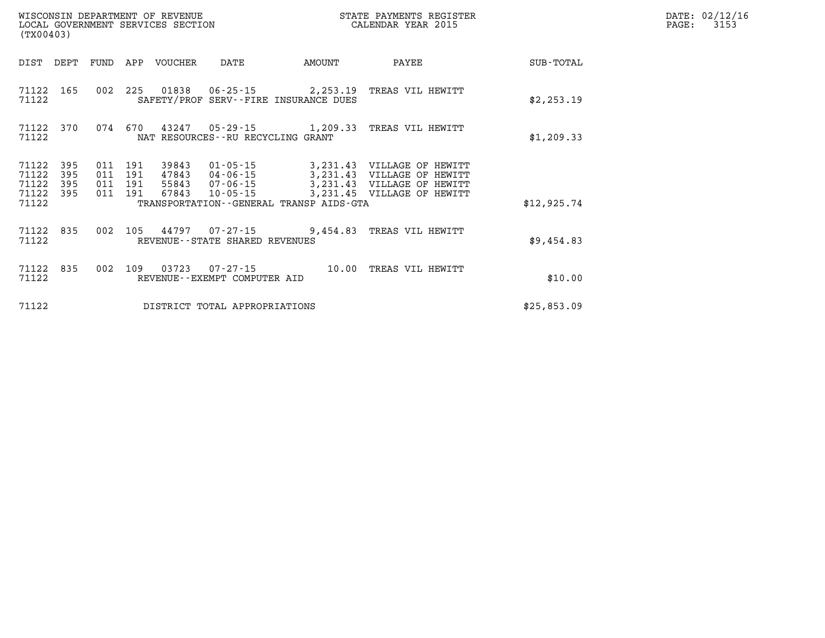| WISCONSIN DEPARTMENT OF REVENUE<br>LOCAL GOVERNMENT SERVICES SECTION<br>(TX00403) |            |                    |     |                            |                                       |                                              | STATE PAYMENTS REGISTER<br>CALENDAR YEAR 2015                              |             | DATE: 02/12/16<br>3153<br>PAGE: |
|-----------------------------------------------------------------------------------|------------|--------------------|-----|----------------------------|---------------------------------------|----------------------------------------------|----------------------------------------------------------------------------|-------------|---------------------------------|
|                                                                                   |            |                    |     | DIST DEPT FUND APP VOUCHER | DATE                                  | AMOUNT                                       | PAYEE                                                                      | SUB-TOTAL   |                                 |
| 71122 165<br>71122                                                                |            | 002                | 225 |                            | SAFETY/PROF SERV--FIRE INSURANCE DUES |                                              | 01838  06-25-15  2,253.19  TREAS VIL HEWITT                                | \$2,253.19  |                                 |
| 71122 370<br>71122                                                                |            |                    |     |                            | NAT RESOURCES - - RU RECYCLING GRANT  |                                              | 074 670 43247 05-29-15 1,209.33 TREAS VIL HEWITT                           | \$1,209.33  |                                 |
| 71122<br>71122                                                                    | 395<br>395 | 011<br>011 191     | 191 | 39843<br>47843             | 01-05-15                              |                                              | 3,231.43 VILLAGE OF HEWITT<br>04-06-15 3,231.43 VILLAGE OF HEWITT          |             |                                 |
| 71122<br>71122<br>71122                                                           | 395<br>395 | 011 191<br>011 191 |     | 67843                      | 10-05-15                              | TRANSPORTATION - - GENERAL TRANSP AIDS - GTA | 55843  07-06-15  3,231.43  VILLAGE OF HEWITT<br>3,231.45 VILLAGE OF HEWITT | \$12,925.74 |                                 |
| 71122 835<br>71122                                                                |            | 002                | 105 |                            | REVENUE--STATE SHARED REVENUES        |                                              | 44797  07-27-15  9,454.83  TREAS VIL HEWITT                                | \$9,454.83  |                                 |
| 71122 835<br>71122                                                                |            | 002                | 109 |                            | REVENUE--EXEMPT COMPUTER AID          | 10.00                                        | TREAS VIL HEWITT                                                           | \$10.00     |                                 |
| 71122                                                                             |            |                    |     |                            | DISTRICT TOTAL APPROPRIATIONS         |                                              |                                                                            | \$25,853.09 |                                 |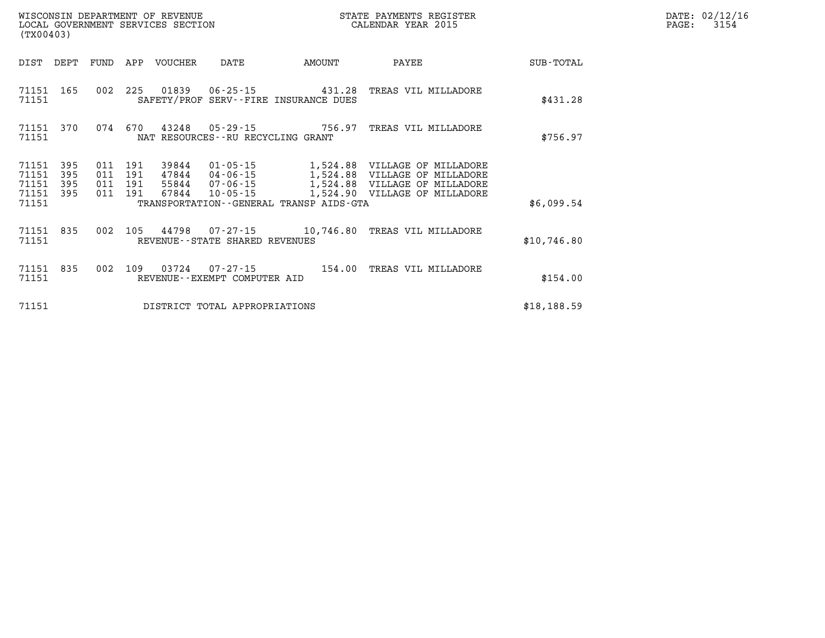| WISCONSIN DEPARTMENT OF REVENUE        | STATE PAYMENTS REGISTER |       | DATE: 02/12/16 |
|----------------------------------------|-------------------------|-------|----------------|
| LOCAL GOVERNMENT SERVICES SECTION<br>. | CALENDAR YEAR 2015      | PAGE: | 3154           |

| (TX00403)                                     |                   |     |                                      | LOCAL GOVERNMENT SERVICES SECTION |                                   |                                         | CALENDAR YEAR 2015                                                                                                      |             | PAGE: | 3154 |
|-----------------------------------------------|-------------------|-----|--------------------------------------|-----------------------------------|-----------------------------------|-----------------------------------------|-------------------------------------------------------------------------------------------------------------------------|-------------|-------|------|
| DIST                                          | DEPT              |     |                                      | FUND APP VOUCHER                  | DATE                              | AMOUNT                                  | PAYEE                                                                                                                   | SUB-TOTAL   |       |      |
| 71151                                         | 71151 165         |     |                                      |                                   |                                   | SAFETY/PROF SERV--FIRE INSURANCE DUES   | 002 225 01839 06-25-15 431.28 TREAS VIL MILLADORE                                                                       | \$431.28    |       |      |
| 71151                                         | 71151 370         |     |                                      |                                   | NAT RESOURCES--RU RECYCLING GRANT |                                         | 074 670 43248 05-29-15 756.97 TREAS VIL MILLADORE                                                                       | \$756.97    |       |      |
| 71151<br>71151<br>71151<br>71151 395<br>71151 | 395<br>395<br>395 | 011 | 191<br>011 191<br>011 191<br>011 191 | 39844<br>67844                    | $10 - 05 - 15$                    | TRANSPORTATION--GENERAL TRANSP AIDS-GTA | 01-05-15 1,524.88 VILLAGE OF MILLADORE<br>55844 07-06-15 1,524.88 VILLAGE OF MILLADORE<br>1,524.90 VILLAGE OF MILLADORE | \$6,099.54  |       |      |
| 71151 835<br>71151                            |                   |     |                                      |                                   | REVENUE--STATE SHARED REVENUES    |                                         | 002 105 44798 07-27-15 10,746.80 TREAS VIL MILLADORE                                                                    | \$10,746.80 |       |      |
| 71151 835<br>71151                            |                   |     |                                      |                                   | REVENUE--EXEMPT COMPUTER AID      |                                         | 002 109 03724 07-27-15 154.00 TREAS VIL MILLADORE                                                                       | \$154.00    |       |      |
| 71151                                         |                   |     |                                      |                                   | DISTRICT TOTAL APPROPRIATIONS     |                                         |                                                                                                                         | \$18,188.59 |       |      |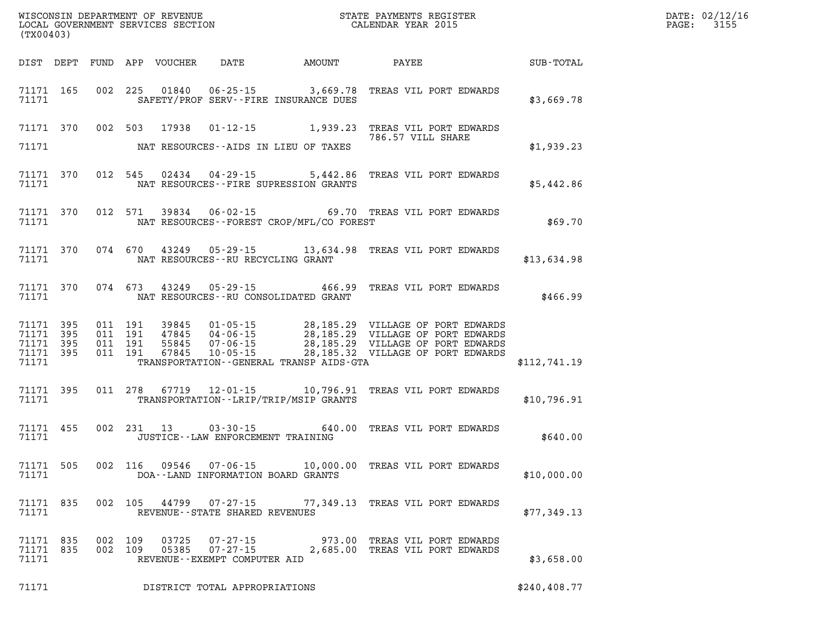| (TX00403)                                                 |  |  |                                         | WISCONSIN DEPARTMENT OF REVENUE<br>LOCAL GOVERNMENT SERVICES SECTION<br>CALENDAR YEAR 2015                                                                                                                                                                                              |                   | STATE PAYMENTS REGISTER<br>CALENDAR YEAR 2015 | DATE: 02/12/1<br>3155<br>$\mathtt{PAGE}$ : |
|-----------------------------------------------------------|--|--|-----------------------------------------|-----------------------------------------------------------------------------------------------------------------------------------------------------------------------------------------------------------------------------------------------------------------------------------------|-------------------|-----------------------------------------------|--------------------------------------------|
|                                                           |  |  |                                         | DIST DEPT FUND APP VOUCHER DATE AMOUNT PAYEE TO SUB-TOTAL                                                                                                                                                                                                                               |                   |                                               |                                            |
| 71171                                                     |  |  |                                         | 71171 165 002 225 01840 06-25-15 3,669.78 TREAS VIL PORT EDWARDS<br>SAFETY/PROF SERV--FIRE INSURANCE DUES                                                                                                                                                                               |                   | \$3,669.78                                    |                                            |
|                                                           |  |  |                                         | 71171 370 002 503 17938 01-12-15 1,939.23 TREAS VIL PORT EDWARDS                                                                                                                                                                                                                        | 786.57 VILL SHARE |                                               |                                            |
| 71171                                                     |  |  |                                         | NAT RESOURCES--AIDS IN LIEU OF TAXES                                                                                                                                                                                                                                                    |                   | \$1,939.23                                    |                                            |
| 71171                                                     |  |  |                                         | 71171 370 012 545 02434 04-29-15 5,442.86 TREAS VIL PORT EDWARDS<br>NAT RESOURCES -- FIRE SUPRESSION GRANTS                                                                                                                                                                             |                   | \$5,442.86                                    |                                            |
| 71171                                                     |  |  |                                         | 71171 370 012 571 39834 06-02-15 69.70 TREAS VIL PORT EDWARDS<br>NAT RESOURCES - FOREST CROP/MFL/CO FOREST                                                                                                                                                                              |                   | \$69.70                                       |                                            |
|                                                           |  |  | 71171 NAT RESOURCES--RU RECYCLING GRANT | 71171 370 074 670 43249 05-29-15 13,634.98 TREAS VIL PORT EDWARDS                                                                                                                                                                                                                       |                   | \$13,634.98                                   |                                            |
|                                                           |  |  |                                         | 71171 370 074 673 43249 05-29-15 466.99 TREAS VIL PORT EDWARDS<br>71171 NAT RESOURCES--RU CONSOLIDATED GRANT                                                                                                                                                                            |                   | \$466.99                                      |                                            |
| 71171 395<br>71171 395<br>71171 395<br>71171 395<br>71171 |  |  |                                         | 011 191 39845 01-05-15 28,185.29 VILLAGE OF PORT EDWARDS<br>011 191 47845 04-06-15 28,185.29 VILLAGE OF PORT EDWARDS<br>011 191 55845 07-06-15 28,185.29 VILLAGE OF PORT EDWARDS<br>011 191 67845 10-05-15 28,185.32 VILLAGE OF PORT ED<br>TRANSPORTATION - - GENERAL TRANSP AIDS - GTA |                   | \$112,741.19                                  |                                            |
| 71171                                                     |  |  |                                         | 71171 395 011 278 67719 12-01-15 10,796.91 TREAS VIL PORT EDWARDS<br>TRANSPORTATION--LRIP/TRIP/MSIP GRANTS                                                                                                                                                                              |                   | \$10,796.91                                   |                                            |
| 71171 455<br>71171                                        |  |  | JUSTICE--LAW ENFORCEMENT TRAINING       | 002 231 13 03-30-15 640.00 TREAS VIL PORT EDWARDS                                                                                                                                                                                                                                       |                   | \$640.00                                      |                                            |
| 71171                                                     |  |  |                                         | 71171 505 002 116 09546 07-06-15 10,000.00 TREAS VIL PORT EDWARDS<br>DOA--LAND INFORMATION BOARD GRANTS                                                                                                                                                                                 |                   | \$10,000.00                                   |                                            |
| 71171                                                     |  |  | REVENUE--STATE SHARED REVENUES          | 71171 835 002 105 44799 07-27-15 77,349.13 TREAS VIL PORT EDWARDS                                                                                                                                                                                                                       |                   | \$77,349.13                                   |                                            |
| 71171 835<br>71171 835<br>71171                           |  |  | REVENUE--EXEMPT COMPUTER AID            | 002 109 03725 07-27-15   973.00 TREAS VIL PORT EDWARDS<br>002 109 05385 07-27-15   2,685.00 TREAS VIL PORT EDWARDS                                                                                                                                                                      |                   | \$3,658.00                                    |                                            |
| 71171                                                     |  |  | DISTRICT TOTAL APPROPRIATIONS           |                                                                                                                                                                                                                                                                                         |                   | \$240, 408.77                                 |                                            |

**DATE: 02/12/16<br>PAGE: 3155**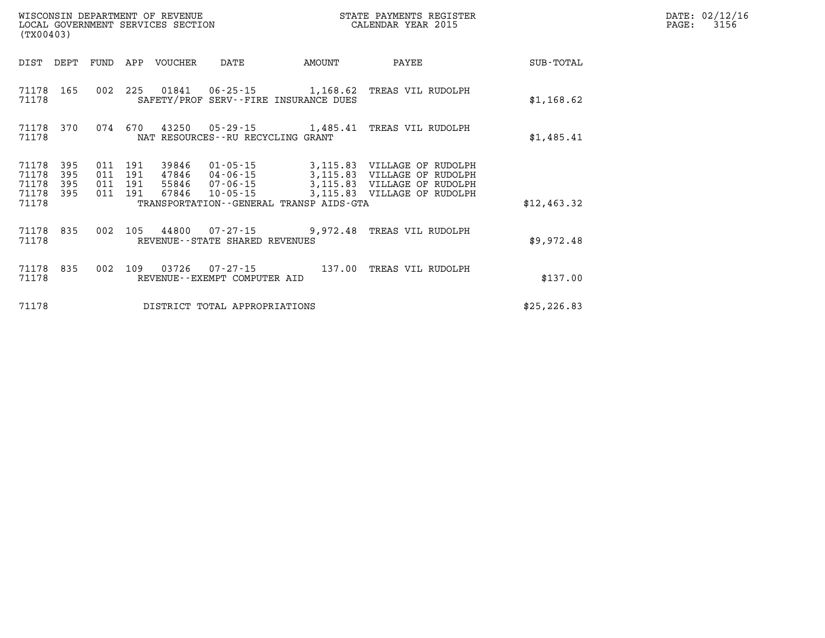| WISCONSIN DEPARTMENT OF REVENUE<br>LOCAL GOVERNMENT SERVICES SECTION<br>(TX00403) |            |            |            |                |                                      |                                                                      | STATE PAYMENTS REGISTER<br>CALENDAR YEAR 2015              |                  |
|-----------------------------------------------------------------------------------|------------|------------|------------|----------------|--------------------------------------|----------------------------------------------------------------------|------------------------------------------------------------|------------------|
| DIST                                                                              | DEPT       | FUND       | APP        | VOUCHER        | DATE                                 | AMOUNT                                                               | PAYEE                                                      | <b>SUB-TOTAL</b> |
| 71178<br>71178                                                                    | 165        | 002        | 225        |                |                                      | $01841$ $06-25-15$ 1,168.62<br>SAFETY/PROF SERV--FIRE INSURANCE DUES | TREAS VIL RUDOLPH                                          | \$1,168.62       |
| 71178<br>71178                                                                    | 370        | 074        | 670        |                | NAT RESOURCES - - RU RECYCLING GRANT | 43250  05-29-15  1,485.41                                            | TREAS VIL RUDOLPH                                          | \$1,485.41       |
| 71178<br>71178                                                                    | 395<br>395 | 011<br>011 | 191<br>191 | 39846<br>47846 | 01-05-15<br>04-06-15                 |                                                                      | 3,115.83 VILLAGE OF RUDOLPH<br>3,115.83 VILLAGE OF RUDOLPH |                  |
| 71178<br>71178                                                                    | 395<br>395 | 011<br>011 | 191<br>191 | 55846<br>67846 | $07 - 06 - 15$<br>10-05-15           |                                                                      | 3,115.83 VILLAGE OF RUDOLPH<br>3,115.83 VILLAGE OF RUDOLPH |                  |
| 71178                                                                             |            |            |            |                |                                      | TRANSPORTATION - - GENERAL TRANSP AIDS - GTA                         |                                                            | \$12,463.32      |
| 71178<br>71178                                                                    | 835        | 002        | 105        |                | REVENUE--STATE SHARED REVENUES       | 44800 07-27-15 9,972.48                                              | TREAS VIL RUDOLPH                                          | \$9,972.48       |
| 71178<br>71178                                                                    | 835        | 002        | 109        | 03726          | REVENUE - - EXEMPT COMPUTER AID      | 07-27-15 137.00                                                      | TREAS VIL RUDOLPH                                          | \$137.00         |
| 71178                                                                             |            |            |            |                | DISTRICT TOTAL APPROPRIATIONS        |                                                                      |                                                            | \$25, 226.83     |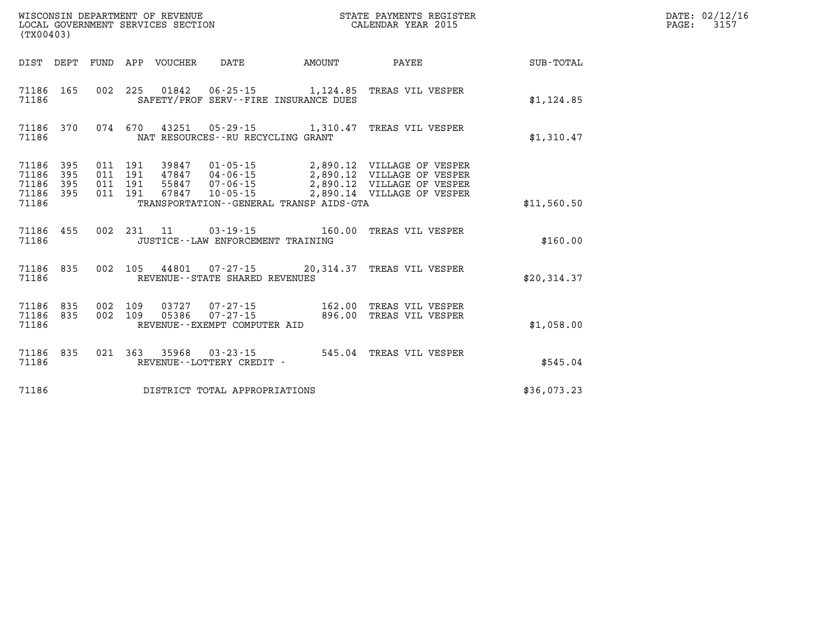| (TX00403)                                 |                          |                          |                          | WISCONSIN DEPARTMENT OF REVENUE<br>LOCAL GOVERNMENT SERVICES SECTION |                                                                                    |                                                   | STATE PAYMENTS REGISTER<br>CALENDAR YEAR 2015                                                                        |             |
|-------------------------------------------|--------------------------|--------------------------|--------------------------|----------------------------------------------------------------------|------------------------------------------------------------------------------------|---------------------------------------------------|----------------------------------------------------------------------------------------------------------------------|-------------|
| DIST                                      | DEPT                     | FUND                     | APP                      | VOUCHER                                                              | DATE                                                                               | AMOUNT                                            | PAYEE                                                                                                                | SUB-TOTAL   |
| 71186<br>71186                            | 165                      | 002                      | 225                      | 01842                                                                | $06 - 25 - 15$                                                                     | 1,124.85<br>SAFETY/PROF SERV--FIRE INSURANCE DUES | TREAS VIL VESPER                                                                                                     | \$1,124.85  |
| 71186<br>71186                            | 370                      | 074                      | 670                      | 43251                                                                | NAT RESOURCES - - RU RECYCLING GRANT                                               | $05 - 29 - 15$ 1, 310.47                          | TREAS VIL VESPER                                                                                                     | \$1,310.47  |
| 71186<br>71186<br>71186<br>71186<br>71186 | 395<br>395<br>395<br>395 | 011<br>011<br>011<br>011 | 191<br>191<br>191<br>191 | 39847<br>47847<br>55847<br>67847                                     | $01 - 05 - 15$<br>04 - 06 - 15<br>07 - 06 - 15<br>$07 - 06 - 15$<br>$10 - 05 - 15$ | TRANSPORTATION - - GENERAL TRANSP AIDS - GTA      | 2,890.12 VILLAGE OF VESPER<br>2,890.12 VILLAGE OF VESPER<br>2,890.12 VILLAGE OF VESPER<br>2,890.14 VILLAGE OF VESPER | \$11,560.50 |
| 71186<br>71186                            | 455                      | 002                      | 231                      | 11                                                                   | $03 - 19 - 15$<br>JUSTICE - - LAW ENFORCEMENT TRAINING                             | 160.00                                            | TREAS VIL VESPER                                                                                                     | \$160.00    |
| 71186<br>71186                            | 835                      | 002                      | 105                      |                                                                      | REVENUE - - STATE SHARED REVENUES                                                  | 44801 07-27-15 20,314.37                          | TREAS VIL VESPER                                                                                                     | \$20,314.37 |
| 71186<br>71186<br>71186                   | 835<br>835               | 002<br>002               | 109<br>109               | 03727<br>05386                                                       | $07 - 27 - 15$<br>$07 - 27 - 15$<br>REVENUE - - EXEMPT COMPUTER AID                | 162.00<br>896.00                                  | TREAS VIL VESPER<br>TREAS VIL VESPER                                                                                 | \$1,058.00  |
| 71186<br>71186                            | 835                      | 021                      | 363                      | 35968                                                                | $03 - 23 - 15$<br>REVENUE - - LOTTERY CREDIT -                                     | 545.04                                            | TREAS VIL VESPER                                                                                                     | \$545.04    |
| 71186                                     |                          |                          |                          |                                                                      | DISTRICT TOTAL APPROPRIATIONS                                                      |                                                   |                                                                                                                      | \$36,073.23 |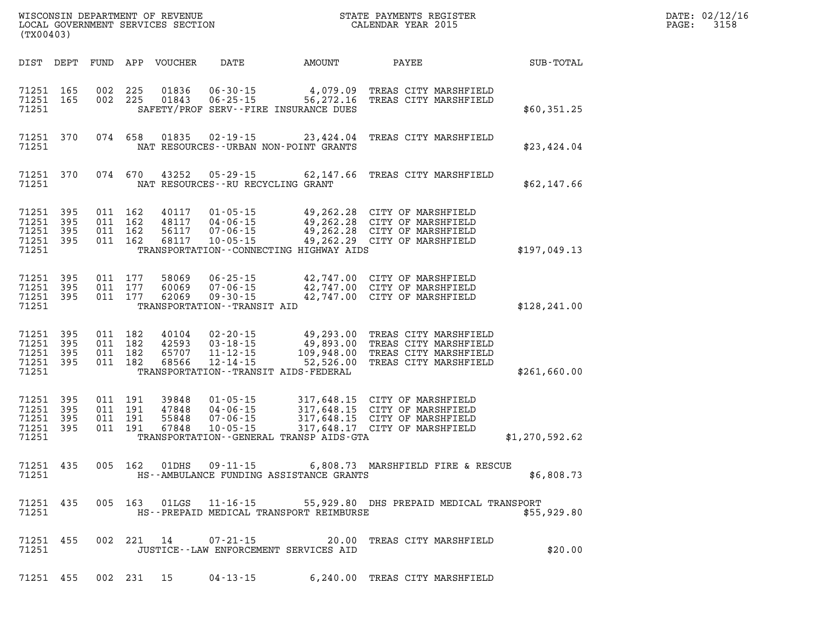| WISCONSIN DEPARTMENT OF REVENUE   | PAYMENTS REGISTER<br>ТТАТЕ | DATE: | 02/12/16 |
|-----------------------------------|----------------------------|-------|----------|
| LOCAL GOVERNMENT SERVICES SECTION | CALENDAR YEAR 2015         | PAGE  |          |

| DIST<br>DEPT                                                          | FUND                     | APP<br><b>VOUCHER</b>                                        | DATE                                                                                                              | AMOUNT                                                                                          | PAYEE                                                                                            | SUB-TOTAL      |
|-----------------------------------------------------------------------|--------------------------|--------------------------------------------------------------|-------------------------------------------------------------------------------------------------------------------|-------------------------------------------------------------------------------------------------|--------------------------------------------------------------------------------------------------|----------------|
| 71251<br>165<br>71251<br>165<br>71251                                 | 002<br>002               | 225<br>01836<br>225<br>01843                                 | $06 - 30 - 15$<br>$06 - 25 - 15$                                                                                  | 4,079.09<br>56,272.16<br>SAFETY/PROF SERV--FIRE INSURANCE DUES                                  | TREAS CITY MARSHFIELD<br>TREAS CITY MARSHFIELD                                                   | \$60,351.25    |
| 71251<br>370<br>71251                                                 | 074                      | 658<br>01835                                                 | $02 - 19 - 15$                                                                                                    | 23,424.04<br>NAT RESOURCES - - URBAN NON - POINT GRANTS                                         | TREAS CITY MARSHFIELD                                                                            | \$23,424.04    |
| 71251<br>370<br>71251                                                 | 074                      | 670<br>43252                                                 | $05 - 29 - 15$<br>NAT RESOURCES - - RU RECYCLING GRANT                                                            | 62,147.66                                                                                       | TREAS CITY MARSHFIELD                                                                            | \$62,147.66    |
| 395<br>71251<br>71251<br>395<br>71251<br>395<br>71251<br>395<br>71251 | 011<br>011<br>011<br>011 | 162<br>40117<br>162<br>48117<br>162<br>56117<br>162<br>68117 | $01 - 05 - 15$<br>$04 - 06 - 15$<br>$07 - 06 - 15$<br>$10 - 05 - 15$                                              | 49,262.28<br>49,262.28<br>49,262.28<br>49,262.29<br>TRANSPORTATION--CONNECTING HIGHWAY AIDS     | CITY OF MARSHFIELD<br>CITY OF MARSHFIELD<br>CITY OF MARSHFIELD<br>CITY OF MARSHFIELD             | \$197,049.13   |
| 395<br>71251<br>71251<br>395<br>71251<br>395<br>71251                 | 011<br>011<br>011        | 177<br>58069<br>177<br>60069<br>177<br>62069                 | $06 - 25 - 15$<br>$07 - 06 - 15$<br>$09 - 30 - 15$<br>TRANSPORTATION - - TRANSIT AID                              | 42,747.00<br>42,747.00<br>42,747.00                                                             | CITY OF MARSHFIELD<br>CITY OF MARSHFIELD<br>CITY OF MARSHFIELD                                   | \$128,241.00   |
| 71251<br>395<br>71251<br>395<br>71251<br>395<br>71251<br>395<br>71251 | 011<br>011<br>011<br>011 | 182<br>40104<br>182<br>42593<br>182<br>65707<br>182<br>68566 | $02 - 20 - 15$<br>$03 - 18 - 15$<br>$11 - 12 - 15$<br>$12 - 14 - 15$<br>TRANSPORTATION - - TRANSIT AIDS - FEDERAL | 49,293.00<br>49,893.00<br>109,948.00<br>52,526.00                                               | TREAS CITY MARSHFIELD<br>TREAS CITY MARSHFIELD<br>TREAS CITY MARSHFIELD<br>TREAS CITY MARSHFIELD | \$261,660.00   |
| 395<br>71251<br>71251<br>395<br>71251<br>395<br>71251<br>395<br>71251 | 011<br>011<br>011<br>011 | 191<br>39848<br>191<br>47848<br>191<br>55848<br>191<br>67848 | $01 - 05 - 15$<br>$04 - 06 - 15$<br>$07 - 06 - 15$<br>$10 - 05 - 15$                                              | 317,648.15<br>317,648.15<br>317,648.15<br>317,648.17<br>TRANSPORTATION--GENERAL TRANSP AIDS-GTA | CITY OF MARSHFIELD<br>CITY OF MARSHFIELD<br>CITY OF MARSHFIELD<br>CITY OF MARSHFIELD             | \$1,270,592.62 |
| 71251<br>435<br>71251                                                 | 005                      | 162<br>01DHS                                                 | 09 - 11 - 15                                                                                                      | 6,808.73<br>HS--AMBULANCE FUNDING ASSISTANCE GRANTS                                             | MARSHFIELD FIRE & RESCUE                                                                         | \$6,808.73     |
| 71251<br>435<br>71251                                                 | 005                      | 163<br>01LGS                                                 | $11 - 16 - 15$                                                                                                    | 55,929.80<br>HS--PREPAID MEDICAL TRANSPORT REIMBURSE                                            | DHS PREPAID MEDICAL TRANSPORT                                                                    | \$55,929.80    |
| 71251<br>455<br>71251                                                 | 002                      | 221<br>14                                                    | $07 - 21 - 15$                                                                                                    | 20.00<br>JUSTICE--LAW ENFORCEMENT SERVICES AID                                                  | TREAS CITY MARSHFIELD                                                                            | \$20.00        |
| 71251<br>455                                                          | 002                      | 231<br>15                                                    | $04 - 13 - 15$                                                                                                    | 6,240.00                                                                                        | TREAS CITY MARSHFIELD                                                                            |                |

**(TX00403)**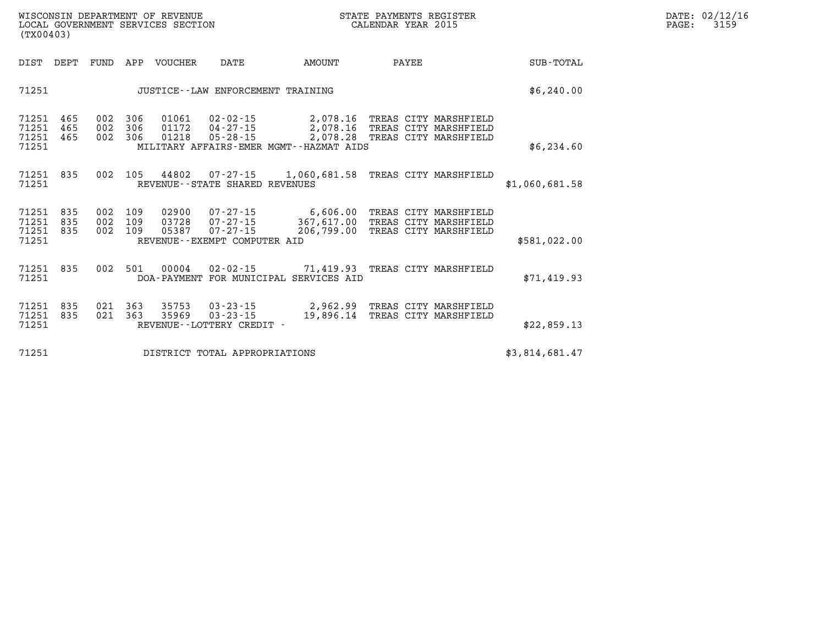| WISCONSIN DEPARTMENT OF REVENUE         | PAYMENTS REGISTER<br>3TATE | DATE: | 02/12/16                        |
|-----------------------------------------|----------------------------|-------|---------------------------------|
| SERVICES SECTION<br>LOCAL<br>GOVERNMENT | CALENDAR YEAR 2015         | PAGE  | $\sim$ $\sim$ $\sim$<br>$\cdot$ |

|                                      | LOCAL GOVERNMENT SERVICES SECTION<br>(TX00403) |                   |                   |                         |                                                                  |                                                                                                                                               | CALENDAR YEAR 2015 |       |                | PAGE: | 3159 |
|--------------------------------------|------------------------------------------------|-------------------|-------------------|-------------------------|------------------------------------------------------------------|-----------------------------------------------------------------------------------------------------------------------------------------------|--------------------|-------|----------------|-------|------|
| DIST DEPT                            |                                                |                   |                   | FUND APP VOUCHER        | DATE                                                             | AMOUNT                                                                                                                                        |                    | PAYEE | SUB-TOTAL      |       |      |
| 71251                                |                                                |                   |                   |                         | JUSTICE -- LAW ENFORCEMENT TRAINING                              |                                                                                                                                               |                    |       | \$6,240.00     |       |      |
| 71251<br>71251<br>71251 465<br>71251 | 465<br>465                                     | 002<br>002<br>002 | 306<br>306<br>306 | 01061<br>01172<br>01218 | $02 - 02 - 15$<br>$04 - 27 - 15$<br>$05 - 28 - 15$               | 2,078.16 TREAS CITY MARSHFIELD<br>2,078.16 TREAS CITY MARSHFIELD<br>2,078.28 TREAS CITY MARSHFIELD<br>MILITARY AFFAIRS-EMER MGMT--HAZMAT AIDS |                    |       | \$6, 234.60    |       |      |
| 71251 835<br>71251                   |                                                | 002               | 105               | 44802                   | REVENUE--STATE SHARED REVENUES                                   | 07-27-15 1,060,681.58 TREAS CITY MARSHFIELD                                                                                                   |                    |       | \$1,060,681.58 |       |      |
| 71251<br>71251<br>71251<br>71251     | 835<br>835<br>835                              | 002<br>002<br>002 | 109<br>109<br>109 | 02900<br>03728<br>05387 | 07-27-15<br>$07 - 27 - 15$<br>REVENUE--EXEMPT COMPUTER AID       | 07-27-15 6,606.00 TREAS CITY MARSHFIELD<br>367,617.00 TREAS CITY MARSHFIELD<br>206,799.00 TREAS CITY MARSHFIELD                               |                    |       | \$581,022.00   |       |      |
| 71251<br>71251                       | 835                                            |                   | 002 501           | 00004                   | 02-02-15                                                         | 71,419.93 TREAS CITY MARSHFIELD<br>DOA-PAYMENT FOR MUNICIPAL SERVICES AID                                                                     |                    |       | \$71,419.93    |       |      |
| 71251<br>71251<br>71251              | 835<br>835                                     | 021<br>021        | 363<br>363        | 35753<br>35969          | $03 - 23 - 15$<br>$03 - 23 - 15$<br>REVENUE - - LOTTERY CREDIT - | 2,962.99 TREAS CITY MARSHFIELD<br>19,896.14 TREAS CITY MARSHFIELD                                                                             |                    |       | \$22,859.13    |       |      |
| 71251                                |                                                |                   |                   |                         | DISTRICT TOTAL APPROPRIATIONS                                    |                                                                                                                                               |                    |       | \$3,814,681.47 |       |      |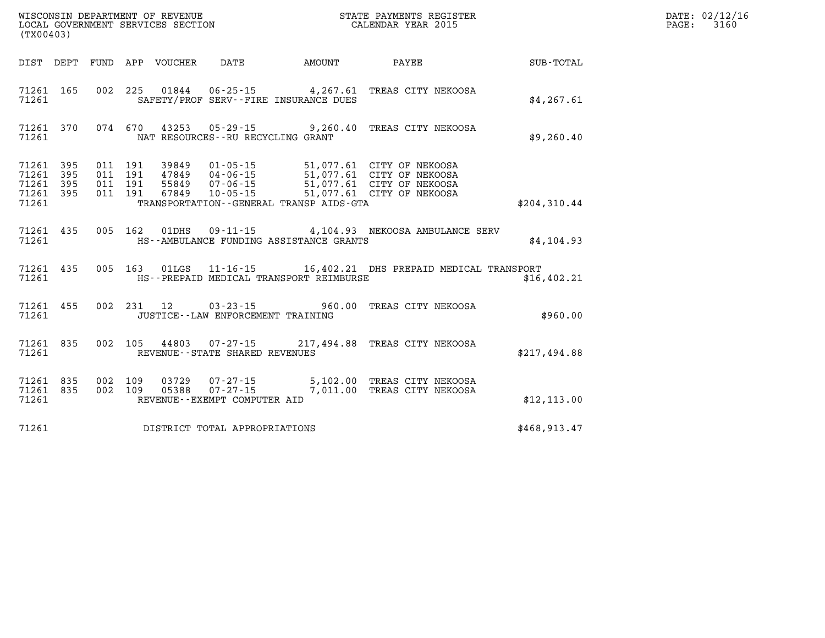| (TX00403) |  |                                          |                                               | WISCONSIN DEPARTMENT OF REVENUE<br>LOCAL GOVERNMENT SERVICES SECTION<br>LOCAL GOVERNMENT SERVICES SECTION<br>CALENDAR YEAR 2015                                                                                                |               | DATE: 02/12/16<br>PAGE: 3160 |
|-----------|--|------------------------------------------|-----------------------------------------------|--------------------------------------------------------------------------------------------------------------------------------------------------------------------------------------------------------------------------------|---------------|------------------------------|
|           |  |                                          |                                               | DIST DEPT FUND APP VOUCHER DATE AMOUNT PAYEE PAYER SUB-TOTAL                                                                                                                                                                   |               |                              |
|           |  |                                          | 71261 SAFETY/PROF SERV--FIRE INSURANCE DUES   | 71261 165 002 225 01844 06-25-15 4,267.61 TREAS CITY NEKOOSA                                                                                                                                                                   | \$4,267.61    |                              |
|           |  | 71261 MAT RESOURCES--RU RECYCLING GRANT  |                                               | 71261 370 074 670 43253 05-29-15 9,260.40 TREAS CITY NEKOOSA                                                                                                                                                                   | \$9,260.40    |                              |
| 71261     |  |                                          | TRANSPORTATION - - GENERAL TRANSP AIDS - GTA  | 11261 395 011 191 39849 01-05-15 51,077.61 CITY OF NEKOOSA 71261 395 011 191 47849 04-06-15 51,077.61 CITY OF NEKOOSA 71261 395 011 191 55849 07-06-15 51,077.61 CITY OF NEKOOSA 71261 395 011 191 67849 10-05-15 51,077.61 CI | \$204, 310.44 |                              |
|           |  |                                          | 71261 MS--AMBULANCE FUNDING ASSISTANCE GRANTS | 71261 435 005 162 01DHS 09-11-15 4,104.93 NEKOOSA AMBULANCE SERV                                                                                                                                                               | \$4,104.93    |                              |
|           |  |                                          | 71261 MS--PREPAID MEDICAL TRANSPORT REIMBURSE | 71261 435 005 163 01LGS 11-16-15 16,402.21 DHS PREPAID MEDICAL TRANSPORT                                                                                                                                                       | \$16,402.21   |                              |
|           |  | 71261 JUSTICE - LAW ENFORCEMENT TRAINING |                                               | 71261 455 002 231 12 03-23-15 960.00 TREAS CITY NEKOOSA                                                                                                                                                                        | \$960.00      |                              |
| 71261     |  | REVENUE--STATE SHARED REVENUES           |                                               | 71261 835 002 105 44803 07-27-15 217,494.88 TREAS CITY NEKOOSA                                                                                                                                                                 | \$217,494.88  |                              |
|           |  | 71261 REVENUE--EXEMPT COMPUTER AID       |                                               | 71261 835 002 109 03729 07-27-15 5,102.00 TREAS CITY NEKOOSA<br>71261 835 002 109 05388 07-27-15 7,011.00 TREAS CITY NEKOOSA                                                                                                   | \$12, 113.00  |                              |
| 71261     |  | DISTRICT TOTAL APPROPRIATIONS            |                                               |                                                                                                                                                                                                                                | \$468,913.47  |                              |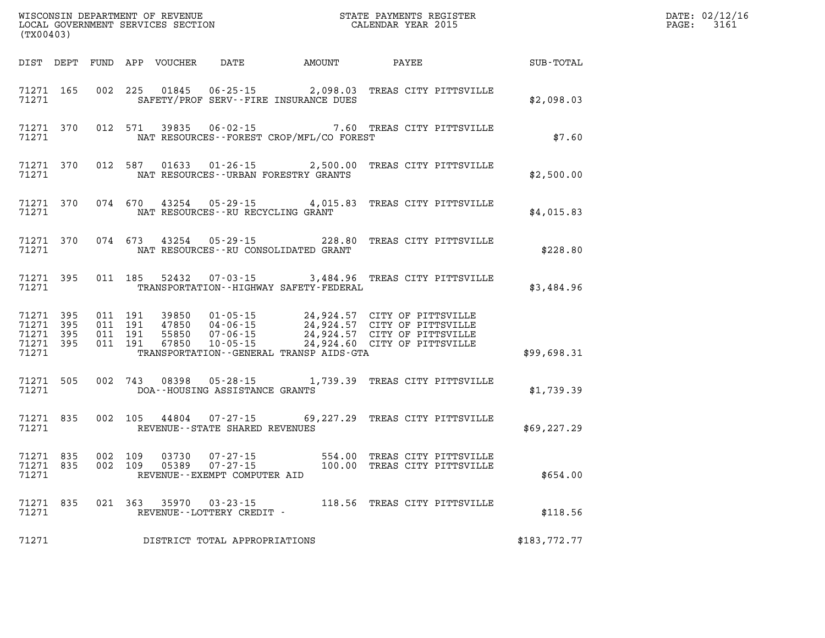| (TX00403) |                                                           |         |                    |                |                                |                                             |                                                                                                                                                                                                                          |              | DATE: 02/12/16<br>$\mathtt{PAGE}$ :<br>3161 |  |
|-----------|-----------------------------------------------------------|---------|--------------------|----------------|--------------------------------|---------------------------------------------|--------------------------------------------------------------------------------------------------------------------------------------------------------------------------------------------------------------------------|--------------|---------------------------------------------|--|
|           |                                                           |         |                    |                |                                |                                             | DIST DEPT FUND APP VOUCHER DATE AMOUNT PAYEE TOTAL                                                                                                                                                                       |              |                                             |  |
|           | 71271 165<br>71271                                        |         |                    |                |                                | SAFETY/PROF SERV--FIRE INSURANCE DUES       | 002 225 01845 06-25-15 2,098.03 TREAS CITY PITTSVILLE                                                                                                                                                                    | \$2,098.03   |                                             |  |
|           | 71271                                                     |         |                    |                |                                | NAT RESOURCES--FOREST CROP/MFL/CO FOREST    | 71271 370 012 571 39835 06-02-15 7.60 TREAS CITY PITTSVILLE                                                                                                                                                              | \$7.60       |                                             |  |
|           |                                                           |         |                    |                |                                |                                             | 71271 370 012 587 01633 01-26-15 2,500.00 TREAS CITY PITTSVILLE                                                                                                                                                          | \$2,500.00   |                                             |  |
|           | 71271                                                     |         |                    |                |                                | NAT RESOURCES--RU RECYCLING GRANT           | 71271 370 074 670 43254 05-29-15 4,015.83 TREAS CITY PITTSVILLE                                                                                                                                                          | \$4,015.83   |                                             |  |
|           |                                                           |         |                    |                |                                |                                             | 71271 370 074 673 43254 05-29-15 228.80 TREAS CITY PITTSVILLE                                                                                                                                                            | \$228.80     |                                             |  |
| 71271     | 71271 395                                                 |         |                    |                |                                | TRANSPORTATION - - HIGHWAY SAFETY - FEDERAL | 011 185 52432 07-03-15 3,484.96 TREAS CITY PITTSVILLE                                                                                                                                                                    | \$3,484.96   |                                             |  |
|           | 71271 395<br>71271 395<br>71271 395<br>71271 395<br>71271 | 011 191 |                    |                |                                | TRANSPORTATION - GENERAL TRANSP AIDS - GTA  | 011 191 39850 01-05-15 24,924.57 CITY OF PITTSVILLE<br>011 191 47850 04-06-15 24,924.57 CITY OF PITTSVILLE<br>011 191 55850 07-06-15 24,924.57 CITY OF PITTSVILLE<br>011 191 67850 10-05-15 24,924.60 CITY OF PITTSVILLE | \$99,698.31  |                                             |  |
| 71271     | 71271 505                                                 |         |                    |                | DOA--HOUSING ASSISTANCE GRANTS |                                             | 002 743 08398 05-28-15 1,739.39 TREAS CITY PITTSVILLE                                                                                                                                                                    | \$1,739.39   |                                             |  |
|           |                                                           |         |                    |                |                                | 71271 REVENUE - - STATE SHARED REVENUES     | 71271 835 002 105 44804 07-27-15 69,227.29 TREAS CITY PITTSVILLE                                                                                                                                                         | \$69, 227.29 |                                             |  |
| 71271     | 71271 835<br>71271 835                                    |         | 002 109<br>002 109 | 03730<br>05389 | REVENUE--EXEMPT COMPUTER AID   |                                             | 07-27-15 554.00 TREAS CITY PITTSVILLE<br>07-27-15 100.00 TREAS CITY PITTSVILLE                                                                                                                                           | \$654.00     |                                             |  |
|           |                                                           |         |                    |                |                                |                                             | 71271 835 021 363 35970 03-23-15 118.56 TREAS CITY PITTSVILLE 71271 REVENUE--LOTTERY CREDIT -                                                                                                                            | \$118.56     |                                             |  |
| 71271     |                                                           |         |                    |                | DISTRICT TOTAL APPROPRIATIONS  |                                             |                                                                                                                                                                                                                          | \$183,772.77 |                                             |  |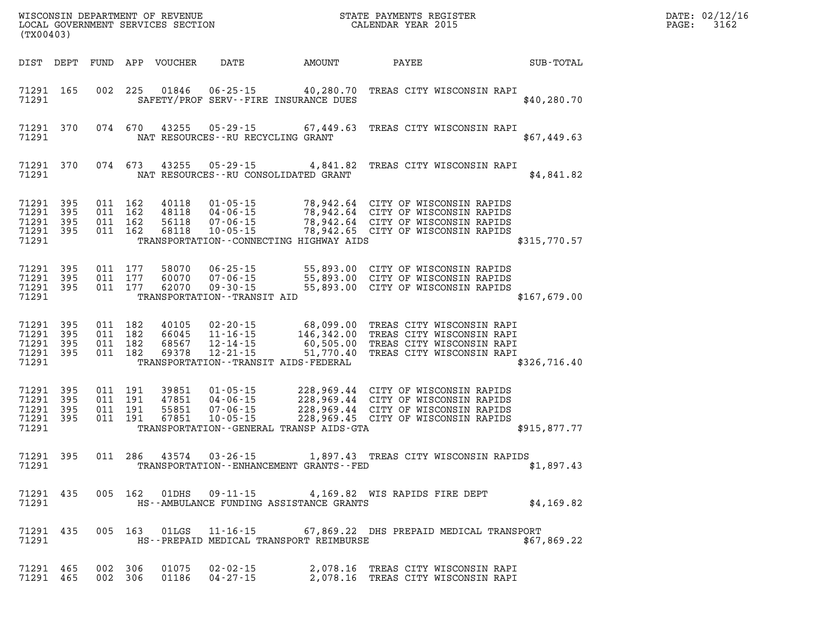| DATE: | 02/12/16 |
|-------|----------|
| PAGE: | 3162     |

| (TX00403)          |                                                  |                    |                               |                                  |                                                                                      |                                               | % WISCONSIN DEPARTMENT OF REVENUE $$\tt SCATE$ PAYMENTS REGIST LOCAL GOVERNMENT SERVICES SECTION $$\tt CALENDAR$ YEAR 2015<br>STATE PAYMENTS REGISTER                                                                            |              | DATE: 02/12/1<br>PAGE:<br>3162 |
|--------------------|--------------------------------------------------|--------------------|-------------------------------|----------------------------------|--------------------------------------------------------------------------------------|-----------------------------------------------|----------------------------------------------------------------------------------------------------------------------------------------------------------------------------------------------------------------------------------|--------------|--------------------------------|
|                    | DIST DEPT                                        |                    |                               | FUND APP VOUCHER                 | DATE                                                                                 | AMOUNT                                        | PAYEE                                                                                                                                                                                                                            | SUB-TOTAL    |                                |
| 71291              | 71291 165                                        |                    |                               |                                  |                                                                                      | SAFETY/PROF SERV--FIRE INSURANCE DUES         | 002 225 01846 06-25-15 40,280.70 TREAS CITY WISCONSIN RAPI                                                                                                                                                                       | \$40, 280.70 |                                |
| 71291              | 71291 370                                        |                    | 074 670                       |                                  | 43255 05-29-15<br>NAT RESOURCES--RU RECYCLING GRANT                                  |                                               | 67,449.63 TREAS CITY WISCONSIN RAPI                                                                                                                                                                                              | \$67,449.63  |                                |
| 71291              | 71291 370                                        |                    | 074 673                       |                                  | 43255 05-29-15                                                                       | NAT RESOURCES--RU CONSOLIDATED GRANT          | 4,841.82 TREAS CITY WISCONSIN RAPI                                                                                                                                                                                               | \$4,841.82   |                                |
| 71291 395<br>71291 | 71291 395<br>71291 395<br>71291 395              | 011 162<br>011 162 | 011 162<br>011 162            |                                  |                                                                                      | TRANSPORTATION--CONNECTING HIGHWAY AIDS       |                                                                                                                                                                                                                                  | \$315,770.57 |                                |
| 71291              | 71291 395<br>71291 395<br>71291 395              | 011 177<br>011 177 | 011 177                       | 62070                            | 58070 06-25-15<br>60070 07-06-15<br>$09 - 30 - 15$<br>TRANSPORTATION - - TRANSIT AID |                                               | 55,893.00 CITY OF WISCONSIN RAPIDS<br>55,893.00 CITY OF WISCONSIN RAPIDS<br>55,893.00 CITY OF WISCONSIN RAPIDS                                                                                                                   | \$167,679.00 |                                |
| 71291              | 71291 395<br>71291 395<br>71291 395<br>71291 395 | 011 182            | 011 182<br>011 182<br>011 182 | 40105<br>66045<br>68567<br>69378 | $12 - 21 - 15$                                                                       | TRANSPORTATION - - TRANSIT AIDS - FEDERAL     | 02-20-15 68,099.00 TREAS CITY WISCONSIN RAPI<br>11-16-15 146,342.00 TREAS CITY WISCONSIN RAPI<br>12-14-15 60,505.00 TREAS CITY WISCONSIN RAPI<br>51,770.40 TREAS CITY WISCONSIN RAPI                                             | \$326,716.40 |                                |
| 71291 395<br>71291 | 71291 395<br>71291 395<br>71291 395              | 011 191            | 011 191<br>011 191<br>011 191 |                                  |                                                                                      | TRANSPORTATION--GENERAL TRANSP AIDS-GTA       | 39851  01-05-15  228,969.44  CITY OF WISCONSIN RAPIDS<br>47851  04-06-15  228,969.44  CITY OF WISCONSIN RAPIDS<br>55851  07-06-15  228,969.44  CITY OF WISCONSIN RAPIDS<br>67851  10-05-15  228,969.45  CITY OF WISCONSIN RAPIDS | \$915,877.77 |                                |
| 71291              | 71291 395                                        |                    | 011 286                       | 43574                            | $03 - 26 - 15$                                                                       | TRANSPORTATION - - ENHANCEMENT GRANTS - - FED | 1,897.43 TREAS CITY WISCONSIN RAPIDS                                                                                                                                                                                             | \$1,897.43   |                                |
| 71291              | 71291 435                                        |                    | 005 162                       |                                  |                                                                                      | HS--AMBULANCE FUNDING ASSISTANCE GRANTS       | 01DHS  09-11-15  4,169.82  WIS RAPIDS FIRE DEPT                                                                                                                                                                                  | \$4,169.82   |                                |
| 71291              | 71291 435                                        |                    | 005 163                       |                                  |                                                                                      | HS--PREPAID MEDICAL TRANSPORT REIMBURSE       | 01LGS 11-16-15 67,869.22 DHS PREPAID MEDICAL TRANSPORT                                                                                                                                                                           | \$67,869.22  |                                |
|                    | 71291 465<br>71291 465                           | 002 306            | 002 306                       | 01186                            | 01075   02 - 02 - 15<br>04-27-15                                                     |                                               | 2,078.16 TREAS CITY WISCONSIN RAPI<br>2,078.16 TREAS CITY WISCONSIN RAPI                                                                                                                                                         |              |                                |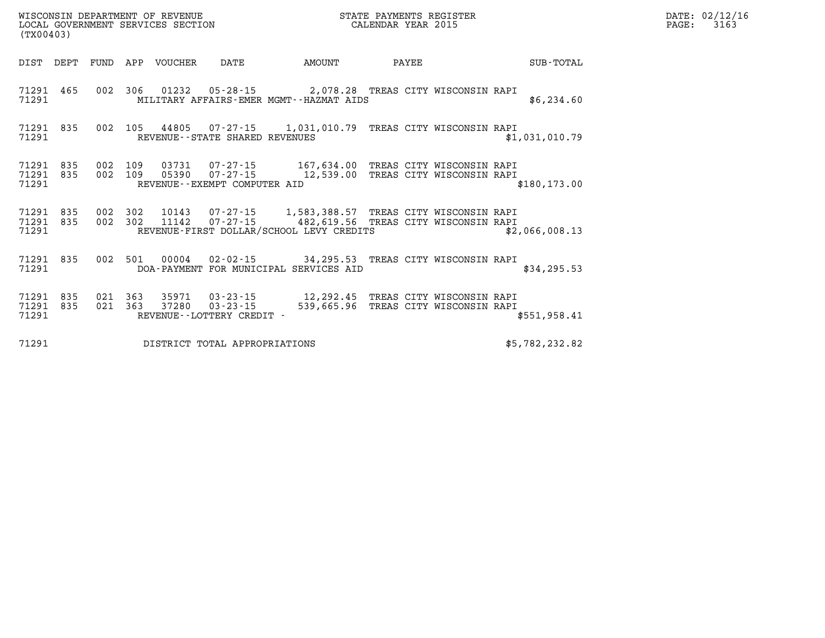| (TX00403)                       |            |         | WISCONSIN DEPARTMENT OF REVENUE<br>LOCAL GOVERNMENT SERVICES SECTION |                                             | STATE PAYMENTS REGISTER<br>CALENDAR YEAR 2015                                                                                                     |              | $\mathtt{PAGE}$ :         | DATE: 02/12/16<br>3163 |                  |  |  |
|---------------------------------|------------|---------|----------------------------------------------------------------------|---------------------------------------------|---------------------------------------------------------------------------------------------------------------------------------------------------|--------------|---------------------------|------------------------|------------------|--|--|
|                                 |            |         | DIST DEPT FUND APP VOUCHER DATE                                      |                                             | <b>AMOUNT</b>                                                                                                                                     | <b>PAYEE</b> |                           |                        | <b>SUB-TOTAL</b> |  |  |
| 71291 465<br>71291              |            |         |                                                                      |                                             | 002 306 01232 05-28-15 2,078.28 TREAS CITY WISCONSIN RAPI<br>MILITARY AFFAIRS-EMER MGMT--HAZMAT AIDS                                              |              |                           |                        | \$6, 234.60      |  |  |
| 71291 835<br>71291              |            |         |                                                                      | REVENUE--STATE SHARED REVENUES              | 002 105 44805 07-27-15 1,031,010.79 TREAS CITY WISCONSIN RAPI                                                                                     |              |                           |                        | \$1,031,010.79   |  |  |
| 71291 835<br>71291 835<br>71291 |            |         | 002 109 05390                                                        | 07-27-15<br>REVENUE--EXEMPT COMPUTER AID    | 002 109 03731 07-27-15 167,634.00 TREAS CITY WISCONSIN RAPI<br>12,539.00 TREAS CITY WISCONSIN RAPI                                                |              |                           |                        | \$180, 173.00    |  |  |
| 71291 835<br>71291 835<br>71291 |            |         | 002 302 11142                                                        | $07 - 27 - 15$                              | 002 302 10143 07-27-15 1,583,388.57 TREAS CITY WISCONSIN RAPI<br>482,619.56 TREAS CITY WISCONSIN RAPI<br>REVENUE-FIRST DOLLAR/SCHOOL LEVY CREDITS |              |                           |                        | \$2,066,008.13   |  |  |
| 71291 835<br>71291              |            | 002     | 501 00004                                                            |                                             | 02-02-15 34,295.53 TREAS CITY WISCONSIN RAPI<br>DOA-PAYMENT FOR MUNICIPAL SERVICES AID                                                            |              |                           |                        | \$34, 295.53     |  |  |
| 71291<br>71291<br>71291         | 835<br>835 | 021 363 | 35971<br>021 363 37280                                               | $03 - 23 - 15$<br>REVENUE--LOTTERY CREDIT - | 03-23-15 12,292.45 TREAS CITY WISCONSIN RAPI<br>539,665.96                                                                                        |              | TREAS CITY WISCONSIN RAPI |                        | \$551,958.41     |  |  |

**71291 DISTRICT TOTAL APPROPRIATIONS \$5,782,232.82**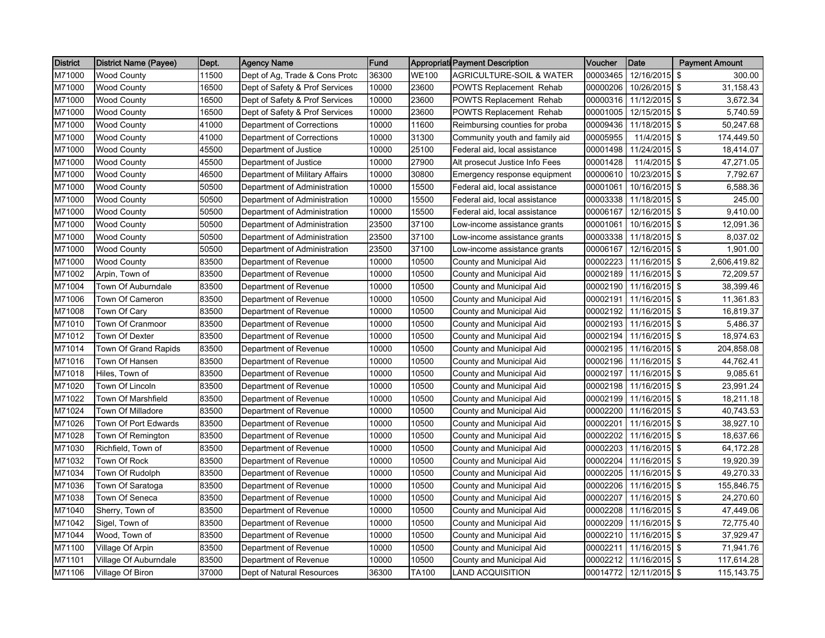| <b>District</b> | <b>District Name (Payee)</b> | Dept. | <b>Agency Name</b>             | Fund  |              | <b>Appropriati Payment Description</b> | <b>Voucher</b> | <b>Date</b>            | <b>Payment Amount</b> |
|-----------------|------------------------------|-------|--------------------------------|-------|--------------|----------------------------------------|----------------|------------------------|-----------------------|
| M71000          | <b>Wood County</b>           | 11500 | Dept of Ag, Trade & Cons Protc | 36300 | <b>WE100</b> | <b>AGRICULTURE-SOIL &amp; WATER</b>    | 00003465       | 12/16/2015             | \$<br>300.00          |
| M71000          | <b>Wood County</b>           | 16500 | Dept of Safety & Prof Services | 10000 | 23600        | <b>POWTS Replacement Rehab</b>         | 00000206       | 10/26/2015 \$          | 31,158.43             |
| M71000          | <b>Wood County</b>           | 16500 | Dept of Safety & Prof Services | 10000 | 23600        | <b>POWTS Replacement Rehab</b>         | 00000316       | 11/12/2015 \$          | 3,672.34              |
| M71000          | <b>Wood County</b>           | 16500 | Dept of Safety & Prof Services | 10000 | 23600        | POWTS Replacement Rehab                | 00001005       | 12/15/2015 \$          | 5,740.59              |
| M71000          | <b>Wood County</b>           | 41000 | Department of Corrections      | 10000 | 11600        | Reimbursing counties for proba         | 00009436       | 11/18/2015             | \$<br>50,247.68       |
| M71000          | <b>Wood County</b>           | 41000 | Department of Corrections      | 10000 | 31300        | Community youth and family aid         | 00005955       | 11/4/2015 \$           | 174,449.50            |
| M71000          | <b>Wood County</b>           | 45500 | Department of Justice          | 10000 | 25100        | Federal aid, local assistance          | 00001498       | 11/24/2015 \$          | 18,414.07             |
| M71000          | <b>Wood County</b>           | 45500 | Department of Justice          | 10000 | 27900        | Alt prosecut Justice Info Fees         | 00001428       | 11/4/2015 \$           | 47,271.05             |
| M71000          | <b>Wood County</b>           | 46500 | Department of Military Affairs | 10000 | 30800        | Emergency response equipment           | 00000610       | 10/23/2015             | \$<br>7,792.67        |
| M71000          | <b>Wood County</b>           | 50500 | Department of Administration   | 10000 | 15500        | Federal aid, local assistance          | 00001061       | 10/16/2015             | \$<br>6,588.36        |
| M71000          | <b>Wood County</b>           | 50500 | Department of Administration   | 10000 | 15500        | Federal aid, local assistance          | 00003338       | 11/18/2015 \$          | 245.00                |
| M71000          | <b>Wood County</b>           | 50500 | Department of Administration   | 10000 | 15500        | Federal aid, local assistance          | 00006167       | 12/16/2015 \$          | 9,410.00              |
| M71000          | <b>Wood County</b>           | 50500 | Department of Administration   | 23500 | 37100        | Low-income assistance grants           | 00001061       | 10/16/2015 \$          | 12,091.36             |
| M71000          | <b>Wood County</b>           | 50500 | Department of Administration   | 23500 | 37100        | Low-income assistance grants           | 00003338       | 11/18/2015 \$          | 8,037.02              |
| M71000          | <b>Wood County</b>           | 50500 | Department of Administration   | 23500 | 37100        | Low-income assistance grants           | 00006167       | 12/16/2015 \$          | 1,901.00              |
| M71000          | <b>Wood County</b>           | 83500 | Department of Revenue          | 10000 | 10500        | County and Municipal Aid               | 00002223       | 11/16/2015             | \$<br>2,606,419.82    |
| M71002          | Arpin, Town of               | 83500 | Department of Revenue          | 10000 | 10500        | County and Municipal Aid               | 00002189       | 11/16/2015 \$          | 72,209.57             |
| M71004          | Town Of Auburndale           | 83500 | Department of Revenue          | 10000 | 10500        | County and Municipal Aid               | 00002190       | 11/16/2015 \$          | 38,399.46             |
| M71006          | Town Of Cameron              | 83500 | Department of Revenue          | 10000 | 10500        | County and Municipal Aid               | 00002191       | 11/16/2015 \$          | 11,361.83             |
| M71008          | Town Of Cary                 | 83500 | Department of Revenue          | 10000 | 10500        | County and Municipal Aid               | 00002192       | 11/16/2015 \$          | 16,819.37             |
| M71010          | Town Of Cranmoor             | 83500 | Department of Revenue          | 10000 | 10500        | County and Municipal Aid               | 00002193       | 11/16/2015             | \$<br>5,486.37        |
| M71012          | Town Of Dexter               | 83500 | Department of Revenue          | 10000 | 10500        | County and Municipal Aid               | 00002194       | 11/16/2015 \$          | 18,974.63             |
| M71014          | Town Of Grand Rapids         | 83500 | Department of Revenue          | 10000 | 10500        | County and Municipal Aid               |                | 00002195 11/16/2015    | \$<br>204,858.08      |
| M71016          | Town Of Hansen               | 83500 | Department of Revenue          | 10000 | 10500        | County and Municipal Aid               | 00002196       | 11/16/2015 \$          | 44,762.41             |
| M71018          | Hiles, Town of               | 83500 | Department of Revenue          | 10000 | 10500        | County and Municipal Aid               | 00002197       | 11/16/2015             | \$<br>9,085.61        |
| M71020          | Town Of Lincoln              | 83500 | Department of Revenue          | 10000 | 10500        | County and Municipal Aid               | 00002198       | 11/16/2015 \$          | 23,991.24             |
| M71022          | Town Of Marshfield           | 83500 | Department of Revenue          | 10000 | 10500        | County and Municipal Aid               | 00002199       | 11/16/2015 \$          | 18,211.18             |
| M71024          | Town Of Milladore            | 83500 | Department of Revenue          | 10000 | 10500        | County and Municipal Aid               | 00002200       | 11/16/2015             | \$<br>40,743.53       |
| M71026          | Town Of Port Edwards         | 83500 | Department of Revenue          | 10000 | 10500        | County and Municipal Aid               | 00002201       | 11/16/2015 \$          | 38,927.10             |
| M71028          | Town Of Remington            | 83500 | Department of Revenue          | 10000 | 10500        | County and Municipal Aid               | 00002202       | 11/16/2015             | \$<br>18,637.66       |
| M71030          | Richfield, Town of           | 83500 | Department of Revenue          | 10000 | 10500        | County and Municipal Aid               | 00002203       | 11/16/2015 \$          | 64,172.28             |
| M71032          | Town Of Rock                 | 83500 | Department of Revenue          | 10000 | 10500        | County and Municipal Aid               | 00002204       | 11/16/2015             | \$<br>19,920.39       |
| M71034          | Town Of Rudolph              | 83500 | Department of Revenue          | 10000 | 10500        | County and Municipal Aid               | 00002205       | 11/16/2015 \$          | 49,270.33             |
| M71036          | Town Of Saratoga             | 83500 | Department of Revenue          | 10000 | 10500        | County and Municipal Aid               | 00002206       | 11/16/2015 \$          | 155,846.75            |
| M71038          | Town Of Seneca               | 83500 | Department of Revenue          | 10000 | 10500        | County and Municipal Aid               | 00002207       | 11/16/2015 \$          | 24,270.60             |
| M71040          | Sherry, Town of              | 83500 | Department of Revenue          | 10000 | 10500        | County and Municipal Aid               | 00002208       | 11/16/2015 \$          | 47,449.06             |
| M71042          | Sigel, Town of               | 83500 | Department of Revenue          | 10000 | 10500        | County and Municipal Aid               | 00002209       | 11/16/2015             | \$<br>72,775.40       |
| M71044          | Wood, Town of                | 83500 | Department of Revenue          | 10000 | 10500        | County and Municipal Aid               | 00002210       | 11/16/2015 \$          | 37,929.47             |
| M71100          | Village Of Arpin             | 83500 | Department of Revenue          | 10000 | 10500        | County and Municipal Aid               | 00002211       | 11/16/2015             | \$<br>71,941.76       |
| M71101          | Village Of Auburndale        | 83500 | Department of Revenue          | 10000 | 10500        | County and Municipal Aid               | 00002212       | 11/16/2015 \$          | 117,614.28            |
| M71106          | Village Of Biron             | 37000 | Dept of Natural Resources      | 36300 | TA100        | <b>LAND ACQUISITION</b>                |                | 00014772 12/11/2015 \$ | 115, 143. 75          |